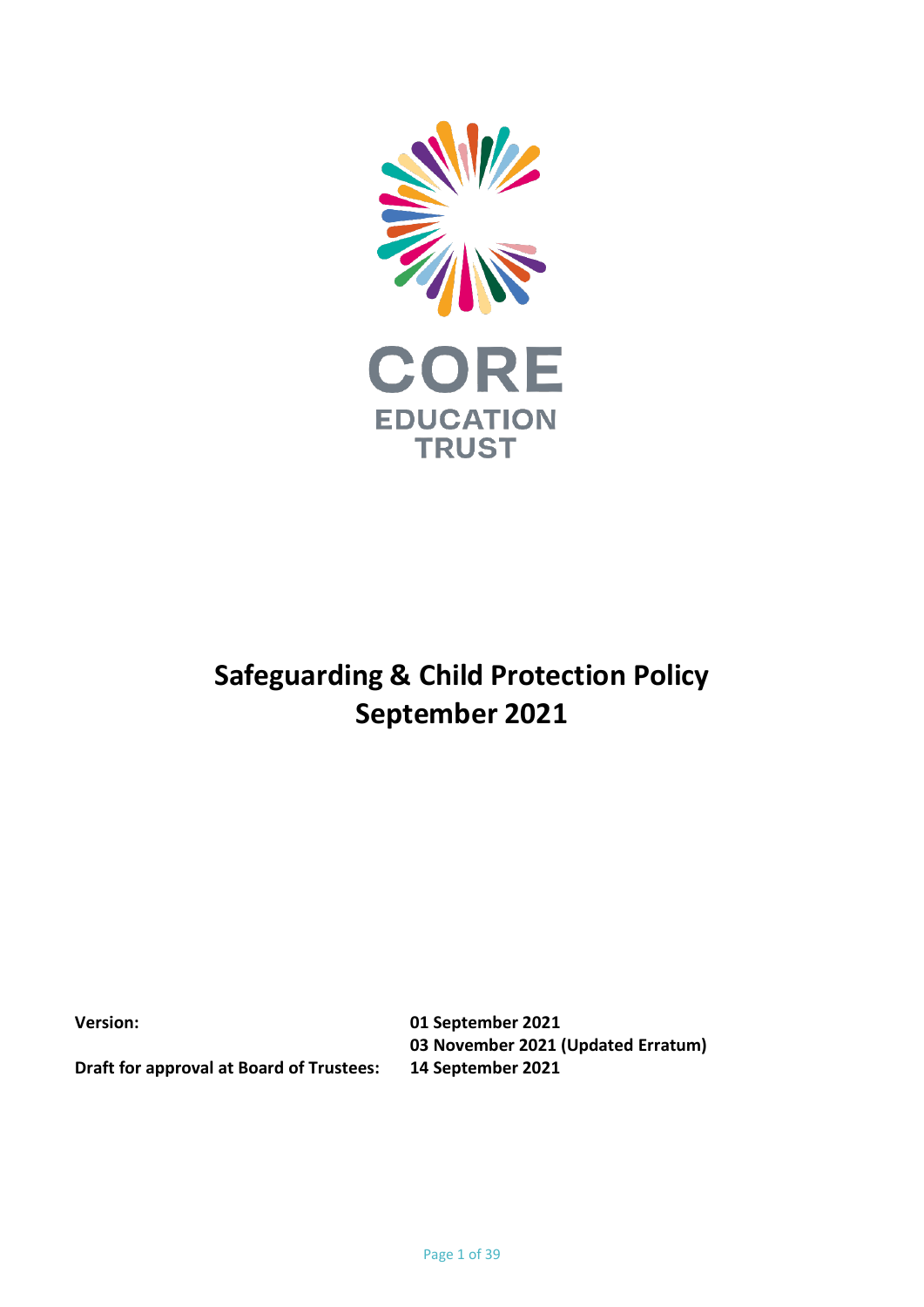

# **Safeguarding & Child Protection Policy September 2021**

**Version: 01 September 2021 03 November 2021 (Updated Erratum)**

**Draft for approval at Board of Trustees: 14 September 2021**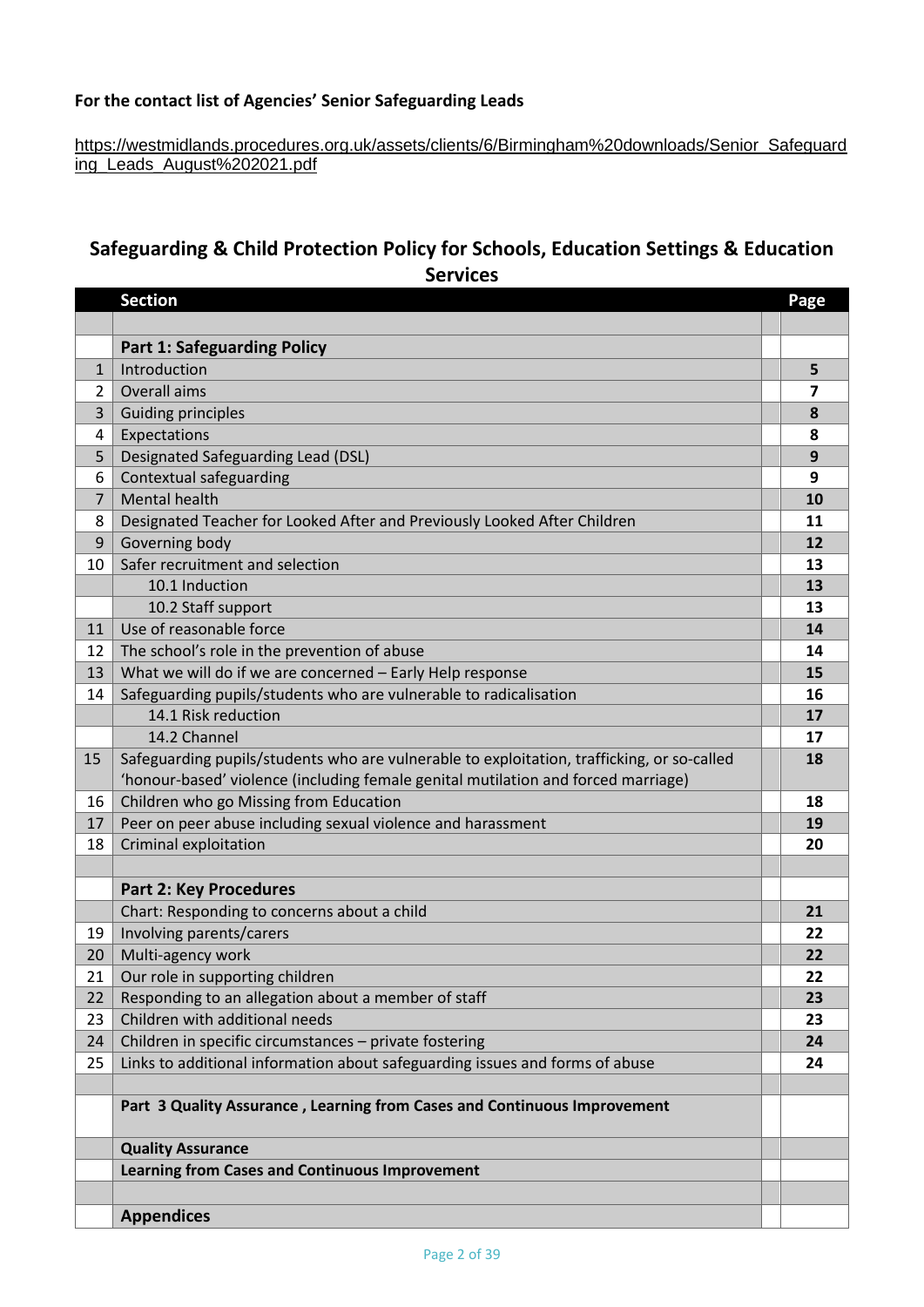# **For the contact list of Agencies' Senior Safeguarding Lead[s](https://lscpbirmingham.org.uk/images/Resolution_and_Escalation_Protocol_July_2015.pdf)**

## [https://westmidlands.procedures.org.uk/assets/clients/6/Birmingham%20downloads/Senior\\_Safeguard](https://westmidlands.procedures.org.uk/assets/clients/6/Birmingham%20downloads/Senior_Safeguarding_Leads_August%202021.pdf) [ing\\_Leads\\_August%202021.pdf](https://westmidlands.procedures.org.uk/assets/clients/6/Birmingham%20downloads/Senior_Safeguarding_Leads_August%202021.pdf)

# **Safeguarding & Child Protection Policy for Schools, Education Settings & Education Services**

|              | <b>Section</b>                                                                             | Page |
|--------------|--------------------------------------------------------------------------------------------|------|
|              |                                                                                            |      |
|              | <b>Part 1: Safeguarding Policy</b>                                                         |      |
| $\mathbf{1}$ | Introduction                                                                               | 5    |
| 2            | Overall aims                                                                               | 7    |
| 3            | <b>Guiding principles</b>                                                                  | 8    |
| 4            | Expectations                                                                               | 8    |
| 5            | Designated Safeguarding Lead (DSL)                                                         | 9    |
| 6            | Contextual safeguarding                                                                    | 9    |
| 7            | <b>Mental health</b>                                                                       | 10   |
| 8            | Designated Teacher for Looked After and Previously Looked After Children                   | 11   |
| 9            | Governing body                                                                             | 12   |
| 10           | Safer recruitment and selection                                                            | 13   |
|              | 10.1 Induction                                                                             | 13   |
|              | 10.2 Staff support                                                                         | 13   |
| 11           | Use of reasonable force                                                                    | 14   |
| 12           | The school's role in the prevention of abuse                                               | 14   |
| 13           | What we will do if we are concerned - Early Help response                                  | 15   |
| 14           | Safeguarding pupils/students who are vulnerable to radicalisation                          | 16   |
|              | 14.1 Risk reduction                                                                        | 17   |
|              | 14.2 Channel                                                                               | 17   |
| 15           | Safeguarding pupils/students who are vulnerable to exploitation, trafficking, or so-called | 18   |
|              | 'honour-based' violence (including female genital mutilation and forced marriage)          |      |
| 16           | Children who go Missing from Education                                                     | 18   |
| 17           | Peer on peer abuse including sexual violence and harassment                                | 19   |
| 18           | Criminal exploitation                                                                      | 20   |
|              |                                                                                            |      |
|              | <b>Part 2: Key Procedures</b>                                                              |      |
|              | Chart: Responding to concerns about a child                                                | 21   |
| 19           | Involving parents/carers                                                                   | 22   |
| 20           | Multi-agency work                                                                          | 22   |
| 21           | Our role in supporting children                                                            | 22   |
| 22           | Responding to an allegation about a member of staff                                        | 23   |
| 23           | Children with additional needs                                                             | 23   |
| 24           | Children in specific circumstances - private fostering                                     | 24   |
| 25           | Links to additional information about safeguarding issues and forms of abuse               | 24   |
|              |                                                                                            |      |
|              | Part 3 Quality Assurance, Learning from Cases and Continuous Improvement                   |      |
|              | <b>Quality Assurance</b>                                                                   |      |
|              | <b>Learning from Cases and Continuous Improvement</b>                                      |      |
|              |                                                                                            |      |
|              | <b>Appendices</b>                                                                          |      |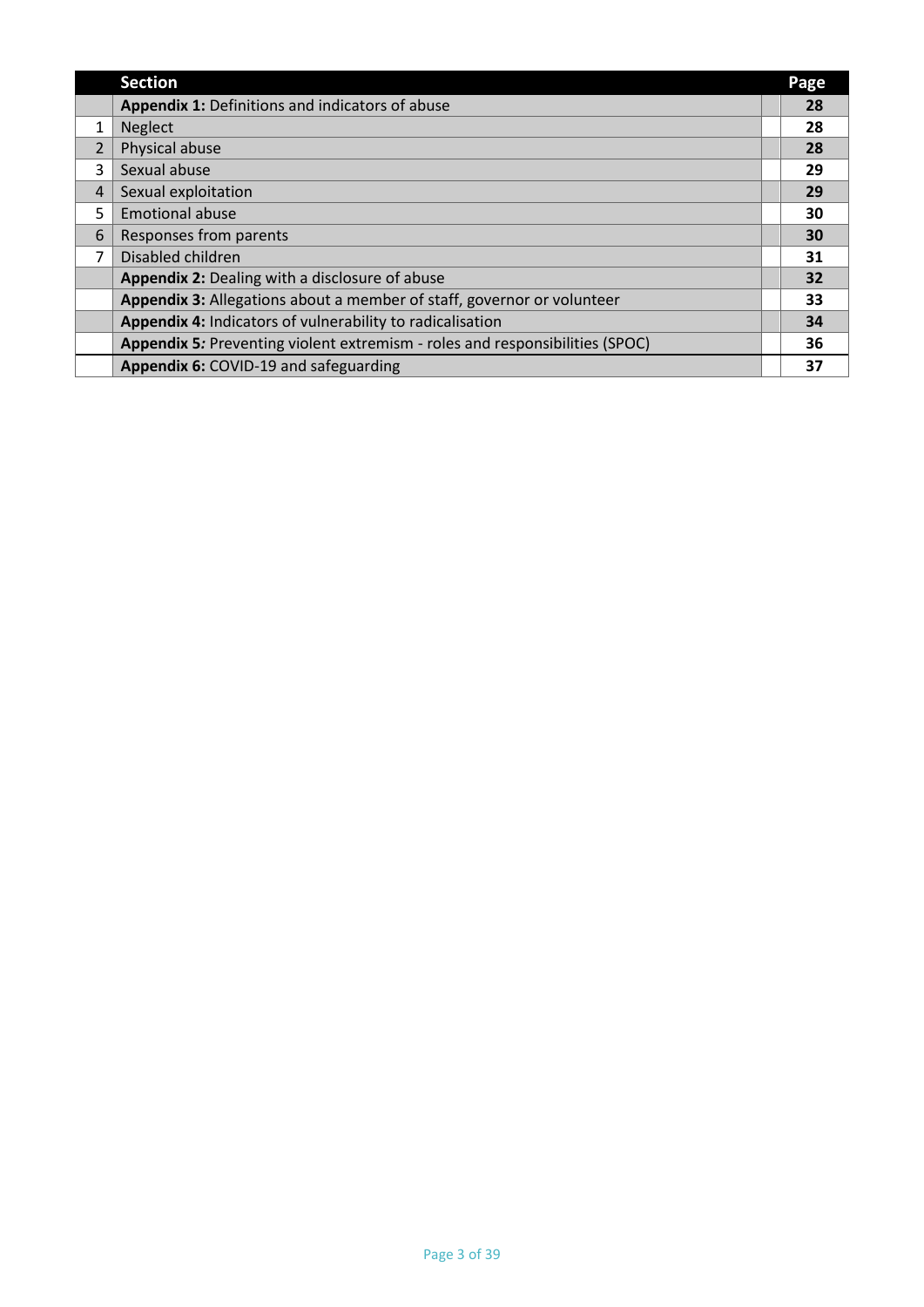|                | <b>Section</b>                                                               | Page |
|----------------|------------------------------------------------------------------------------|------|
|                | Appendix 1: Definitions and indicators of abuse                              | 28   |
| 1              | <b>Neglect</b>                                                               | 28   |
| $\overline{2}$ | Physical abuse                                                               | 28   |
| 3              | Sexual abuse                                                                 | 29   |
| 4              | Sexual exploitation                                                          | 29   |
| 5              | <b>Emotional abuse</b>                                                       | 30   |
| 6              | Responses from parents                                                       | 30   |
| 7              | Disabled children                                                            | 31   |
|                | Appendix 2: Dealing with a disclosure of abuse                               | 32   |
|                | Appendix 3: Allegations about a member of staff, governor or volunteer       | 33   |
|                | Appendix 4: Indicators of vulnerability to radicalisation                    | 34   |
|                | Appendix 5: Preventing violent extremism - roles and responsibilities (SPOC) | 36   |
|                | Appendix 6: COVID-19 and safeguarding                                        | 37   |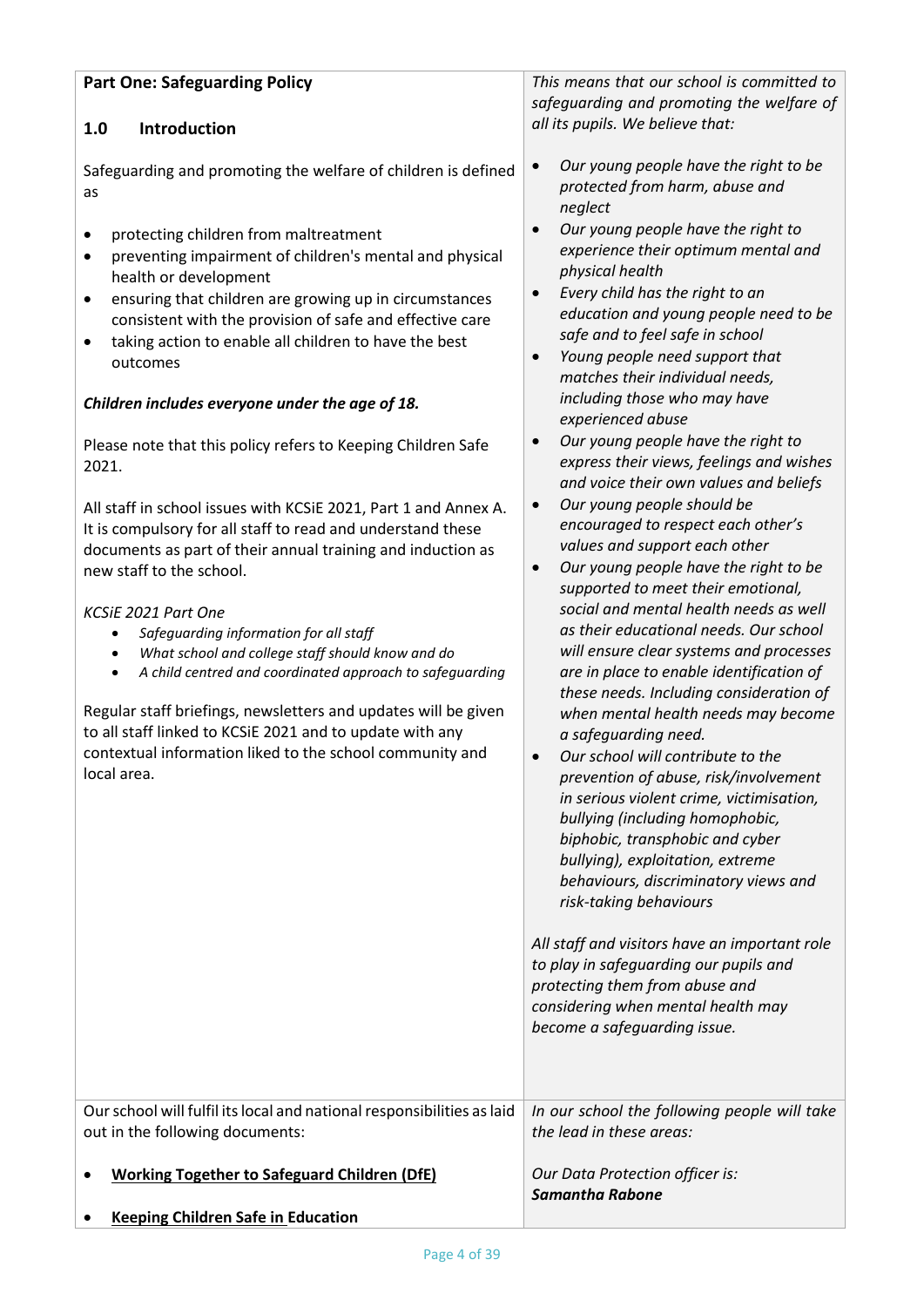| This means that our school is committed to<br><b>Part One: Safeguarding Policy</b>                                                                                                                                                                                                                                                                                                                                                                                                                                                                                                                                                                                                                                                                                                                                                                                                                                                                                                                                                                                                                                                                                                                                                        |                                                                                                                                                                                                                                                                                                                                                                                                                                                                                                                                                                                                                                                                                                                                                                                                                                                                                                                                                                                                                                                                                                                                                                                                                                                                                                                                                                                                                                                                                                                                                                                                                                      |  |
|-------------------------------------------------------------------------------------------------------------------------------------------------------------------------------------------------------------------------------------------------------------------------------------------------------------------------------------------------------------------------------------------------------------------------------------------------------------------------------------------------------------------------------------------------------------------------------------------------------------------------------------------------------------------------------------------------------------------------------------------------------------------------------------------------------------------------------------------------------------------------------------------------------------------------------------------------------------------------------------------------------------------------------------------------------------------------------------------------------------------------------------------------------------------------------------------------------------------------------------------|--------------------------------------------------------------------------------------------------------------------------------------------------------------------------------------------------------------------------------------------------------------------------------------------------------------------------------------------------------------------------------------------------------------------------------------------------------------------------------------------------------------------------------------------------------------------------------------------------------------------------------------------------------------------------------------------------------------------------------------------------------------------------------------------------------------------------------------------------------------------------------------------------------------------------------------------------------------------------------------------------------------------------------------------------------------------------------------------------------------------------------------------------------------------------------------------------------------------------------------------------------------------------------------------------------------------------------------------------------------------------------------------------------------------------------------------------------------------------------------------------------------------------------------------------------------------------------------------------------------------------------------|--|
| Introduction<br>1.0                                                                                                                                                                                                                                                                                                                                                                                                                                                                                                                                                                                                                                                                                                                                                                                                                                                                                                                                                                                                                                                                                                                                                                                                                       | safeguarding and promoting the welfare of<br>all its pupils. We believe that:                                                                                                                                                                                                                                                                                                                                                                                                                                                                                                                                                                                                                                                                                                                                                                                                                                                                                                                                                                                                                                                                                                                                                                                                                                                                                                                                                                                                                                                                                                                                                        |  |
| Safeguarding and promoting the welfare of children is defined<br>as<br>protecting children from maltreatment<br>$\bullet$<br>preventing impairment of children's mental and physical<br>$\bullet$<br>health or development<br>ensuring that children are growing up in circumstances<br>$\bullet$<br>consistent with the provision of safe and effective care<br>taking action to enable all children to have the best<br>$\bullet$<br>outcomes<br>Children includes everyone under the age of 18.<br>Please note that this policy refers to Keeping Children Safe<br>2021.<br>All staff in school issues with KCSiE 2021, Part 1 and Annex A.<br>It is compulsory for all staff to read and understand these<br>documents as part of their annual training and induction as<br>new staff to the school.<br>KCSiE 2021 Part One<br>Safeguarding information for all staff<br>$\bullet$<br>What school and college staff should know and do<br>$\bullet$<br>A child centred and coordinated approach to safeguarding<br>$\bullet$<br>Regular staff briefings, newsletters and updates will be given<br>to all staff linked to KCSiE 2021 and to update with any<br>contextual information liked to the school community and<br>local area. | Our young people have the right to be<br>$\bullet$<br>protected from harm, abuse and<br>neglect<br>Our young people have the right to<br>$\bullet$<br>experience their optimum mental and<br>physical health<br>Every child has the right to an<br>$\bullet$<br>education and young people need to be<br>safe and to feel safe in school<br>Young people need support that<br>$\bullet$<br>matches their individual needs,<br>including those who may have<br>experienced abuse<br>Our young people have the right to<br>$\bullet$<br>express their views, feelings and wishes<br>and voice their own values and beliefs<br>Our young people should be<br>$\bullet$<br>encouraged to respect each other's<br>values and support each other<br>Our young people have the right to be<br>$\bullet$<br>supported to meet their emotional,<br>social and mental health needs as well<br>as their educational needs. Our school<br>will ensure clear systems and processes<br>are in place to enable identification of<br>these needs. Including consideration of<br>when mental health needs may become<br>a safeguarding need.<br>Our school will contribute to the<br>prevention of abuse, risk/involvement<br>in serious violent crime, victimisation,<br>bullying (including homophobic,<br>biphobic, transphobic and cyber<br>bullying), exploitation, extreme<br>behaviours, discriminatory views and<br>risk-taking behaviours<br>All staff and visitors have an important role<br>to play in safeguarding our pupils and<br>protecting them from abuse and<br>considering when mental health may<br>become a safeguarding issue. |  |
| Our school will fulfil its local and national responsibilities as laid<br>out in the following documents:                                                                                                                                                                                                                                                                                                                                                                                                                                                                                                                                                                                                                                                                                                                                                                                                                                                                                                                                                                                                                                                                                                                                 | In our school the following people will take<br>the lead in these areas:                                                                                                                                                                                                                                                                                                                                                                                                                                                                                                                                                                                                                                                                                                                                                                                                                                                                                                                                                                                                                                                                                                                                                                                                                                                                                                                                                                                                                                                                                                                                                             |  |
| <b>Working Together to Safeguard Children (DfE)</b>                                                                                                                                                                                                                                                                                                                                                                                                                                                                                                                                                                                                                                                                                                                                                                                                                                                                                                                                                                                                                                                                                                                                                                                       | Our Data Protection officer is:<br><b>Samantha Rabone</b>                                                                                                                                                                                                                                                                                                                                                                                                                                                                                                                                                                                                                                                                                                                                                                                                                                                                                                                                                                                                                                                                                                                                                                                                                                                                                                                                                                                                                                                                                                                                                                            |  |
| <b>Keeping Children Safe in Education</b>                                                                                                                                                                                                                                                                                                                                                                                                                                                                                                                                                                                                                                                                                                                                                                                                                                                                                                                                                                                                                                                                                                                                                                                                 |                                                                                                                                                                                                                                                                                                                                                                                                                                                                                                                                                                                                                                                                                                                                                                                                                                                                                                                                                                                                                                                                                                                                                                                                                                                                                                                                                                                                                                                                                                                                                                                                                                      |  |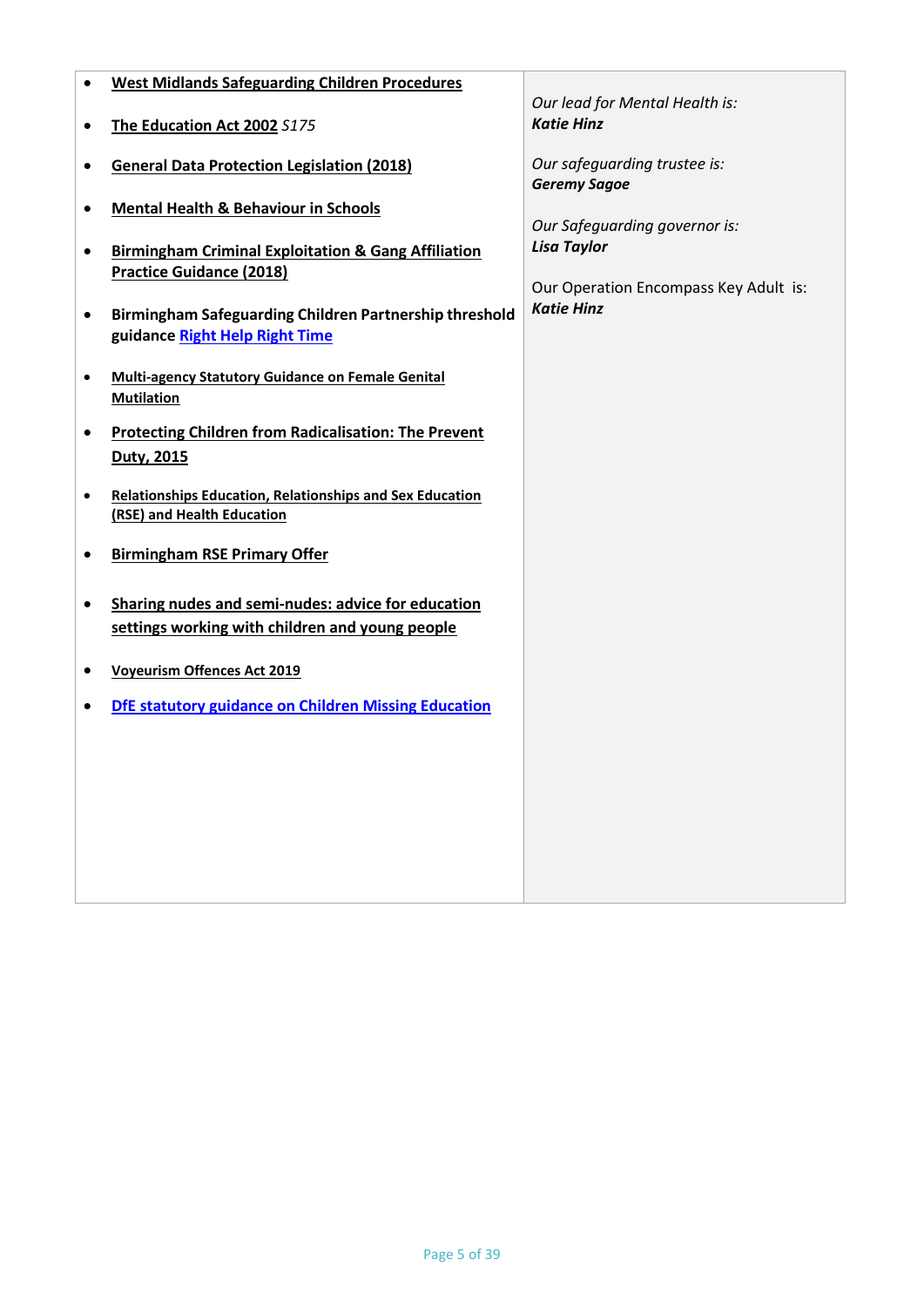| ٠ | <b>West Midlands Safeguarding Children Procedures</b>                                                             |                                                     |
|---|-------------------------------------------------------------------------------------------------------------------|-----------------------------------------------------|
|   | The Education Act 2002 S175                                                                                       | Our lead for Mental Health is:<br><b>Katie Hinz</b> |
| ٠ | <b>General Data Protection Legislation (2018)</b>                                                                 | Our safeguarding trustee is:<br><b>Geremy Sagoe</b> |
|   | <b>Mental Health &amp; Behaviour in Schools</b><br><b>Birmingham Criminal Exploitation &amp; Gang Affiliation</b> | Our Safeguarding governor is:<br><b>Lisa Taylor</b> |
|   | <b>Practice Guidance (2018)</b>                                                                                   | Our Operation Encompass Key Adult is:               |
| ٠ | Birmingham Safeguarding Children Partnership threshold<br>guidance Right Help Right Time                          | <b>Katie Hinz</b>                                   |
|   | <b>Multi-agency Statutory Guidance on Female Genital</b><br><b>Mutilation</b>                                     |                                                     |
|   | <b>Protecting Children from Radicalisation: The Prevent</b><br>Duty, 2015                                         |                                                     |
|   | <b>Relationships Education, Relationships and Sex Education</b><br>(RSE) and Health Education                     |                                                     |
|   | <b>Birmingham RSE Primary Offer</b>                                                                               |                                                     |
| ٠ | Sharing nudes and semi-nudes: advice for education<br>settings working with children and young people             |                                                     |
|   | <b>Voyeurism Offences Act 2019</b>                                                                                |                                                     |
|   | <b>DfE statutory guidance on Children Missing Education</b>                                                       |                                                     |
|   |                                                                                                                   |                                                     |
|   |                                                                                                                   |                                                     |
|   |                                                                                                                   |                                                     |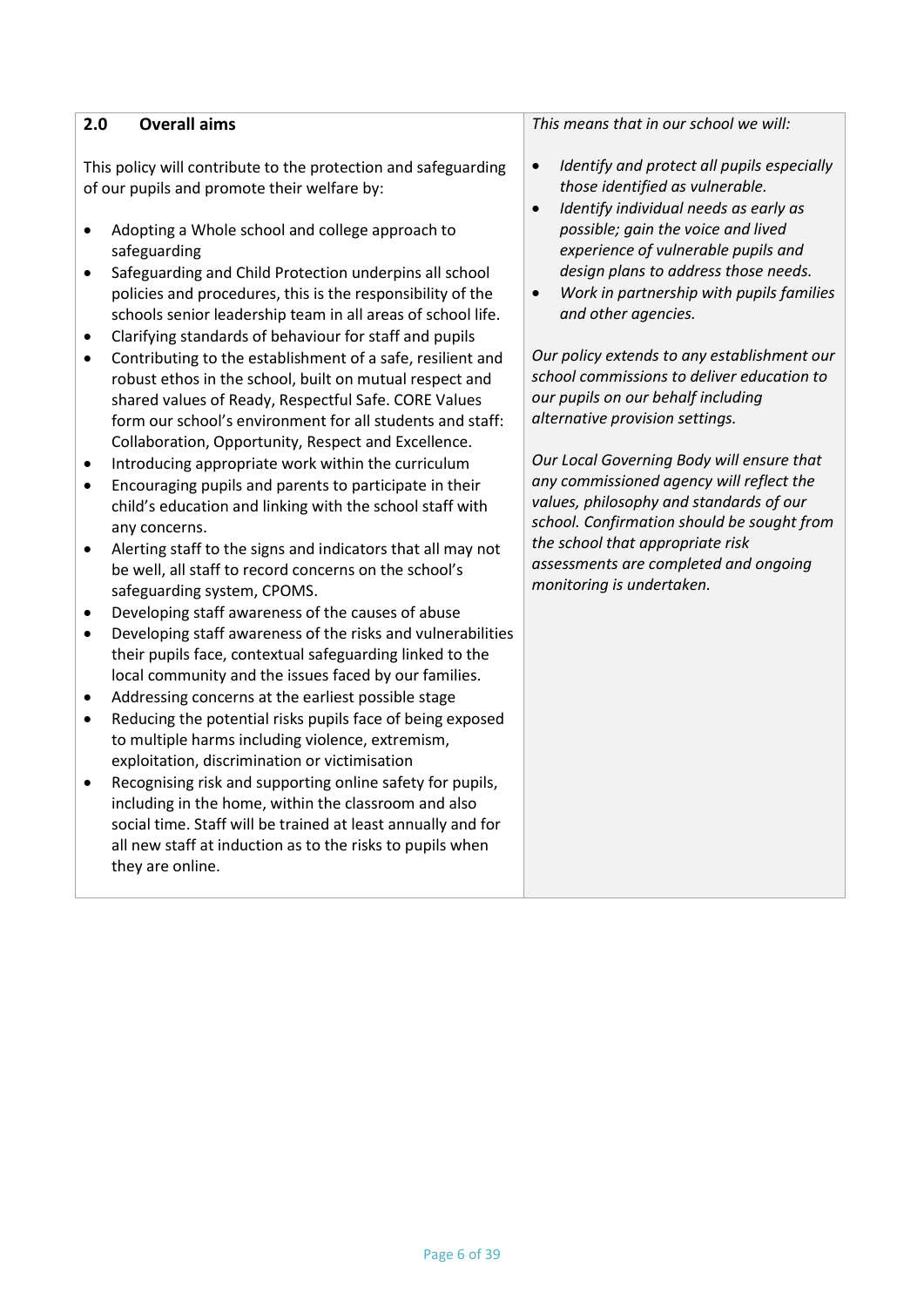| 2.0<br><b>Overall aims</b>                                                                                                                                                                                                                                                                                                                                                                                                                                                                                                                                                                                                                                                                                                                                                                                                                                                                                                                                                                                                                                                                                                                                                                                                                                                                                                                                                                                                                                                                                                                                                                                                                                                                                                                                                                                                                                                                                               | This means that in our school we will:                                                                                                                                                                                                                                                                                                                                                                                                                                                                                                                                                                                                                                                                                                                                                                                  |
|--------------------------------------------------------------------------------------------------------------------------------------------------------------------------------------------------------------------------------------------------------------------------------------------------------------------------------------------------------------------------------------------------------------------------------------------------------------------------------------------------------------------------------------------------------------------------------------------------------------------------------------------------------------------------------------------------------------------------------------------------------------------------------------------------------------------------------------------------------------------------------------------------------------------------------------------------------------------------------------------------------------------------------------------------------------------------------------------------------------------------------------------------------------------------------------------------------------------------------------------------------------------------------------------------------------------------------------------------------------------------------------------------------------------------------------------------------------------------------------------------------------------------------------------------------------------------------------------------------------------------------------------------------------------------------------------------------------------------------------------------------------------------------------------------------------------------------------------------------------------------------------------------------------------------|-------------------------------------------------------------------------------------------------------------------------------------------------------------------------------------------------------------------------------------------------------------------------------------------------------------------------------------------------------------------------------------------------------------------------------------------------------------------------------------------------------------------------------------------------------------------------------------------------------------------------------------------------------------------------------------------------------------------------------------------------------------------------------------------------------------------------|
| This policy will contribute to the protection and safeguarding<br>of our pupils and promote their welfare by:<br>Adopting a Whole school and college approach to<br>$\bullet$<br>safeguarding<br>Safeguarding and Child Protection underpins all school<br>$\bullet$<br>policies and procedures, this is the responsibility of the<br>schools senior leadership team in all areas of school life.<br>Clarifying standards of behaviour for staff and pupils<br>٠<br>Contributing to the establishment of a safe, resilient and<br>٠<br>robust ethos in the school, built on mutual respect and<br>shared values of Ready, Respectful Safe. CORE Values<br>form our school's environment for all students and staff:<br>Collaboration, Opportunity, Respect and Excellence.<br>Introducing appropriate work within the curriculum<br>٠<br>Encouraging pupils and parents to participate in their<br>٠<br>child's education and linking with the school staff with<br>any concerns.<br>Alerting staff to the signs and indicators that all may not<br>٠<br>be well, all staff to record concerns on the school's<br>safeguarding system, CPOMS.<br>Developing staff awareness of the causes of abuse<br>٠<br>Developing staff awareness of the risks and vulnerabilities<br>$\bullet$<br>their pupils face, contextual safeguarding linked to the<br>local community and the issues faced by our families.<br>Addressing concerns at the earliest possible stage<br>٠<br>Reducing the potential risks pupils face of being exposed<br>$\bullet$<br>to multiple harms including violence, extremism,<br>exploitation, discrimination or victimisation<br>Recognising risk and supporting online safety for pupils,<br>including in the home, within the classroom and also<br>social time. Staff will be trained at least annually and for<br>all new staff at induction as to the risks to pupils when<br>they are online. | Identify and protect all pupils especially<br>$\bullet$<br>those identified as vulnerable.<br>Identify individual needs as early as<br>$\bullet$<br>possible; gain the voice and lived<br>experience of vulnerable pupils and<br>design plans to address those needs.<br>Work in partnership with pupils families<br>$\bullet$<br>and other agencies.<br>Our policy extends to any establishment our<br>school commissions to deliver education to<br>our pupils on our behalf including<br>alternative provision settings.<br>Our Local Governing Body will ensure that<br>any commissioned agency will reflect the<br>values, philosophy and standards of our<br>school. Confirmation should be sought from<br>the school that appropriate risk<br>assessments are completed and ongoing<br>monitoring is undertaken. |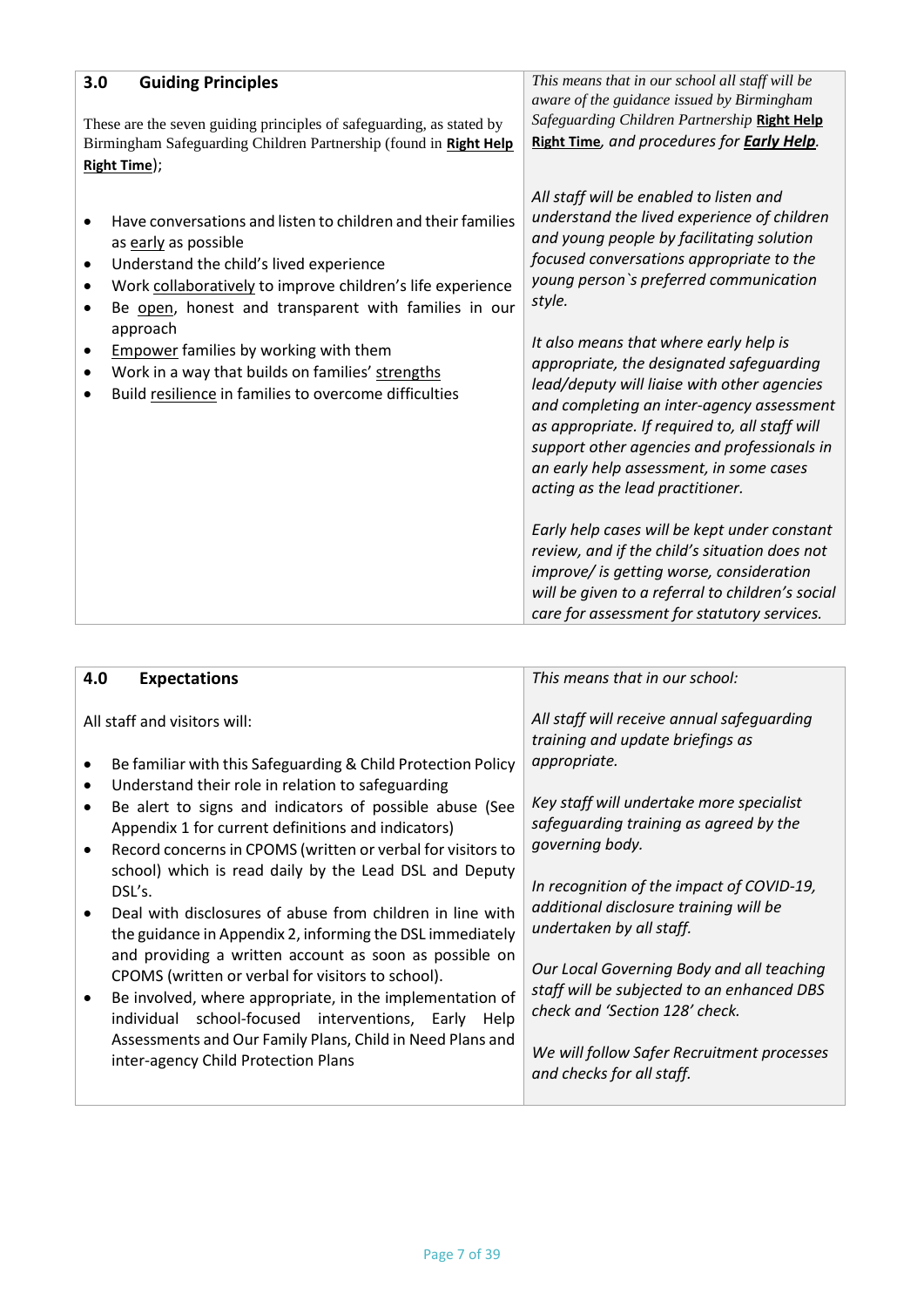| 3.0 | <b>Guiding Principles</b><br>These are the seven guiding principles of safeguarding, as stated by<br>Birmingham Safeguarding Children Partnership (found in Right Help<br>Right Time);                                                                                                                                                                                                                                         | This means that in our school all staff will be<br>aware of the guidance issued by Birmingham<br>Safeguarding Children Partnership Right Help<br>Right Time, and procedures for <b>Early Help</b> .                                                                                                                                                                                                                                                                                                                                                                                                                                                                                                                                                                                                    |
|-----|--------------------------------------------------------------------------------------------------------------------------------------------------------------------------------------------------------------------------------------------------------------------------------------------------------------------------------------------------------------------------------------------------------------------------------|--------------------------------------------------------------------------------------------------------------------------------------------------------------------------------------------------------------------------------------------------------------------------------------------------------------------------------------------------------------------------------------------------------------------------------------------------------------------------------------------------------------------------------------------------------------------------------------------------------------------------------------------------------------------------------------------------------------------------------------------------------------------------------------------------------|
| ٠   | Have conversations and listen to children and their families<br>as early as possible<br>Understand the child's lived experience<br>Work collaboratively to improve children's life experience<br>Be open, honest and transparent with families in our<br>approach<br><b>Empower</b> families by working with them<br>Work in a way that builds on families' strengths<br>Build resilience in families to overcome difficulties | All staff will be enabled to listen and<br>understand the lived experience of children<br>and young people by facilitating solution<br>focused conversations appropriate to the<br>young person's preferred communication<br>style.<br>It also means that where early help is<br>appropriate, the designated safeguarding<br>lead/deputy will liaise with other agencies<br>and completing an inter-agency assessment<br>as appropriate. If required to, all staff will<br>support other agencies and professionals in<br>an early help assessment, in some cases<br>acting as the lead practitioner.<br>Early help cases will be kept under constant<br>review, and if the child's situation does not<br>improve/ is getting worse, consideration<br>will be given to a referral to children's social |
|     |                                                                                                                                                                                                                                                                                                                                                                                                                                | care for assessment for statutory services.                                                                                                                                                                                                                                                                                                                                                                                                                                                                                                                                                                                                                                                                                                                                                            |

| 4.0 | <b>Expectations</b>                                                                                                                                                                                                                                                                                                                                                                                                                                                                                                              | This means that in our school:                                                                                                                                                                                                                                                                                          |
|-----|----------------------------------------------------------------------------------------------------------------------------------------------------------------------------------------------------------------------------------------------------------------------------------------------------------------------------------------------------------------------------------------------------------------------------------------------------------------------------------------------------------------------------------|-------------------------------------------------------------------------------------------------------------------------------------------------------------------------------------------------------------------------------------------------------------------------------------------------------------------------|
|     | All staff and visitors will:<br>Be familiar with this Safeguarding & Child Protection Policy<br>Understand their role in relation to safeguarding<br>Be alert to signs and indicators of possible abuse (See<br>Appendix 1 for current definitions and indicators)<br>Record concerns in CPOMS (written or verbal for visitors to                                                                                                                                                                                                | All staff will receive annual safeguarding<br>training and update briefings as<br>appropriate.<br>Key staff will undertake more specialist<br>safequarding training as agreed by the<br>governing body.                                                                                                                 |
|     | school) which is read daily by the Lead DSL and Deputy<br>DSL's.<br>Deal with disclosures of abuse from children in line with<br>the guidance in Appendix 2, informing the DSL immediately<br>and providing a written account as soon as possible on<br>CPOMS (written or verbal for visitors to school).<br>Be involved, where appropriate, in the implementation of<br>individual school-focused interventions, Early Help<br>Assessments and Our Family Plans, Child in Need Plans and<br>inter-agency Child Protection Plans | In recognition of the impact of COVID-19,<br>additional disclosure training will be<br>undertaken by all staff.<br>Our Local Governing Body and all teaching<br>staff will be subjected to an enhanced DBS<br>check and 'Section 128' check.<br>We will follow Safer Recruitment processes<br>and checks for all staff. |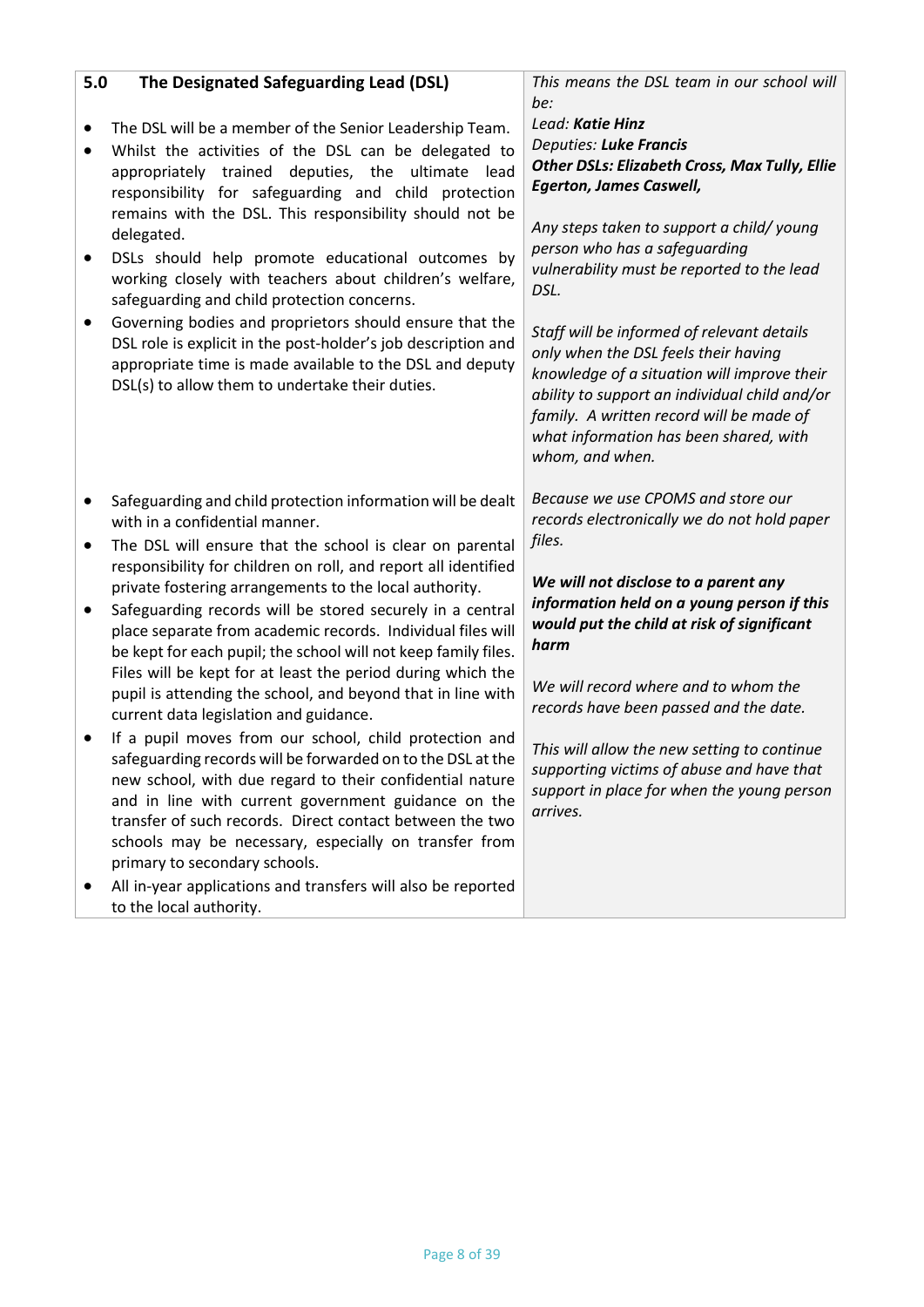| 5.0 | The Designated Safeguarding Lead (DSL)                                                                                                                                                                                                                                                                                                                                                                                                                                                                                                                                                                                                                                                                            | This means the DSL team in our school will                                                                                                                                                                                                                                                                                                                                                                                                                                                                                                                                     |
|-----|-------------------------------------------------------------------------------------------------------------------------------------------------------------------------------------------------------------------------------------------------------------------------------------------------------------------------------------------------------------------------------------------------------------------------------------------------------------------------------------------------------------------------------------------------------------------------------------------------------------------------------------------------------------------------------------------------------------------|--------------------------------------------------------------------------------------------------------------------------------------------------------------------------------------------------------------------------------------------------------------------------------------------------------------------------------------------------------------------------------------------------------------------------------------------------------------------------------------------------------------------------------------------------------------------------------|
|     | The DSL will be a member of the Senior Leadership Team.<br>Whilst the activities of the DSL can be delegated to<br>appropriately trained deputies, the ultimate<br>lead<br>responsibility for safeguarding and child protection<br>remains with the DSL. This responsibility should not be<br>delegated.<br>DSLs should help promote educational outcomes by<br>working closely with teachers about children's welfare,<br>safeguarding and child protection concerns.<br>Governing bodies and proprietors should ensure that the<br>DSL role is explicit in the post-holder's job description and<br>appropriate time is made available to the DSL and deputy<br>DSL(s) to allow them to undertake their duties. | be:<br>Lead: Katie Hinz<br>Deputies: Luke Francis<br><b>Other DSLs: Elizabeth Cross, Max Tully, Ellie</b><br><b>Egerton, James Caswell,</b><br>Any steps taken to support a child/ young<br>person who has a safeguarding<br>vulnerability must be reported to the lead<br>DSL.<br>Staff will be informed of relevant details<br>only when the DSL feels their having<br>knowledge of a situation will improve their<br>ability to support an individual child and/or<br>family. A written record will be made of<br>what information has been shared, with<br>whom, and when. |
| ٠   | Safeguarding and child protection information will be dealt<br>with in a confidential manner.<br>The DSL will ensure that the school is clear on parental                                                                                                                                                                                                                                                                                                                                                                                                                                                                                                                                                         | Because we use CPOMS and store our<br>records electronically we do not hold paper<br>files.                                                                                                                                                                                                                                                                                                                                                                                                                                                                                    |
|     | responsibility for children on roll, and report all identified<br>private fostering arrangements to the local authority.<br>Safeguarding records will be stored securely in a central<br>place separate from academic records. Individual files will<br>be kept for each pupil; the school will not keep family files.                                                                                                                                                                                                                                                                                                                                                                                            | We will not disclose to a parent any<br>information held on a young person if this<br>would put the child at risk of significant<br>harm                                                                                                                                                                                                                                                                                                                                                                                                                                       |
|     | Files will be kept for at least the period during which the<br>pupil is attending the school, and beyond that in line with<br>current data legislation and guidance.                                                                                                                                                                                                                                                                                                                                                                                                                                                                                                                                              | We will record where and to whom the<br>records have been passed and the date.                                                                                                                                                                                                                                                                                                                                                                                                                                                                                                 |
|     | If a pupil moves from our school, child protection and<br>safeguarding records will be forwarded on to the DSL at the<br>new school, with due regard to their confidential nature<br>and in line with current government guidance on the<br>transfer of such records. Direct contact between the two<br>schools may be necessary, especially on transfer from<br>primary to secondary schools.                                                                                                                                                                                                                                                                                                                    | This will allow the new setting to continue<br>supporting victims of abuse and have that<br>support in place for when the young person<br>arrives.                                                                                                                                                                                                                                                                                                                                                                                                                             |
|     | All in-year applications and transfers will also be reported<br>to the local authority.                                                                                                                                                                                                                                                                                                                                                                                                                                                                                                                                                                                                                           |                                                                                                                                                                                                                                                                                                                                                                                                                                                                                                                                                                                |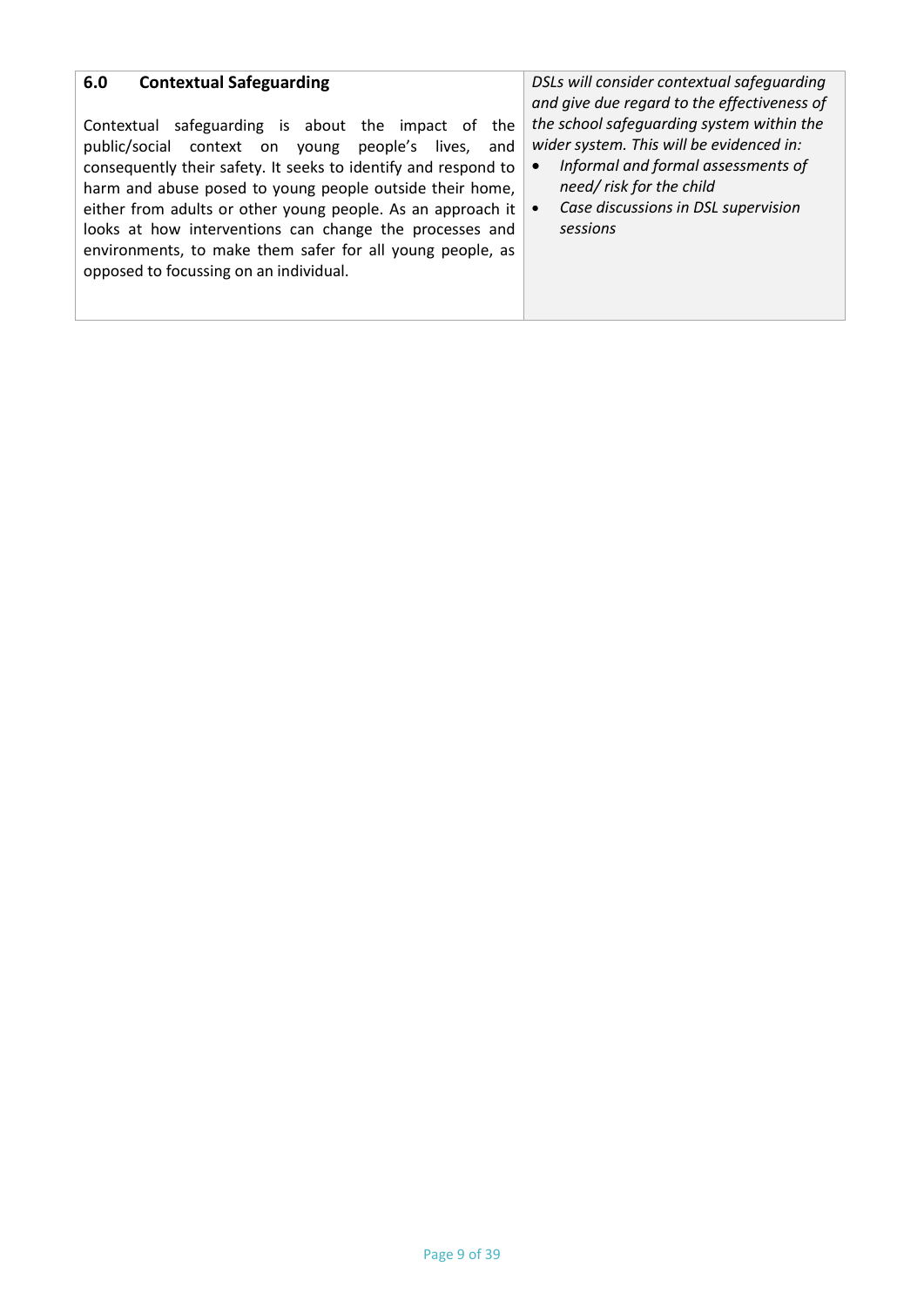| <b>Contextual Safeguarding</b>                                                                                                                                                                                                                                                                                                                                                                                                                                                | DSLs will consider contextual safeguarding                                                                                                                                                                 |
|-------------------------------------------------------------------------------------------------------------------------------------------------------------------------------------------------------------------------------------------------------------------------------------------------------------------------------------------------------------------------------------------------------------------------------------------------------------------------------|------------------------------------------------------------------------------------------------------------------------------------------------------------------------------------------------------------|
| 6.0                                                                                                                                                                                                                                                                                                                                                                                                                                                                           | and give due regard to the effectiveness of                                                                                                                                                                |
| Contextual safeguarding is about the impact of the<br>public/social context on young people's<br>lives,<br>and<br>consequently their safety. It seeks to identify and respond to<br>harm and abuse posed to young people outside their home,<br>either from adults or other young people. As an approach it<br>looks at how interventions can change the processes and<br>environments, to make them safer for all young people, as<br>opposed to focussing on an individual. | the school safeguarding system within the<br>wider system. This will be evidenced in:<br>Informal and formal assessments of<br>need/ risk for the child<br>Case discussions in DSL supervision<br>sessions |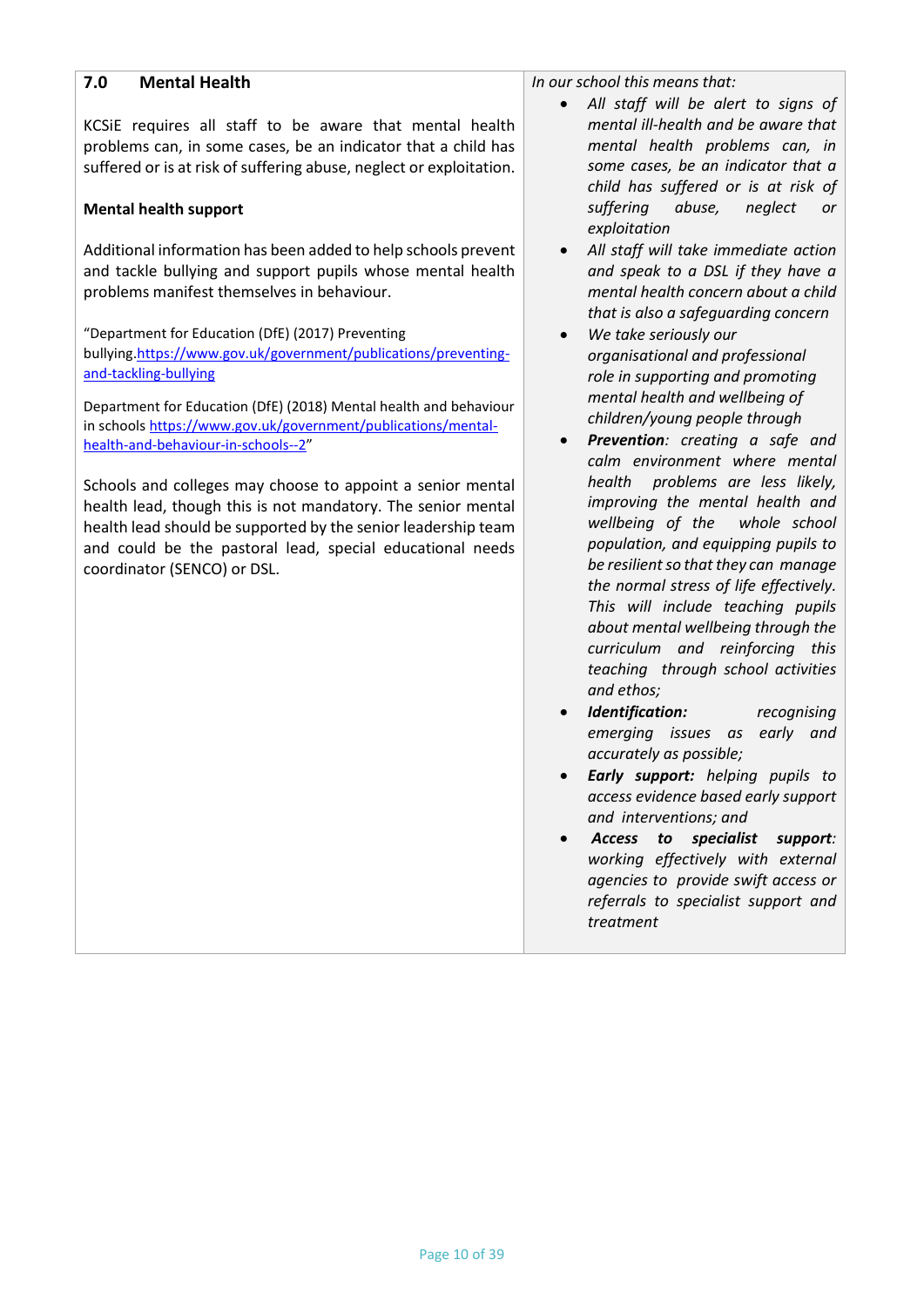#### **7.0 Mental Health**

KCSiE requires all staff to be aware that mental health problems can, in some cases, be an indicator that a child has suffered or is at risk of suffering abuse, neglect or exploitation.

#### **Mental health support**

Additional information has been added to help schools prevent and tackle bullying and support pupils whose mental health problems manifest themselves in behaviour.

"Department for Education (DfE) (2017) Preventing bullying[.https://www.gov.uk/government/publications/preventing](https://www.gov.uk/government/publications/preventing-and-tackling-bullying)[and-tackling-bullying](https://www.gov.uk/government/publications/preventing-and-tackling-bullying)

Department for Education (DfE) (2018) Mental health and behaviour in schools [https://www.gov.uk/government/publications/mental](https://www.gov.uk/government/publications/mental-health-and-behaviour-in-schools--2)[health-and-behaviour-in-schools--2](https://www.gov.uk/government/publications/mental-health-and-behaviour-in-schools--2)"

Schools and colleges may choose to appoint a senior mental health lead, though this is not mandatory. The senior mental health lead should be supported by the senior leadership team and could be the pastoral lead, special educational needs coordinator (SENCO) or DSL.

*In our school this means that:*

- *All staff will be alert to signs of mental ill-health and be aware that mental health problems can, in some cases, be an indicator that a child has suffered or is at risk of suffering abuse, neglect or exploitation*
- *All staff will take immediate action and speak to a DSL if they have a mental health concern about a child that is also a safeguarding concern*
- *We take seriously our organisational and professional role in supporting and promoting mental health and wellbeing of children/young people through*
- *Prevention: creating a safe and calm environment where mental health problems are less likely, improving the mental health and wellbeing of the whole school population, and equipping pupils to be resilient so that they can manage the normal stress of life effectively. This will include teaching pupils about mental wellbeing through the curriculum and reinforcing this teaching through school activities and ethos;*
- *Identification: recognising emerging issues as early and accurately as possible;*
- *Early support: helping pupils to access evidence based early support and interventions; and*
- *Access to specialist support: working effectively with external agencies to provide swift access or referrals to specialist support and treatment*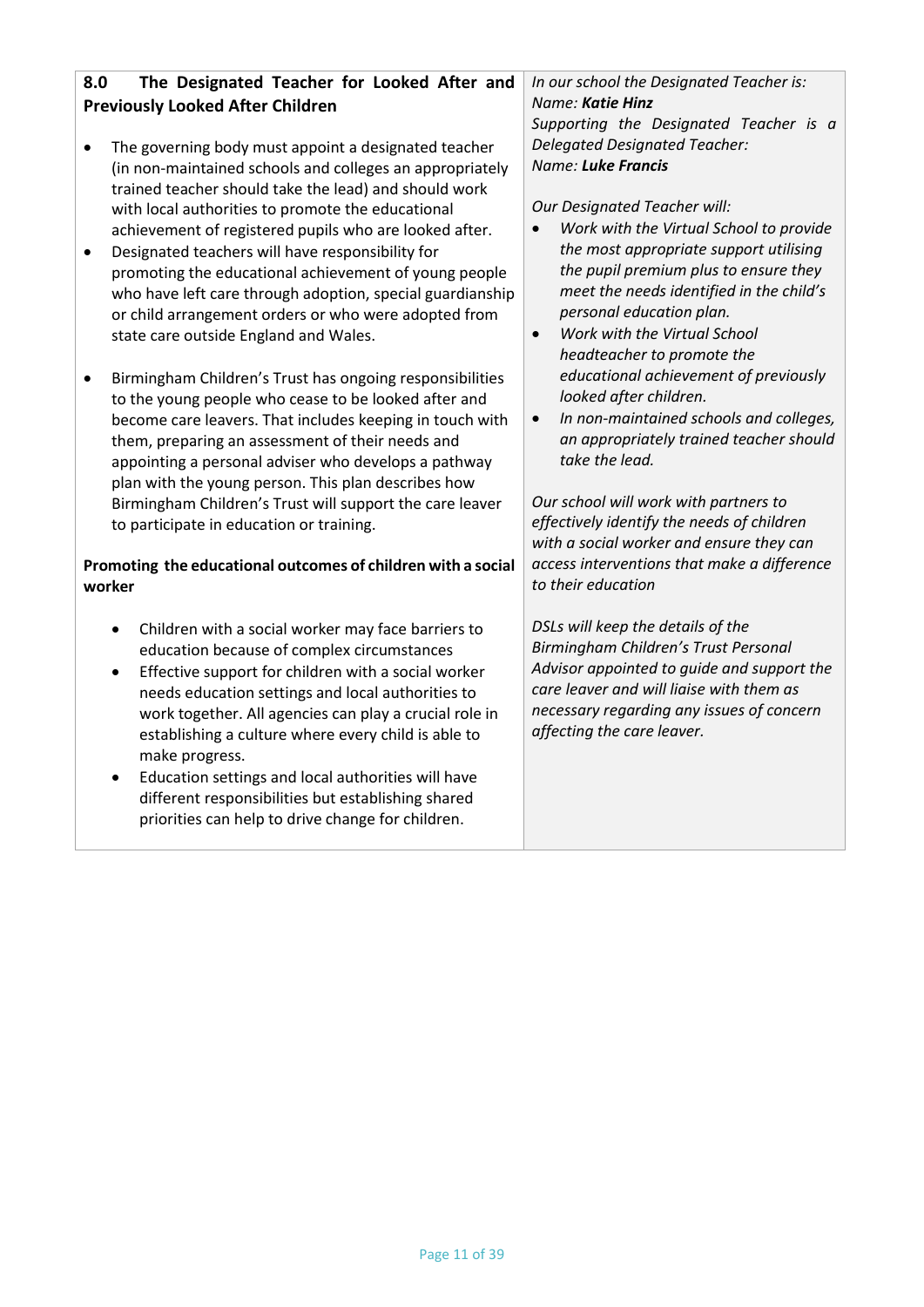# **8.0 The Designated Teacher for Looked After and Previously Looked After Children**

- The governing body must appoint a designated teacher (in non-maintained schools and colleges an appropriately trained teacher should take the lead) and should work with local authorities to promote the educational achievement of registered pupils who are looked after.
- Designated teachers will have responsibility for promoting the educational achievement of young people who have left care through adoption, special guardianship or child arrangement orders or who were adopted from state care outside England and Wales.
- Birmingham Children's Trust has ongoing responsibilities to the young people who cease to be looked after and become care leavers. That includes keeping in touch with them, preparing an assessment of their needs and appointing a personal adviser who develops a pathway plan with the young person. This plan describes how Birmingham Children's Trust will support the care leaver to participate in education or training.

# **Promoting the educational outcomes of children with a social worker**

- Children with a social worker may face barriers to education because of complex circumstances
- Effective support for children with a social worker needs education settings and local authorities to work together. All agencies can play a crucial role in establishing a culture where every child is able to make progress.
- Education settings and local authorities will have different responsibilities but establishing shared priorities can help to drive change for children.

*In our school the Designated Teacher is: Name: Katie Hinz Supporting the Designated Teacher is a Delegated Designated Teacher: Name: Luke Francis*

*Our Designated Teacher will:*

- *Work with the Virtual School to provide the most appropriate support utilising the pupil premium plus to ensure they meet the needs identified in the child's personal education plan.*
- *Work with the Virtual School headteacher to promote the educational achievement of previously looked after children.*
- *In non-maintained schools and colleges, an appropriately trained teacher should take the lead.*

*Our school will work with partners to effectively identify the needs of children with a social worker and ensure they can access interventions that make a difference to their education*

*DSLs will keep the details of the Birmingham Children's Trust Personal Advisor appointed to guide and support the care leaver and will liaise with them as necessary regarding any issues of concern affecting the care leaver.*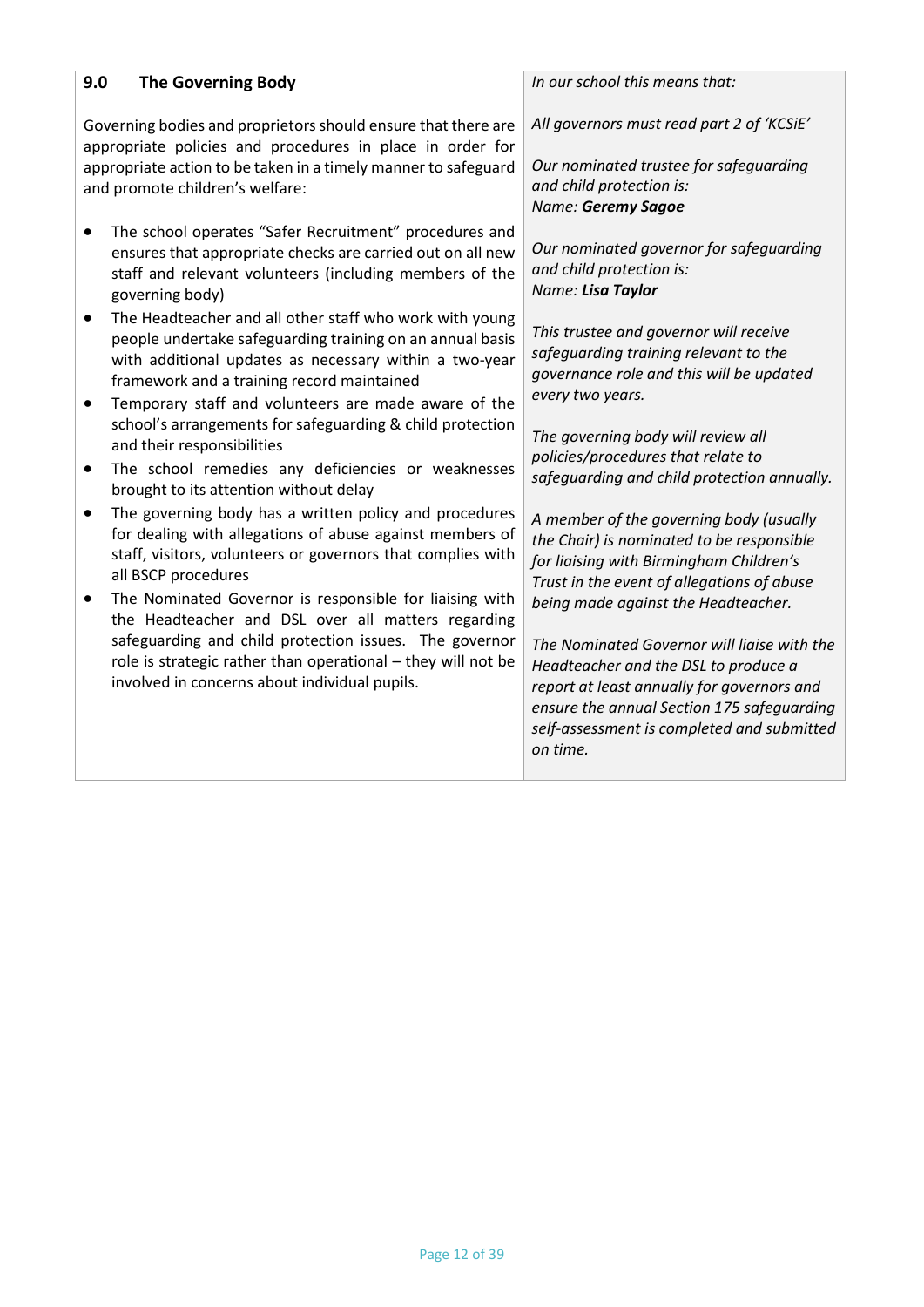| 9.0                                                                                                                        | The Governing Body                                                                                                                                                                                                                                                                       | In our school this means that:                                                                                                                                                                                                                                                   |
|----------------------------------------------------------------------------------------------------------------------------|------------------------------------------------------------------------------------------------------------------------------------------------------------------------------------------------------------------------------------------------------------------------------------------|----------------------------------------------------------------------------------------------------------------------------------------------------------------------------------------------------------------------------------------------------------------------------------|
| Governing bodies and proprietors should ensure that there are<br>appropriate policies and procedures in place in order for |                                                                                                                                                                                                                                                                                          | All governors must read part 2 of 'KCSiE'                                                                                                                                                                                                                                        |
| appropriate action to be taken in a timely manner to safeguard<br>and promote children's welfare:                          |                                                                                                                                                                                                                                                                                          | Our nominated trustee for safeguarding<br>and child protection is:<br>Name: Geremy Sagoe                                                                                                                                                                                         |
| $\bullet$                                                                                                                  | The school operates "Safer Recruitment" procedures and<br>ensures that appropriate checks are carried out on all new<br>staff and relevant volunteers (including members of the<br>governing body)                                                                                       | Our nominated governor for safeguarding<br>and child protection is:<br>Name: Lisa Taylor                                                                                                                                                                                         |
| ٠                                                                                                                          | The Headteacher and all other staff who work with young<br>people undertake safeguarding training on an annual basis<br>with additional updates as necessary within a two-year<br>framework and a training record maintained                                                             | This trustee and governor will receive<br>safeguarding training relevant to the<br>governance role and this will be updated<br>every two years.                                                                                                                                  |
| ٠<br>٠                                                                                                                     | Temporary staff and volunteers are made aware of the<br>school's arrangements for safeguarding & child protection<br>and their responsibilities<br>The school remedies any deficiencies or weaknesses<br>brought to its attention without delay                                          | The governing body will review all<br>policies/procedures that relate to<br>safeguarding and child protection annually.                                                                                                                                                          |
| $\bullet$                                                                                                                  | The governing body has a written policy and procedures<br>for dealing with allegations of abuse against members of<br>staff, visitors, volunteers or governors that complies with<br>all BSCP procedures                                                                                 | A member of the governing body (usually<br>the Chair) is nominated to be responsible<br>for liaising with Birmingham Children's<br>Trust in the event of allegations of abuse                                                                                                    |
|                                                                                                                            | The Nominated Governor is responsible for liaising with<br>the Headteacher and DSL over all matters regarding<br>safeguarding and child protection issues. The governor<br>role is strategic rather than operational - they will not be<br>involved in concerns about individual pupils. | being made against the Headteacher.<br>The Nominated Governor will liaise with the<br>Headteacher and the DSL to produce a<br>report at least annually for governors and<br>ensure the annual Section 175 safeguarding<br>self-assessment is completed and submitted<br>on time. |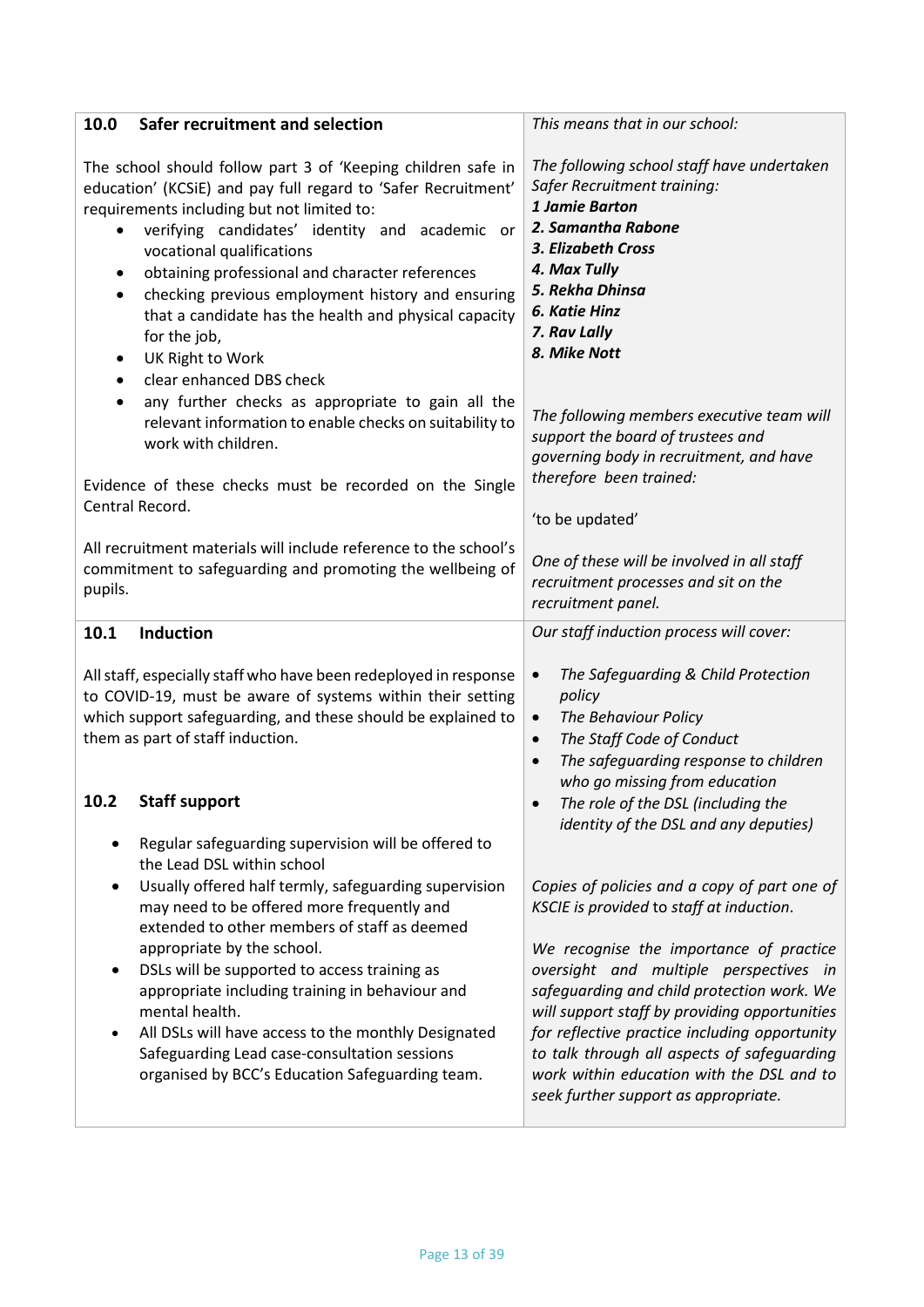| Safer recruitment and selection<br>10.0                                                                                                                                                                                                                                                                                                                                                                                                                                                                                                                                                      | This means that in our school:                                                                                                                                                                                                                                                                                                                                                                                                                                                                             |
|----------------------------------------------------------------------------------------------------------------------------------------------------------------------------------------------------------------------------------------------------------------------------------------------------------------------------------------------------------------------------------------------------------------------------------------------------------------------------------------------------------------------------------------------------------------------------------------------|------------------------------------------------------------------------------------------------------------------------------------------------------------------------------------------------------------------------------------------------------------------------------------------------------------------------------------------------------------------------------------------------------------------------------------------------------------------------------------------------------------|
| The school should follow part 3 of 'Keeping children safe in<br>education' (KCSiE) and pay full regard to 'Safer Recruitment'<br>requirements including but not limited to:<br>verifying candidates' identity and academic or<br>vocational qualifications<br>obtaining professional and character references<br>$\bullet$<br>checking previous employment history and ensuring<br>٠<br>that a candidate has the health and physical capacity<br>for the job,<br>UK Right to Work<br>$\bullet$<br>clear enhanced DBS check<br>٠                                                              | The following school staff have undertaken<br>Safer Recruitment training:<br>1 Jamie Barton<br>2. Samantha Rabone<br>3. Elizabeth Cross<br>4. Max Tully<br>5. Rekha Dhinsa<br>6. Katie Hinz<br>7. Rav Lally<br>8. Mike Nott                                                                                                                                                                                                                                                                                |
| any further checks as appropriate to gain all the<br>$\bullet$<br>relevant information to enable checks on suitability to<br>work with children.<br>Evidence of these checks must be recorded on the Single                                                                                                                                                                                                                                                                                                                                                                                  | The following members executive team will<br>support the board of trustees and<br>governing body in recruitment, and have<br>therefore been trained:                                                                                                                                                                                                                                                                                                                                                       |
| Central Record.                                                                                                                                                                                                                                                                                                                                                                                                                                                                                                                                                                              | 'to be updated'                                                                                                                                                                                                                                                                                                                                                                                                                                                                                            |
| All recruitment materials will include reference to the school's<br>commitment to safeguarding and promoting the wellbeing of<br>pupils.                                                                                                                                                                                                                                                                                                                                                                                                                                                     | One of these will be involved in all staff<br>recruitment processes and sit on the<br>recruitment panel.                                                                                                                                                                                                                                                                                                                                                                                                   |
| <b>Induction</b><br>10.1                                                                                                                                                                                                                                                                                                                                                                                                                                                                                                                                                                     | Our staff induction process will cover:                                                                                                                                                                                                                                                                                                                                                                                                                                                                    |
| All staff, especially staff who have been redeployed in response<br>to COVID-19, must be aware of systems within their setting<br>which support safeguarding, and these should be explained to<br>them as part of staff induction.<br>10.2<br><b>Staff support</b>                                                                                                                                                                                                                                                                                                                           | The Safeguarding & Child Protection<br>$\bullet$<br>policy<br>The Behaviour Policy<br>$\bullet$<br>The Staff Code of Conduct<br>$\bullet$<br>The safeguarding response to children<br>$\bullet$<br>who go missing from education<br>The role of the DSL (including the                                                                                                                                                                                                                                     |
| Regular safeguarding supervision will be offered to<br>the Lead DSL within school<br>Usually offered half termly, safeguarding supervision<br>$\bullet$<br>may need to be offered more frequently and<br>extended to other members of staff as deemed<br>appropriate by the school.<br>DSLs will be supported to access training as<br>$\bullet$<br>appropriate including training in behaviour and<br>mental health.<br>All DSLs will have access to the monthly Designated<br>$\bullet$<br>Safeguarding Lead case-consultation sessions<br>organised by BCC's Education Safeguarding team. | identity of the DSL and any deputies)<br>Copies of policies and a copy of part one of<br>KSCIE is provided to staff at induction.<br>We recognise the importance of practice<br>oversight and multiple perspectives in<br>safeguarding and child protection work. We<br>will support staff by providing opportunities<br>for reflective practice including opportunity<br>to talk through all aspects of safeguarding<br>work within education with the DSL and to<br>seek further support as appropriate. |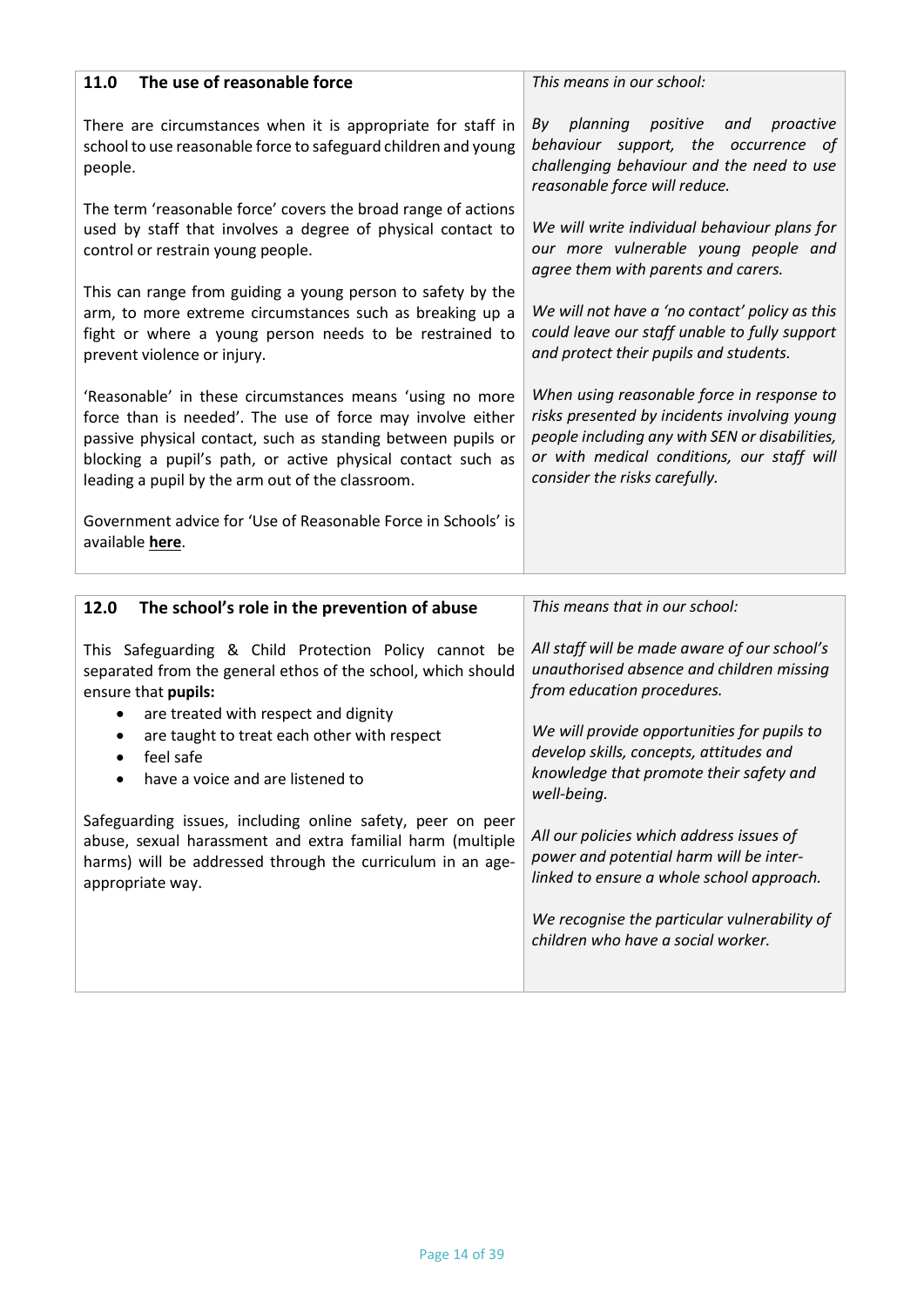| The use of reasonable force<br>11.0                                                                                                                                                                                                                                                                       | This means in our school:                                                                                                                                                                                                   |
|-----------------------------------------------------------------------------------------------------------------------------------------------------------------------------------------------------------------------------------------------------------------------------------------------------------|-----------------------------------------------------------------------------------------------------------------------------------------------------------------------------------------------------------------------------|
| There are circumstances when it is appropriate for staff in<br>school to use reasonable force to safeguard children and young<br>people.                                                                                                                                                                  | positive and<br>planning<br>proactive<br>Bv<br>behaviour support, the occurrence of<br>challenging behaviour and the need to use<br>reasonable force will reduce.                                                           |
| The term 'reasonable force' covers the broad range of actions<br>used by staff that involves a degree of physical contact to<br>control or restrain young people.                                                                                                                                         | We will write individual behaviour plans for<br>our more vulnerable young people and<br>agree them with parents and carers.                                                                                                 |
| This can range from guiding a young person to safety by the<br>arm, to more extreme circumstances such as breaking up a<br>fight or where a young person needs to be restrained to<br>prevent violence or injury.                                                                                         | We will not have a 'no contact' policy as this<br>could leave our staff unable to fully support<br>and protect their pupils and students.                                                                                   |
| 'Reasonable' in these circumstances means 'using no more<br>force than is needed'. The use of force may involve either<br>passive physical contact, such as standing between pupils or<br>blocking a pupil's path, or active physical contact such as<br>leading a pupil by the arm out of the classroom. | When using reasonable force in response to<br>risks presented by incidents involving young<br>people including any with SEN or disabilities,<br>or with medical conditions, our staff will<br>consider the risks carefully. |
| Government advice for 'Use of Reasonable Force in Schools' is<br>available here.                                                                                                                                                                                                                          |                                                                                                                                                                                                                             |

| The school's role in the prevention of abuse<br>12.0                                                                                                                                                                                                                                 | This means that in our school:                                                                                                                                                                                                                                              |
|--------------------------------------------------------------------------------------------------------------------------------------------------------------------------------------------------------------------------------------------------------------------------------------|-----------------------------------------------------------------------------------------------------------------------------------------------------------------------------------------------------------------------------------------------------------------------------|
| This Safeguarding & Child Protection Policy cannot be<br>separated from the general ethos of the school, which should<br>ensure that pupils:<br>are treated with respect and dignity<br>are taught to treat each other with respect<br>feel safe<br>have a voice and are listened to | All staff will be made aware of our school's<br>unauthorised absence and children missing<br>from education procedures.<br>We will provide opportunities for pupils to<br>develop skills, concepts, attitudes and<br>knowledge that promote their safety and<br>well-being. |
| Safeguarding issues, including online safety, peer on peer<br>abuse, sexual harassment and extra familial harm (multiple<br>harms) will be addressed through the curriculum in an age-<br>appropriate way.                                                                           | All our policies which address issues of<br>power and potential harm will be inter-<br>linked to ensure a whole school approach.<br>We recognise the particular vulnerability of<br>children who have a social worker.                                                      |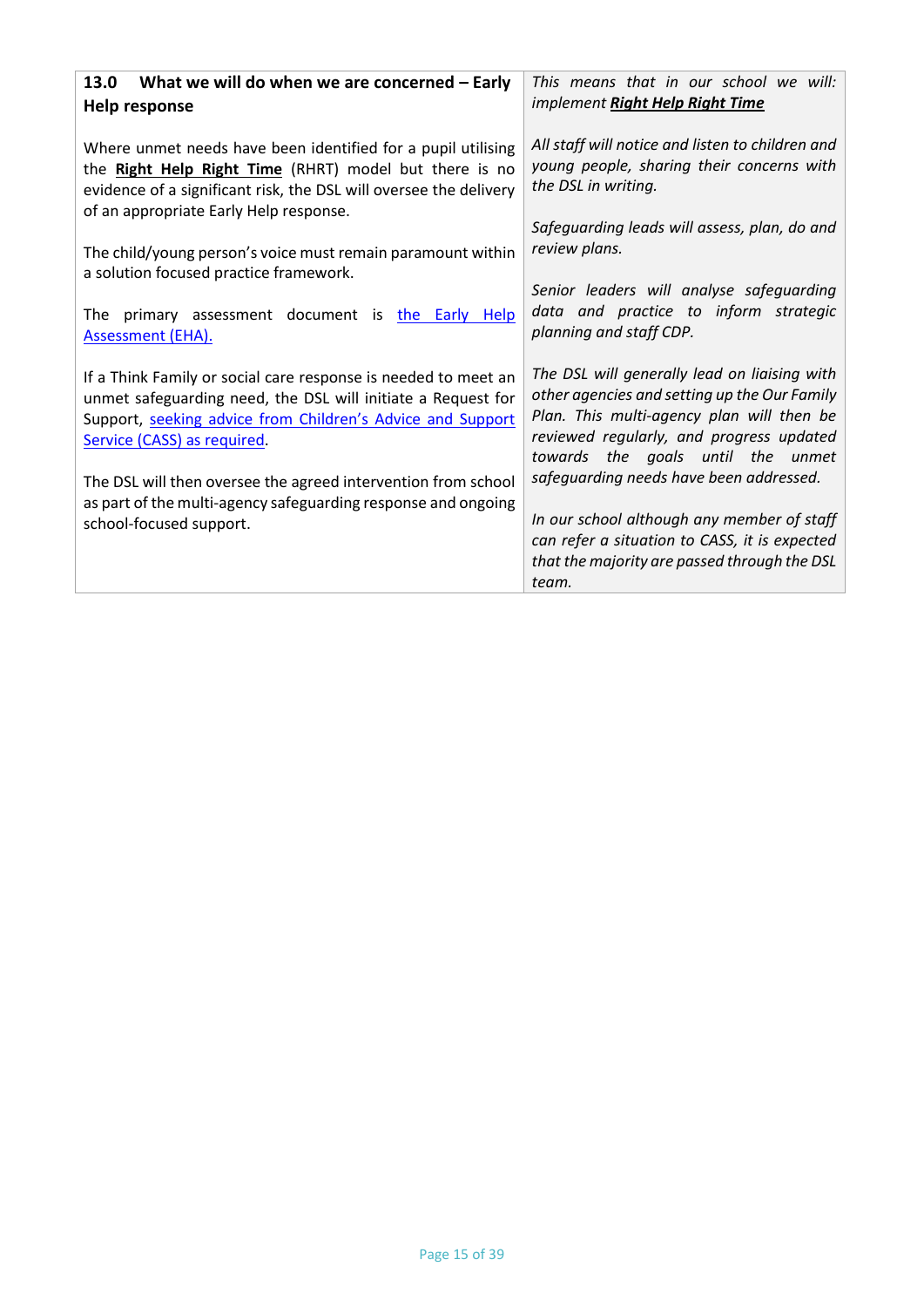| What we will do when we are concerned - Early<br>13.0<br>Help response                                                                                                                                                                | This means that in our school we will:<br>implement Right Help Right Time                                                                                                                                                  |
|---------------------------------------------------------------------------------------------------------------------------------------------------------------------------------------------------------------------------------------|----------------------------------------------------------------------------------------------------------------------------------------------------------------------------------------------------------------------------|
| Where unmet needs have been identified for a pupil utilising<br>the Right Help Right Time (RHRT) model but there is no<br>evidence of a significant risk, the DSL will oversee the delivery<br>of an appropriate Early Help response. | All staff will notice and listen to children and<br>young people, sharing their concerns with<br>the DSL in writing.                                                                                                       |
| The child/young person's voice must remain paramount within<br>a solution focused practice framework.                                                                                                                                 | Safeguarding leads will assess, plan, do and<br>review plans.                                                                                                                                                              |
| The primary assessment document is the Early Help<br><b>Assessment (EHA).</b>                                                                                                                                                         | Senior leaders will analyse safeguarding<br>data and practice to inform strategic<br>planning and staff CDP.                                                                                                               |
| If a Think Family or social care response is needed to meet an<br>unmet safeguarding need, the DSL will initiate a Request for<br>Support, seeking advice from Children's Advice and Support<br>Service (CASS) as required.           | The DSL will generally lead on liaising with<br>other agencies and setting up the Our Family<br>Plan. This multi-agency plan will then be<br>reviewed regularly, and progress updated<br>towards the goals until the unmet |
| The DSL will then oversee the agreed intervention from school<br>as part of the multi-agency safeguarding response and ongoing                                                                                                        | safeguarding needs have been addressed.                                                                                                                                                                                    |
| school-focused support.                                                                                                                                                                                                               | In our school although any member of staff<br>can refer a situation to CASS, it is expected<br>that the majority are passed through the DSL<br>team.                                                                       |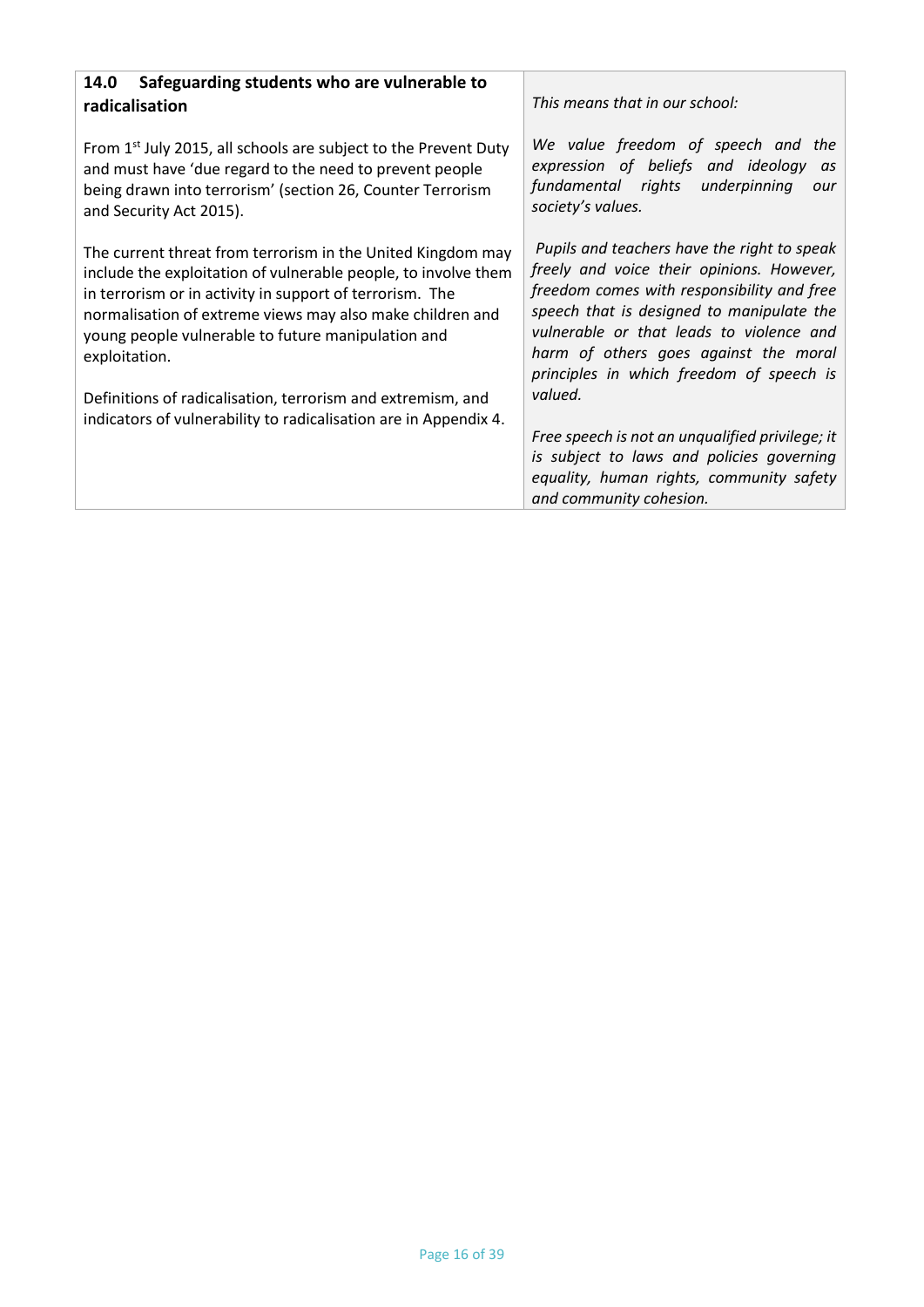| Safeguarding students who are vulnerable to<br>14.0<br>radicalisation                                                                                                                                                                                                                                                                                                                        | This means that in our school:                                                                                                                                                                                                                                                                                                  |  |
|----------------------------------------------------------------------------------------------------------------------------------------------------------------------------------------------------------------------------------------------------------------------------------------------------------------------------------------------------------------------------------------------|---------------------------------------------------------------------------------------------------------------------------------------------------------------------------------------------------------------------------------------------------------------------------------------------------------------------------------|--|
| From $1st$ July 2015, all schools are subject to the Prevent Duty<br>and must have 'due regard to the need to prevent people<br>being drawn into terrorism' (section 26, Counter Terrorism<br>and Security Act 2015).                                                                                                                                                                        | We value freedom of speech and the<br>expression of beliefs and ideology<br>as<br>fundamental rights<br>underpinning<br>our<br>society's values.                                                                                                                                                                                |  |
| The current threat from terrorism in the United Kingdom may<br>include the exploitation of vulnerable people, to involve them<br>in terrorism or in activity in support of terrorism. The<br>normalisation of extreme views may also make children and<br>young people vulnerable to future manipulation and<br>exploitation.<br>Definitions of radicalisation, terrorism and extremism, and | Pupils and teachers have the right to speak<br>freely and voice their opinions. However,<br>freedom comes with responsibility and free<br>speech that is designed to manipulate the<br>vulnerable or that leads to violence and<br>harm of others goes against the moral<br>principles in which freedom of speech is<br>valued. |  |
| indicators of vulnerability to radicalisation are in Appendix 4.                                                                                                                                                                                                                                                                                                                             | Free speech is not an unqualified privilege; it<br>is subject to laws and policies governing<br>equality, human rights, community safety<br>and community cohesion.                                                                                                                                                             |  |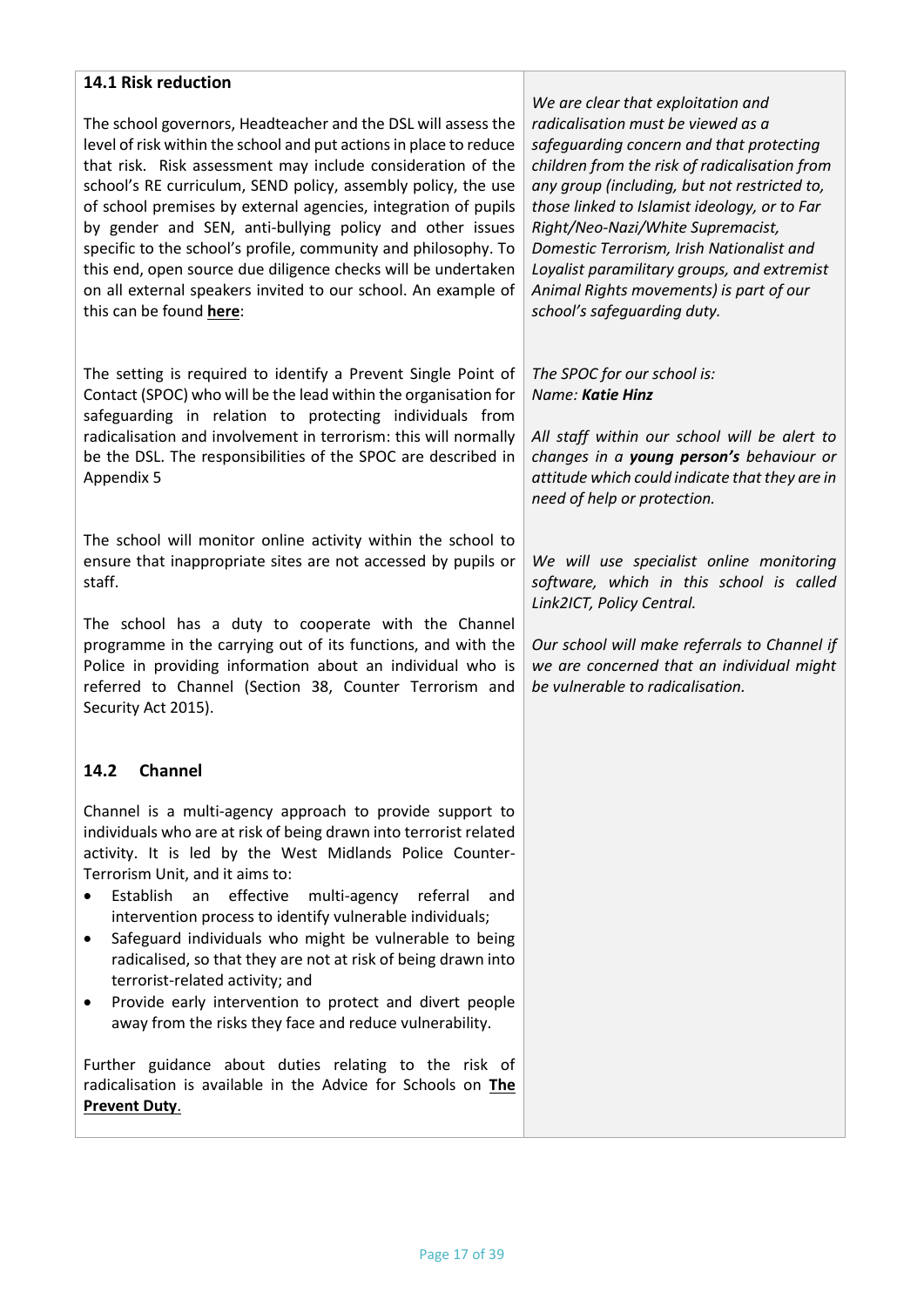## **14.1 Risk reduction**

The school governors, Headteacher and the DSL will assess the level of risk within the school and put actions in place to reduce that risk. Risk assessment may include consideration of the school's RE curriculum, SEND policy, assembly policy, the use of school premises by external agencies, integration of pupils by gender and SEN, anti-bullying policy and other issues specific to the school's profile, community and philosophy. To this end, open source due diligence checks will be undertaken on all external speakers invited to our school. An example of this can be found **[here](https://www.birmingham.gov.uk/downloads/download/773/the_prevent_duty)**:

The setting is required to identify a Prevent Single Point of Contact (SPOC) who will be the lead within the organisation for safeguarding in relation to protecting individuals from radicalisation and involvement in terrorism: this will normally be the DSL. The responsibilities of the SPOC are described in Appendix 5

The school will monitor online activity within the school to ensure that inappropriate sites are not accessed by pupils or staff.

The school has a duty to cooperate with the Channel programme in the carrying out of its functions, and with the Police in providing information about an individual who is referred to Channel (Section 38, Counter Terrorism and Security Act 2015).

## **14.2 Channel**

Channel is a multi-agency approach to provide support to individuals who are at risk of being drawn into terrorist related activity. It is led by the West Midlands Police Counter-Terrorism Unit, and it aims to:

- Establish an effective multi-agency referral and intervention process to identify vulnerable individuals;
- Safeguard individuals who might be vulnerable to being radicalised, so that they are not at risk of being drawn into terrorist-related activity; and
- Provide early intervention to protect and divert people away from the risks they face and reduce vulnerability.

Further guidance about duties relating to the risk of radicalisation is available in the Advice for Schools on **[The](https://www.gov.uk/government/publications/protecting-children-from-radicalisation-the-prevent-duty)  [Prevent Duty](https://www.gov.uk/government/publications/protecting-children-from-radicalisation-the-prevent-duty)**.

*We are clear that exploitation and radicalisation must be viewed as a safeguarding concern and that protecting children from the risk of radicalisation from any group (including, but not restricted to, those linked to Islamist ideology, or to Far Right/Neo-Nazi/White Supremacist, Domestic Terrorism, Irish Nationalist and Loyalist paramilitary groups, and extremist Animal Rights movements) is part of our school's safeguarding duty.*

#### *The SPOC for our school is: Name: Katie Hinz*

*All staff within our school will be alert to changes in a young person's behaviour or attitude which could indicate that they are in need of help or protection.*

*We will use specialist online monitoring software, which in this school is called Link2ICT, Policy Central.*

*Our school will make referrals to Channel if we are concerned that an individual might be vulnerable to radicalisation.*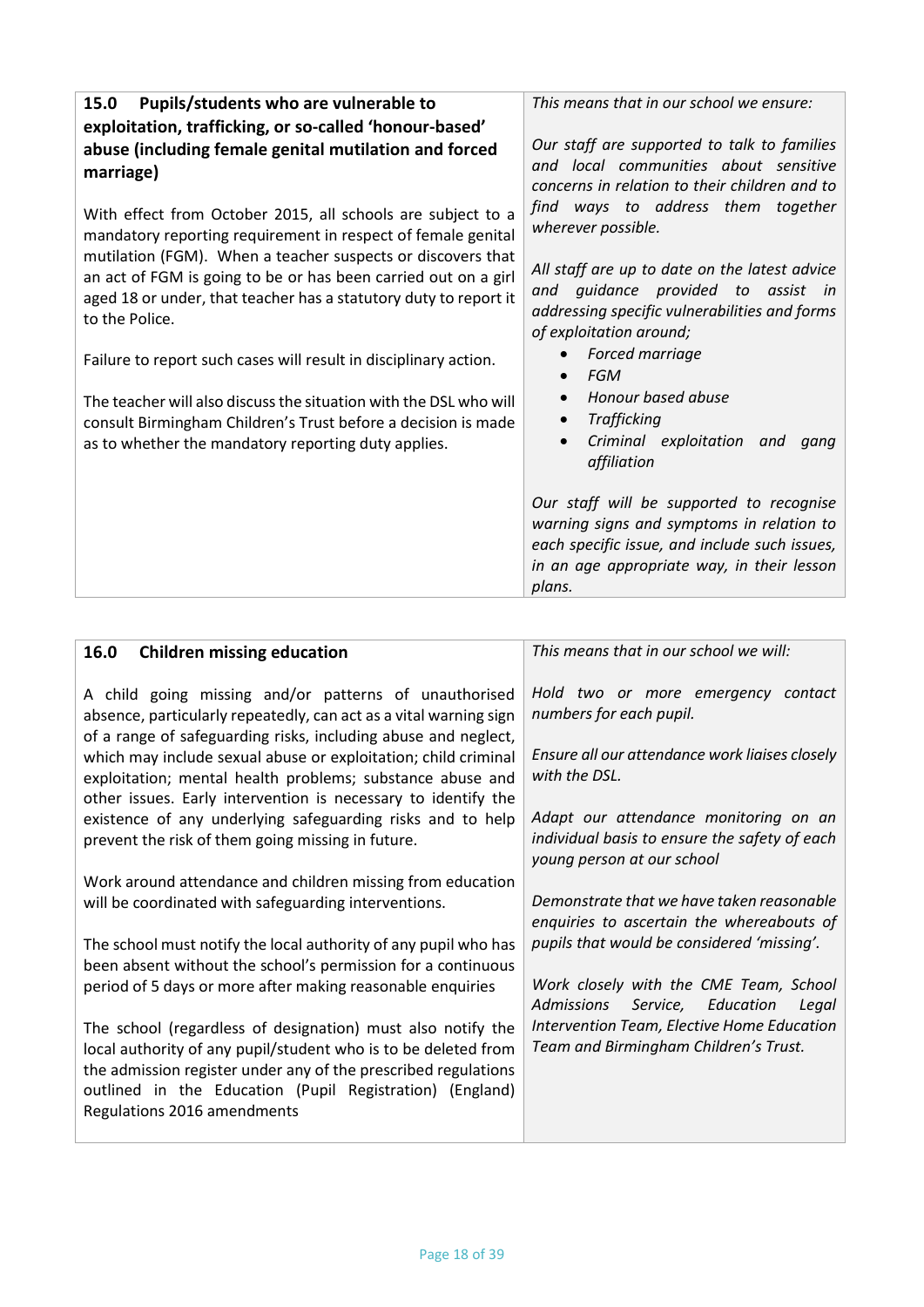| Pupils/students who are vulnerable to<br>15.0<br>exploitation, trafficking, or so-called 'honour-based'                                                                                                             | This means that in our school we ensure:                                                                                                                                                       |
|---------------------------------------------------------------------------------------------------------------------------------------------------------------------------------------------------------------------|------------------------------------------------------------------------------------------------------------------------------------------------------------------------------------------------|
| abuse (including female genital mutilation and forced<br>marriage)                                                                                                                                                  | Our staff are supported to talk to families<br>and local communities about sensitive<br>concerns in relation to their children and to                                                          |
| With effect from October 2015, all schools are subject to a<br>mandatory reporting requirement in respect of female genital                                                                                         | find ways to address them together<br>wherever possible.                                                                                                                                       |
| mutilation (FGM). When a teacher suspects or discovers that<br>an act of FGM is going to be or has been carried out on a girl<br>aged 18 or under, that teacher has a statutory duty to report it<br>to the Police. | All staff are up to date on the latest advice<br>guidance provided to assist in<br>and<br>addressing specific vulnerabilities and forms<br>of exploitation around;                             |
| Failure to report such cases will result in disciplinary action.                                                                                                                                                    | Forced marriage<br><b>FGM</b><br>$\bullet$                                                                                                                                                     |
| The teacher will also discuss the situation with the DSL who will<br>consult Birmingham Children's Trust before a decision is made<br>as to whether the mandatory reporting duty applies.                           | Honour based abuse<br><b>Trafficking</b><br>Criminal exploitation and<br>gang<br>affiliation                                                                                                   |
|                                                                                                                                                                                                                     | Our staff will be supported to recognise<br>warning signs and symptoms in relation to<br>each specific issue, and include such issues,<br>in an age appropriate way, in their lesson<br>plans. |

I

| 16.0<br><b>Children missing education</b>                                                                                                                                                                                                                                                  | This means that in our school we will:                                                                               |
|--------------------------------------------------------------------------------------------------------------------------------------------------------------------------------------------------------------------------------------------------------------------------------------------|----------------------------------------------------------------------------------------------------------------------|
| A child going missing and/or patterns of unauthorised<br>absence, particularly repeatedly, can act as a vital warning sign<br>of a range of safeguarding risks, including abuse and neglect,                                                                                               | Hold two or more emergency contact<br>numbers for each pupil.                                                        |
| which may include sexual abuse or exploitation; child criminal<br>exploitation; mental health problems; substance abuse and<br>other issues. Early intervention is necessary to identify the                                                                                               | Ensure all our attendance work liaises closely<br>with the DSL.                                                      |
| existence of any underlying safeguarding risks and to help<br>prevent the risk of them going missing in future.                                                                                                                                                                            | Adapt our attendance monitoring on an<br>individual basis to ensure the safety of each<br>young person at our school |
| Work around attendance and children missing from education<br>will be coordinated with safeguarding interventions.                                                                                                                                                                         | Demonstrate that we have taken reasonable<br>enquiries to ascertain the whereabouts of                               |
| The school must notify the local authority of any pupil who has<br>been absent without the school's permission for a continuous                                                                                                                                                            | pupils that would be considered 'missing'.                                                                           |
| period of 5 days or more after making reasonable enquiries                                                                                                                                                                                                                                 | Work closely with the CME Team, School<br><b>Admissions</b><br>Service, Education<br>Legal                           |
| The school (regardless of designation) must also notify the<br>local authority of any pupil/student who is to be deleted from<br>the admission register under any of the prescribed regulations<br>outlined in the Education (Pupil Registration) (England)<br>Regulations 2016 amendments | Intervention Team, Elective Home Education<br>Team and Birmingham Children's Trust.                                  |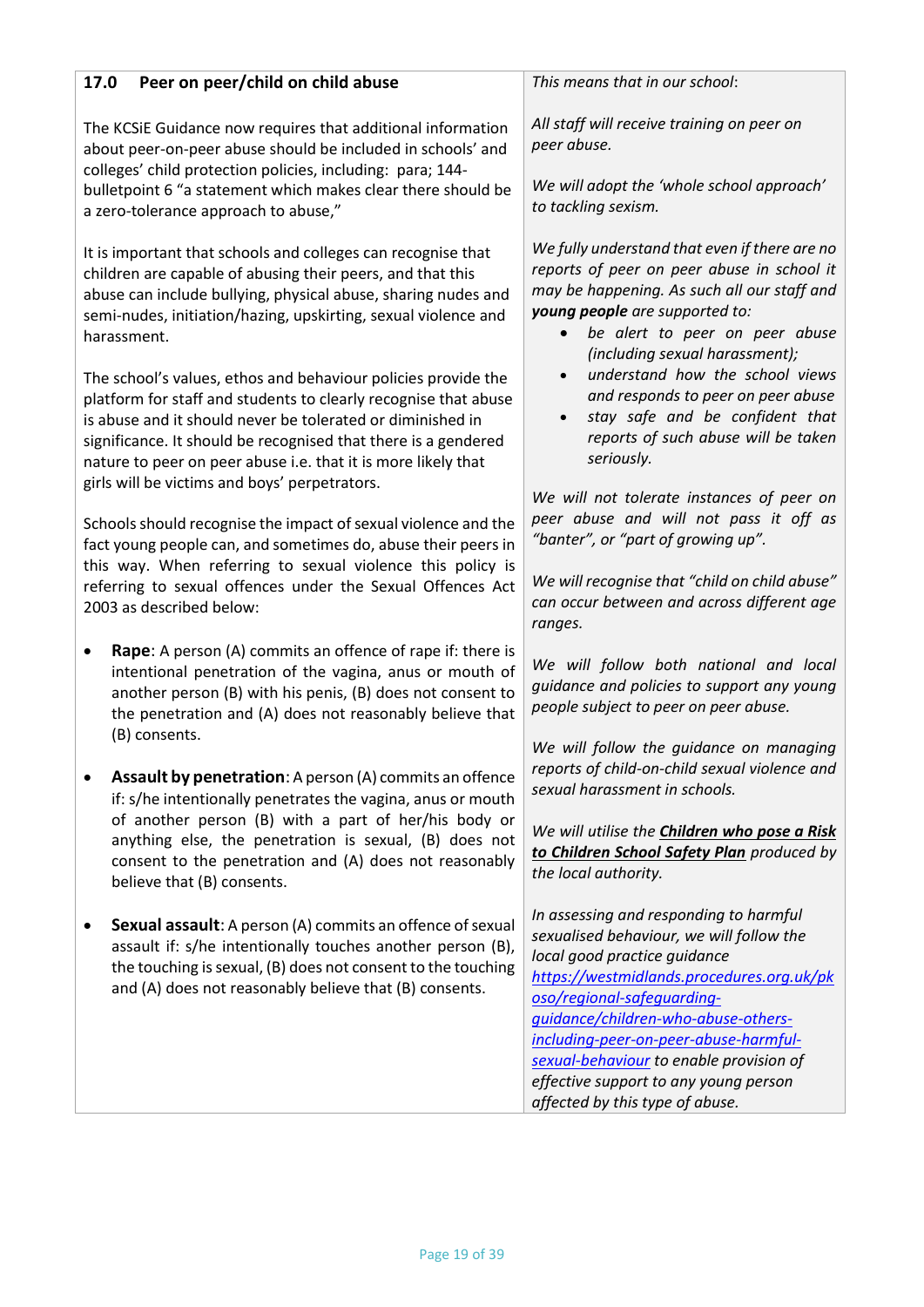| Peer on peer/child on child abuse<br>17.0                                                                                                                                                                                                                                                                                                                                          | This means that in our school:                                                                                                                                                                                                                                                                                                                                    |  |
|------------------------------------------------------------------------------------------------------------------------------------------------------------------------------------------------------------------------------------------------------------------------------------------------------------------------------------------------------------------------------------|-------------------------------------------------------------------------------------------------------------------------------------------------------------------------------------------------------------------------------------------------------------------------------------------------------------------------------------------------------------------|--|
| The KCSIE Guidance now requires that additional information<br>about peer-on-peer abuse should be included in schools' and<br>colleges' child protection policies, including: para; 144-<br>bulletpoint 6 "a statement which makes clear there should be<br>a zero-tolerance approach to abuse,"                                                                                   | All staff will receive training on peer on<br>peer abuse.<br>We will adopt the 'whole school approach'<br>to tackling sexism.                                                                                                                                                                                                                                     |  |
| It is important that schools and colleges can recognise that<br>children are capable of abusing their peers, and that this<br>abuse can include bullying, physical abuse, sharing nudes and<br>semi-nudes, initiation/hazing, upskirting, sexual violence and<br>harassment.                                                                                                       | We fully understand that even if there are no<br>reports of peer on peer abuse in school it<br>may be happening. As such all our staff and<br>young people are supported to:<br>be alert to peer on peer abuse<br>$\bullet$<br>(including sexual harassment);                                                                                                     |  |
| The school's values, ethos and behaviour policies provide the<br>platform for staff and students to clearly recognise that abuse<br>is abuse and it should never be tolerated or diminished in<br>significance. It should be recognised that there is a gendered<br>nature to peer on peer abuse i.e. that it is more likely that<br>girls will be victims and boys' perpetrators. | understand how the school views<br>and responds to peer on peer abuse<br>stay safe and be confident that<br>$\bullet$<br>reports of such abuse will be taken<br>seriously.                                                                                                                                                                                        |  |
| Schools should recognise the impact of sexual violence and the<br>fact young people can, and sometimes do, abuse their peers in<br>this way. When referring to sexual violence this policy is<br>referring to sexual offences under the Sexual Offences Act<br>2003 as described below:                                                                                            | We will not tolerate instances of peer on<br>peer abuse and will not pass it off as<br>"banter", or "part of growing up".<br>We will recognise that "child on child abuse"<br>can occur between and across different age                                                                                                                                          |  |
| Rape: A person (A) commits an offence of rape if: there is<br>٠<br>intentional penetration of the vagina, anus or mouth of<br>another person (B) with his penis, (B) does not consent to<br>the penetration and (A) does not reasonably believe that<br>(B) consents.                                                                                                              | ranges.<br>We will follow both national and local<br>guidance and policies to support any young<br>people subject to peer on peer abuse.                                                                                                                                                                                                                          |  |
| Assault by penetration: A person (A) commits an offence<br>if: s/he intentionally penetrates the vagina, anus or mouth                                                                                                                                                                                                                                                             | We will follow the guidance on managing<br>reports of child-on-child sexual violence and<br>sexual harassment in schools.                                                                                                                                                                                                                                         |  |
| of another person (B) with a part of her/his body or<br>anything else, the penetration is sexual, (B) does not<br>consent to the penetration and (A) does not reasonably<br>believe that (B) consents.                                                                                                                                                                             | We will utilise the <b>Children who pose a Risk</b><br>to Children School Safety Plan produced by<br>the local authority.                                                                                                                                                                                                                                         |  |
| Sexual assault: A person (A) commits an offence of sexual<br>assault if: s/he intentionally touches another person (B),<br>the touching is sexual, (B) does not consent to the touching<br>and (A) does not reasonably believe that (B) consents.                                                                                                                                  | In assessing and responding to harmful<br>sexualised behaviour, we will follow the<br>local good practice guidance<br>https://westmidlands.procedures.org.uk/pk<br>oso/regional-safeguarding-<br>guidance/children-who-abuse-others-<br>including-peer-on-peer-abuse-harmful-<br>sexual-behaviour to enable provision of<br>effective support to any young person |  |
|                                                                                                                                                                                                                                                                                                                                                                                    | affected by this type of abuse.                                                                                                                                                                                                                                                                                                                                   |  |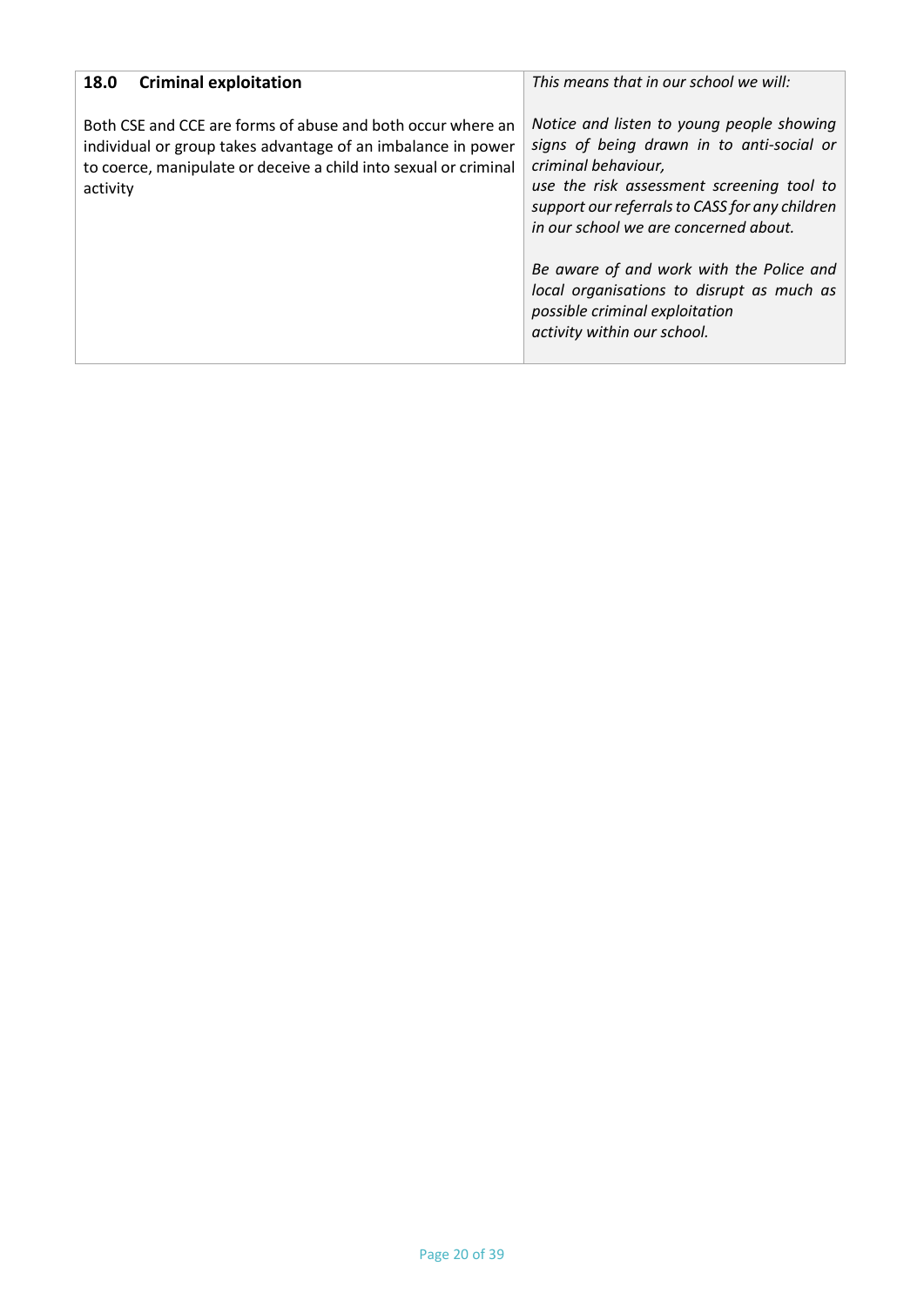| <b>Criminal exploitation</b><br>18.0                                                                                                                                                                        | This means that in our school we will:                                                                                                                                                                                                                                                                                                                                                                          |
|-------------------------------------------------------------------------------------------------------------------------------------------------------------------------------------------------------------|-----------------------------------------------------------------------------------------------------------------------------------------------------------------------------------------------------------------------------------------------------------------------------------------------------------------------------------------------------------------------------------------------------------------|
| Both CSE and CCE are forms of abuse and both occur where an<br>individual or group takes advantage of an imbalance in power<br>to coerce, manipulate or deceive a child into sexual or criminal<br>activity | Notice and listen to young people showing<br>signs of being drawn in to anti-social or<br>criminal behaviour,<br>use the risk assessment screening tool to<br>support our referrals to CASS for any children<br>in our school we are concerned about.<br>Be aware of and work with the Police and<br>local organisations to disrupt as much as<br>possible criminal exploitation<br>activity within our school. |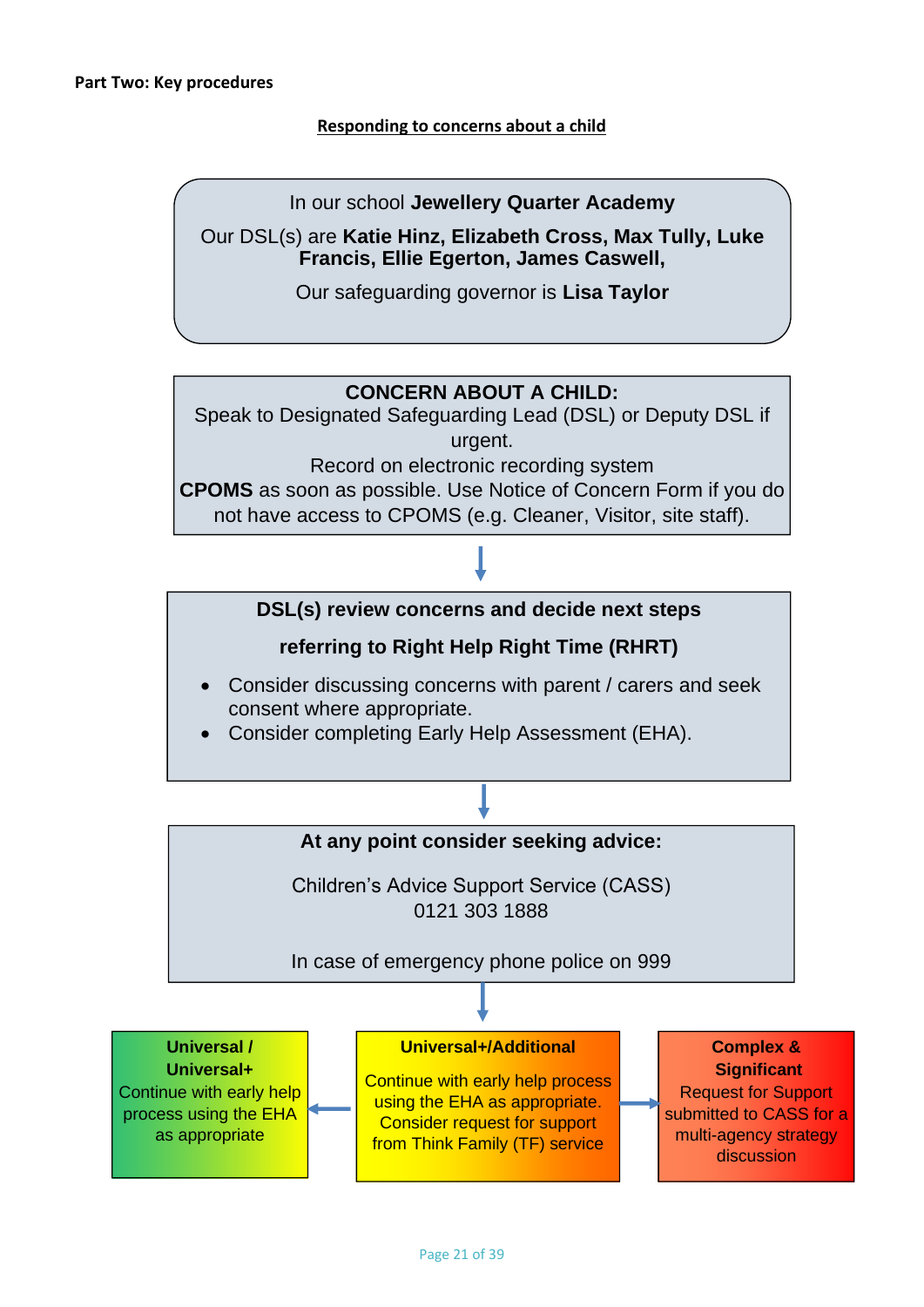## **Responding to concerns about a child**

In our school **Jewellery Quarter Academy**

Our DSL(s) are **Katie Hinz, Elizabeth Cross, Max Tully, Luke Francis, Ellie Egerton, James Caswell,** 

Our safeguarding governor is **Lisa Taylor**

# **CONCERN ABOUT A CHILD:**

Speak to Designated Safeguarding Lead (DSL) or Deputy DSL if urgent.

Record on electronic recording system

**CPOMS** as soon as possible. Use Notice of Concern Form if you do not have access to CPOMS (e.g. Cleaner, Visitor, site staff).

# **DSL(s) review concerns and decide next steps**

# **referring to Right Help Right Time (RHRT)**

- Consider discussing concerns with parent / carers and seek consent where appropriate.
- Consider completing Early Help Assessment (EHA).

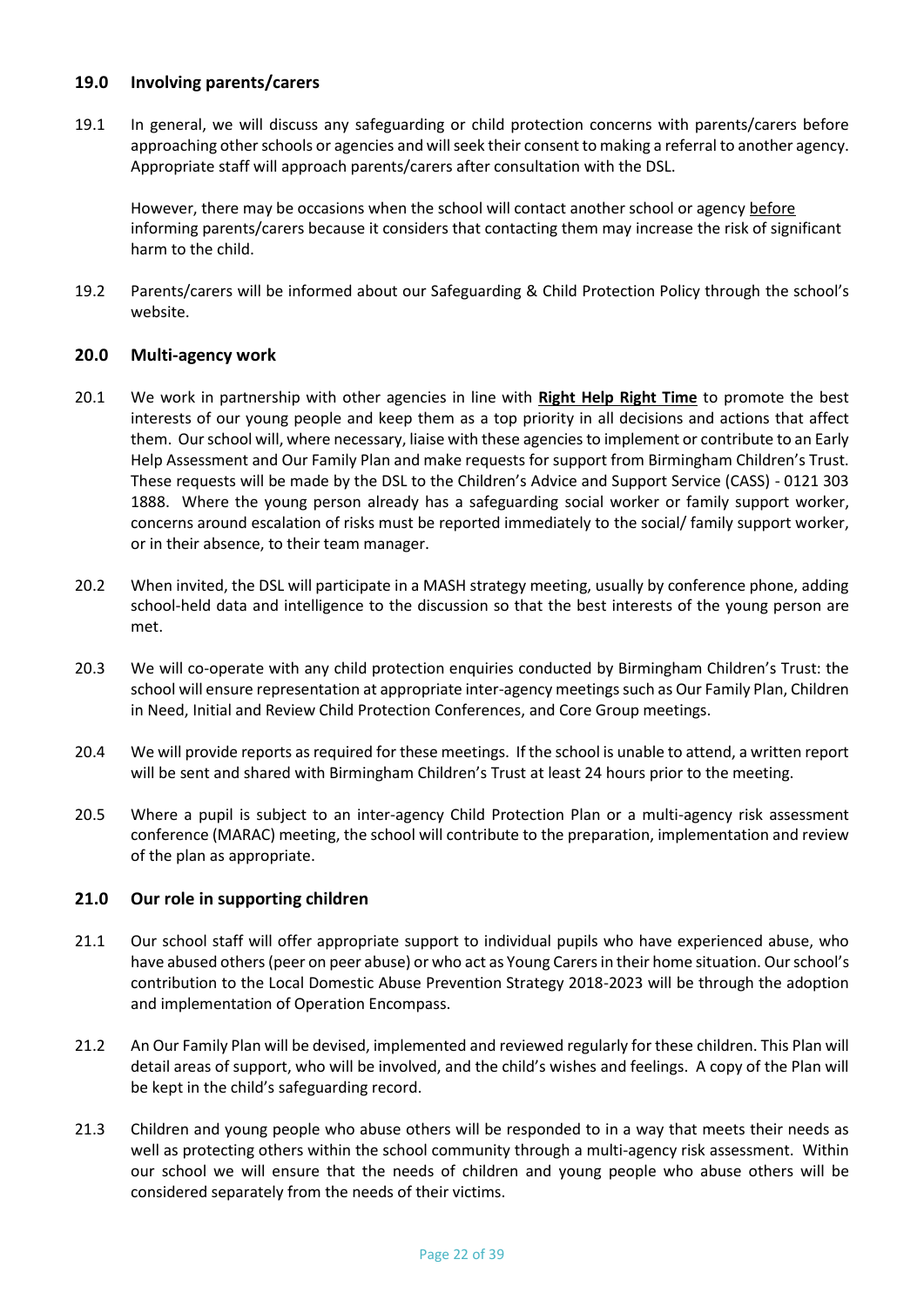#### **19.0 Involving parents/carers**

19.1 In general, we will discuss any safeguarding or child protection concerns with parents/carers before approaching other schools or agencies and will seek their consent to making a referral to another agency. Appropriate staff will approach parents/carers after consultation with the DSL.

However, there may be occasions when the school will contact another school or agency before informing parents/carers because it considers that contacting them may increase the risk of significant harm to the child.

19.2 Parents/carers will be informed about our Safeguarding & Child Protection Policy through the school's website.

#### **20.0 Multi-agency work**

- 20.1 We work in partnership with other agencies in line with **[Right Help Right Time](http://www.lscpbirmingham.org.uk/index.php/delivering-effective-support)** to promote the best interests of our young people and keep them as a top priority in all decisions and actions that affect them. Our school will, where necessary, liaise with these agencies to implement or contribute to an Early Help Assessment and Our Family Plan and make requests for support from Birmingham Children's Trust. These requests will be made by the DSL to the Children's Advice and Support Service (CASS) - 0121 303 1888. Where the young person already has a safeguarding social worker or family support worker, concerns around escalation of risks must be reported immediately to the social/ family support worker, or in their absence, to their team manager.
- 20.2 When invited, the DSL will participate in a MASH strategy meeting, usually by conference phone, adding school-held data and intelligence to the discussion so that the best interests of the young person are met.
- 20.3 We will co-operate with any child protection enquiries conducted by Birmingham Children's Trust: the school will ensure representation at appropriate inter-agency meetings such as Our Family Plan, Children in Need, Initial and Review Child Protection Conferences, and Core Group meetings.
- 20.4 We will provide reports as required for these meetings. If the school is unable to attend, a written report will be sent and shared with Birmingham Children's Trust at least 24 hours prior to the meeting.
- 20.5 Where a pupil is subject to an inter-agency Child Protection Plan or a multi-agency risk assessment conference (MARAC) meeting, the school will contribute to the preparation, implementation and review of the plan as appropriate.

#### **21.0 Our role in supporting children**

- 21.1 Our school staff will offer appropriate support to individual pupils who have experienced abuse, who have abused others (peer on peer abuse) or who act as Young Carers in their home situation. Our school's contribution to the Local Domestic Abuse Prevention Strategy 2018-2023 will be through the adoption and implementation of Operation Encompass.
- 21.2 An Our Family Plan will be devised, implemented and reviewed regularly for these children. This Plan will detail areas of support, who will be involved, and the child's wishes and feelings. A copy of the Plan will be kept in the child's safeguarding record.
- 21.3 Children and young people who abuse others will be responded to in a way that meets their needs as well as protecting others within the school community through a multi-agency risk assessment. Within our school we will ensure that the needs of children and young people who abuse others will be considered separately from the needs of their victims.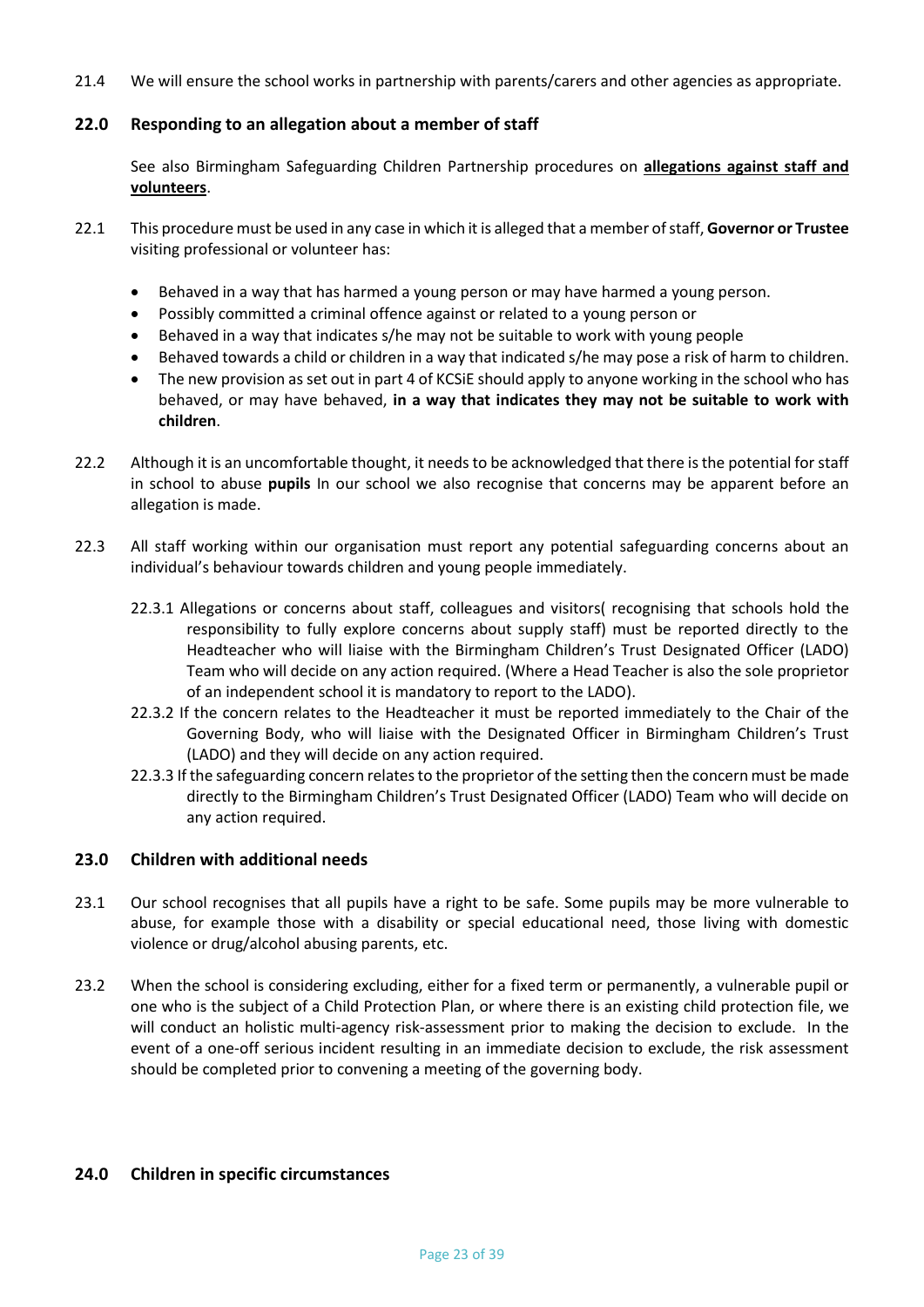21.4 We will ensure the school works in partnership with parents/carers and other agencies as appropriate.

## **22.0 Responding to an allegation about a member of staff**

See also Birmingham Safeguarding Children Partnership procedures on **[allegations against staff and](http://westmidlands.procedures.org.uk/ykpzy/statutory-child-protection-procedures/allegations-against-staff-or-volunteers)  [volunteers](http://westmidlands.procedures.org.uk/ykpzy/statutory-child-protection-procedures/allegations-against-staff-or-volunteers)**.

- 22.1 This procedure must be used in any case in which it is alleged that a member of staff, **Governor or Trustee** visiting professional or volunteer has:
	- Behaved in a way that has harmed a young person or may have harmed a young person.
	- Possibly committed a criminal offence against or related to a young person or
	- Behaved in a way that indicates s/he may not be suitable to work with young people
	- Behaved towards a child or children in a way that indicated s/he may pose a risk of harm to children.
	- The new provision as set out in part 4 of KCSiE should apply to anyone working in the school who has behaved, or may have behaved, **in a way that indicates they may not be suitable to work with children**.
- 22.2 Although it is an uncomfortable thought, it needs to be acknowledged that there is the potential for staff in school to abuse **pupils** In our school we also recognise that concerns may be apparent before an allegation is made.
- 22.3 All staff working within our organisation must report any potential safeguarding concerns about an individual's behaviour towards children and young people immediately.
	- 22.3.1 Allegations or concerns about staff, colleagues and visitors( recognising that schools hold the responsibility to fully explore concerns about supply staff) must be reported directly to the Headteacher who will liaise with the Birmingham Children's Trust Designated Officer (LADO) Team who will decide on any action required. (Where a Head Teacher is also the sole proprietor of an independent school it is mandatory to report to the LADO).
	- 22.3.2 If the concern relates to the Headteacher it must be reported immediately to the Chair of the Governing Body, who will liaise with the Designated Officer in Birmingham Children's Trust (LADO) and they will decide on any action required.
	- 22.3.3 If the safeguarding concern relates to the proprietor of the setting then the concern must be made directly to the Birmingham Children's Trust Designated Officer (LADO) Team who will decide on any action required.

#### **23.0 Children with additional needs**

- 23.1 Our school recognises that all pupils have a right to be safe. Some pupils may be more vulnerable to abuse, for example those with a disability or special educational need, those living with domestic violence or drug/alcohol abusing parents, etc.
- 23.2 When the school is considering excluding, either for a fixed term or permanently, a vulnerable pupil or one who is the subject of a Child Protection Plan, or where there is an existing child protection file, we will conduct an holistic multi-agency risk-assessment prior to making the decision to exclude. In the event of a one-off serious incident resulting in an immediate decision to exclude, the risk assessment should be completed prior to convening a meeting of the governing body.

#### **24.0 Children in specific circumstances**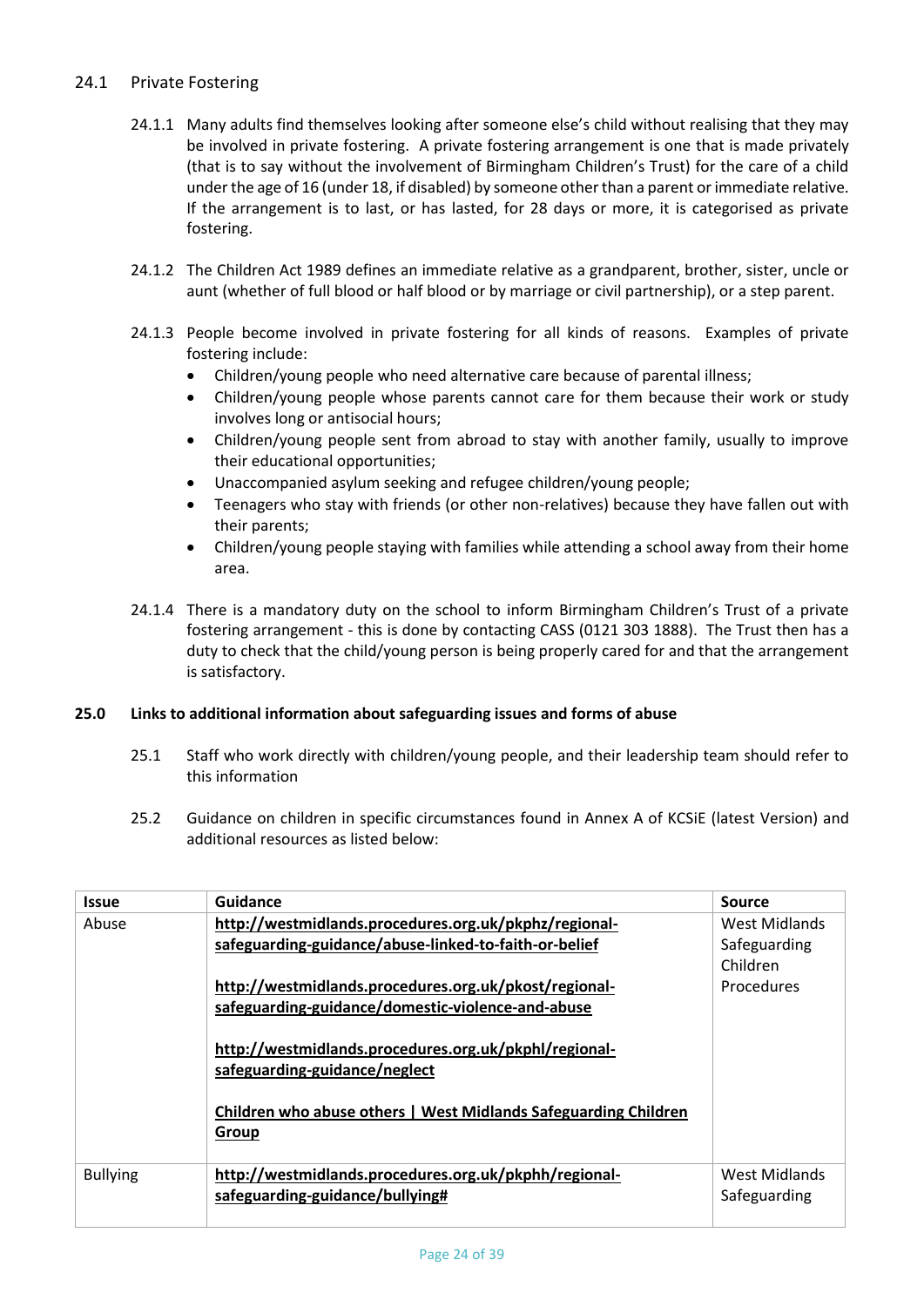## 24.1 Private Fostering

- 24.1.1 Many adults find themselves looking after someone else's child without realising that they may be involved in private fostering. A private fostering arrangement is one that is made privately (that is to say without the involvement of Birmingham Children's Trust) for the care of a child under the age of 16 (under 18, if disabled) by someone other than a parent or immediate relative. If the arrangement is to last, or has lasted, for 28 days or more, it is categorised as private fostering.
- 24.1.2 The Children Act 1989 defines an immediate relative as a grandparent, brother, sister, uncle or aunt (whether of full blood or half blood or by marriage or civil partnership), or a step parent.
- 24.1.3 People become involved in private fostering for all kinds of reasons. Examples of private fostering include:
	- Children/young people who need alternative care because of parental illness;
	- Children/young people whose parents cannot care for them because their work or study involves long or antisocial hours;
	- Children/young people sent from abroad to stay with another family, usually to improve their educational opportunities;
	- Unaccompanied asylum seeking and refugee children/young people;
	- Teenagers who stay with friends (or other non-relatives) because they have fallen out with their parents;
	- Children/young people staying with families while attending a school away from their home area.
- 24.1.4 There is a mandatory duty on the school to inform Birmingham Children's Trust of a private fostering arrangement - this is done by contacting CASS (0121 303 1888). The Trust then has a duty to check that the child/young person is being properly cared for and that the arrangement is satisfactory.

## **25.0 Links to additional information about safeguarding issues and forms of abuse**

- 25.1 Staff who work directly with children/young people, and their leadership team should refer to this information
- 25.2 Guidance on children in specific circumstances found in Annex A of KCSiE (latest Version) and additional resources as listed below:

| <b>Issue</b>    | Guidance                                                                                                                                                           | <b>Source</b>                 |
|-----------------|--------------------------------------------------------------------------------------------------------------------------------------------------------------------|-------------------------------|
| Abuse           | http://westmidlands.procedures.org.uk/pkphz/regional-                                                                                                              | West Midlands                 |
|                 | safeguarding-guidance/abuse-linked-to-faith-or-belief                                                                                                              | Safeguarding                  |
|                 |                                                                                                                                                                    | Children                      |
|                 | http://westmidlands.procedures.org.uk/pkost/regional-                                                                                                              | <b>Procedures</b>             |
|                 | safeguarding-guidance/domestic-violence-and-abuse                                                                                                                  |                               |
|                 | http://westmidlands.procedures.org.uk/pkphl/regional-<br>safeguarding-guidance/neglect<br>Children who abuse others   West Midlands Safeguarding Children<br>Group |                               |
| <b>Bullying</b> | http://westmidlands.procedures.org.uk/pkphh/regional-<br>safeguarding-guidance/bullying#                                                                           | West Midlands<br>Safeguarding |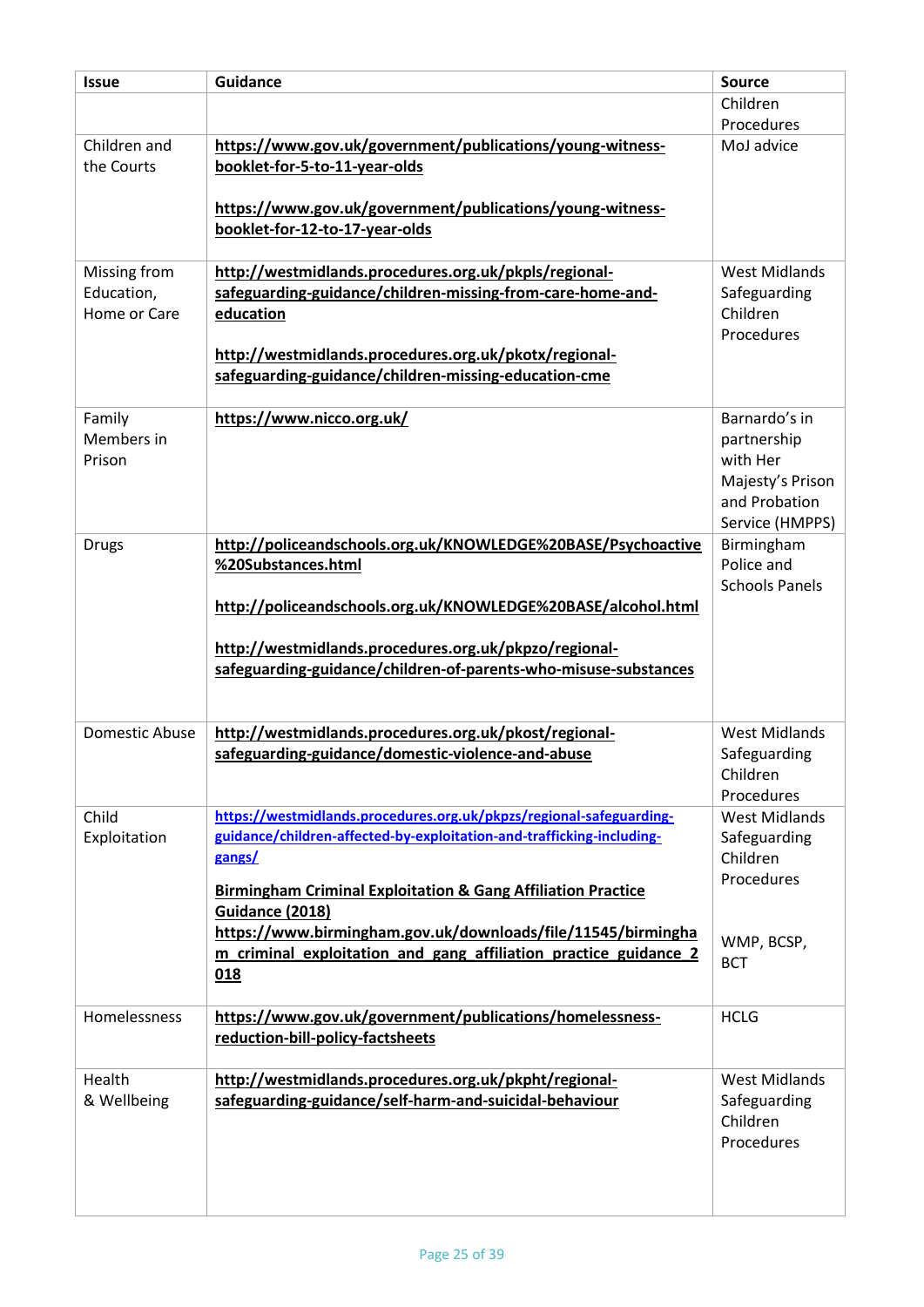| <b>Issue</b>                               | <b>Guidance</b>                                                                                                                                                                                                                                   | <b>Source</b>                                                                                    |
|--------------------------------------------|---------------------------------------------------------------------------------------------------------------------------------------------------------------------------------------------------------------------------------------------------|--------------------------------------------------------------------------------------------------|
|                                            |                                                                                                                                                                                                                                                   | Children                                                                                         |
|                                            |                                                                                                                                                                                                                                                   | Procedures                                                                                       |
| Children and<br>the Courts                 | https://www.gov.uk/government/publications/young-witness-<br>booklet-for-5-to-11-year-olds                                                                                                                                                        | MoJ advice                                                                                       |
|                                            | https://www.gov.uk/government/publications/young-witness-<br>booklet-for-12-to-17-year-olds                                                                                                                                                       |                                                                                                  |
| Missing from<br>Education,<br>Home or Care | http://westmidlands.procedures.org.uk/pkpls/regional-<br>safeguarding-guidance/children-missing-from-care-home-and-<br>education<br>http://westmidlands.procedures.org.uk/pkotx/regional-<br>safeguarding-guidance/children-missing-education-cme | <b>West Midlands</b><br>Safeguarding<br>Children<br>Procedures                                   |
| Family<br>Members in<br>Prison             | https://www.nicco.org.uk/                                                                                                                                                                                                                         | Barnardo's in<br>partnership<br>with Her<br>Majesty's Prison<br>and Probation<br>Service (HMPPS) |
| <b>Drugs</b>                               | http://policeandschools.org.uk/KNOWLEDGE%20BASE/Psychoactive<br>%20Substances.html<br>http://policeandschools.org.uk/KNOWLEDGE%20BASE/alcohol.html                                                                                                | Birmingham<br>Police and<br><b>Schools Panels</b>                                                |
|                                            | http://westmidlands.procedures.org.uk/pkpzo/regional-<br>safeguarding-guidance/children-of-parents-who-misuse-substances                                                                                                                          |                                                                                                  |
| <b>Domestic Abuse</b>                      | http://westmidlands.procedures.org.uk/pkost/regional-                                                                                                                                                                                             | <b>West Midlands</b>                                                                             |
|                                            | safeguarding-guidance/domestic-violence-and-abuse                                                                                                                                                                                                 | Safeguarding<br>Children<br>Procedures                                                           |
| Child                                      | https://westmidlands.procedures.org.uk/pkpzs/regional-safeguarding-                                                                                                                                                                               | <b>West Midlands</b>                                                                             |
| Exploitation                               | guidance/children-affected-by-exploitation-and-trafficking-including-<br>gangs/                                                                                                                                                                   | Safeguarding<br>Children<br>Procedures                                                           |
|                                            | <b>Birmingham Criminal Exploitation &amp; Gang Affiliation Practice</b><br>Guidance (2018)<br>https://www.birmingham.gov.uk/downloads/file/11545/birmingha                                                                                        | WMP, BCSP,                                                                                       |
|                                            | m criminal exploitation and gang affiliation practice guidance 2<br>018                                                                                                                                                                           | <b>BCT</b>                                                                                       |
| Homelessness                               | https://www.gov.uk/government/publications/homelessness-<br>reduction-bill-policy-factsheets                                                                                                                                                      | <b>HCLG</b>                                                                                      |
| Health<br>& Wellbeing                      | http://westmidlands.procedures.org.uk/pkpht/regional-<br>safeguarding-guidance/self-harm-and-suicidal-behaviour                                                                                                                                   | <b>West Midlands</b><br>Safeguarding<br>Children<br>Procedures                                   |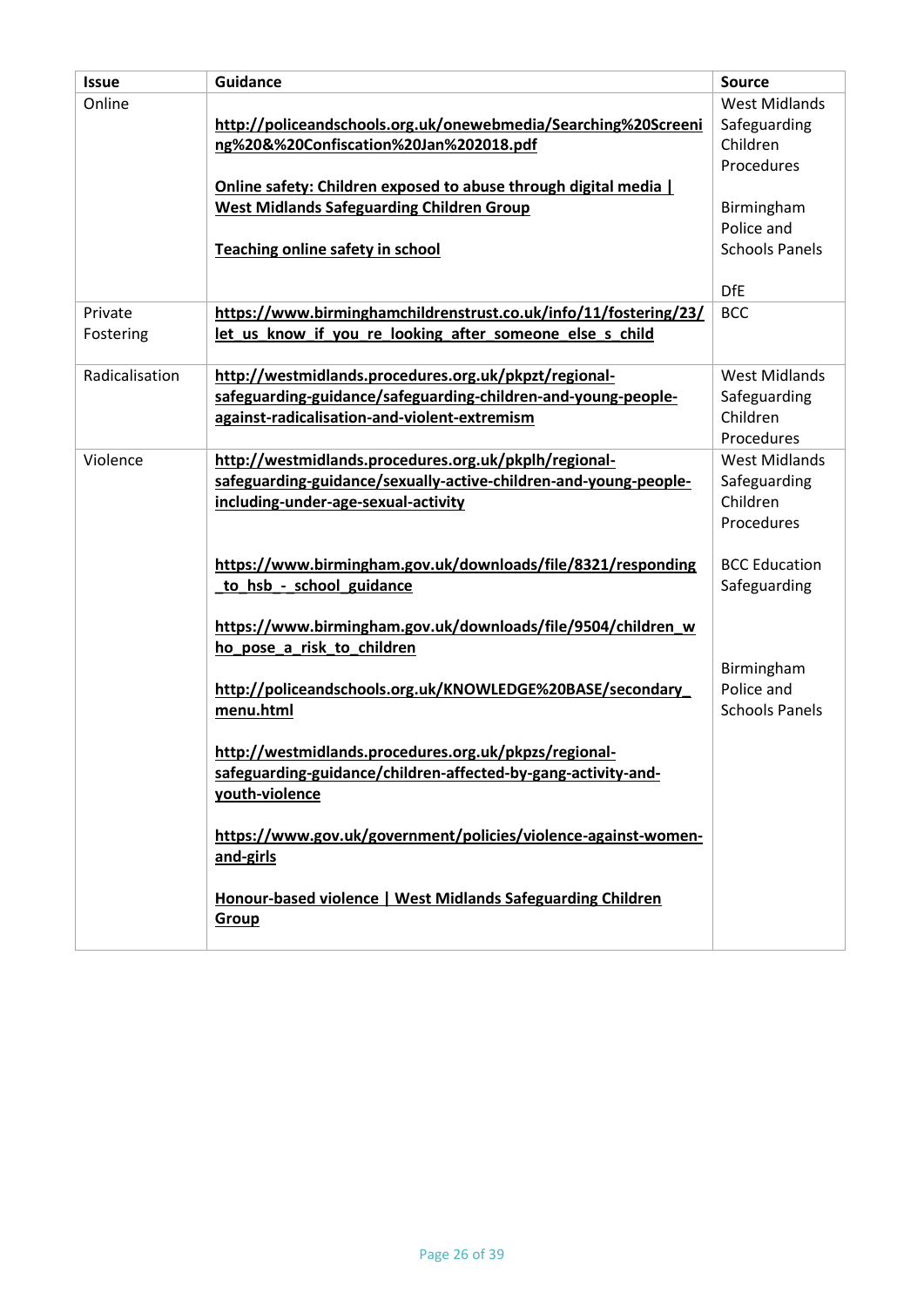| <b>Issue</b>   | <b>Guidance</b>                                                  | <b>Source</b>         |
|----------------|------------------------------------------------------------------|-----------------------|
| Online         |                                                                  | <b>West Midlands</b>  |
|                | http://policeandschools.org.uk/onewebmedia/Searching%20Screeni   | Safeguarding          |
|                | ng%20&%20Confiscation%20Jan%202018.pdf                           | Children              |
|                |                                                                  | Procedures            |
|                | Online safety: Children exposed to abuse through digital media   |                       |
|                | <b>West Midlands Safeguarding Children Group</b>                 | Birmingham            |
|                |                                                                  | Police and            |
|                | <b>Teaching online safety in school</b>                          | <b>Schools Panels</b> |
|                |                                                                  |                       |
|                |                                                                  | <b>DfE</b>            |
| Private        | https://www.birminghamchildrenstrust.co.uk/info/11/fostering/23/ | <b>BCC</b>            |
| Fostering      | let us know if you re looking after someone else s child         |                       |
|                |                                                                  |                       |
| Radicalisation | http://westmidlands.procedures.org.uk/pkpzt/regional-            | <b>West Midlands</b>  |
|                | safeguarding-guidance/safeguarding-children-and-young-people-    | Safeguarding          |
|                | against-radicalisation-and-violent-extremism                     | Children              |
|                |                                                                  | Procedures            |
| Violence       | http://westmidlands.procedures.org.uk/pkplh/regional-            | <b>West Midlands</b>  |
|                | safeguarding-guidance/sexually-active-children-and-young-people- | Safeguarding          |
|                | including-under-age-sexual-activity                              | Children              |
|                |                                                                  | Procedures            |
|                |                                                                  |                       |
|                | https://www.birmingham.gov.uk/downloads/file/8321/responding     | <b>BCC Education</b>  |
|                | to hsb - school guidance                                         | Safeguarding          |
|                |                                                                  |                       |
|                | https://www.birmingham.gov.uk/downloads/file/9504/children_w     |                       |
|                | ho pose a risk to children                                       |                       |
|                |                                                                  | Birmingham            |
|                | http://policeandschools.org.uk/KNOWLEDGE%20BASE/secondary        | Police and            |
|                | menu.html                                                        | <b>Schools Panels</b> |
|                | http://westmidlands.procedures.org.uk/pkpzs/regional-            |                       |
|                | safeguarding-guidance/children-affected-by-gang-activity-and-    |                       |
|                | youth-violence                                                   |                       |
|                |                                                                  |                       |
|                | https://www.gov.uk/government/policies/violence-against-women-   |                       |
|                | and-girls                                                        |                       |
|                |                                                                  |                       |
|                | Honour-based violence   West Midlands Safeguarding Children      |                       |
|                | Group                                                            |                       |
|                |                                                                  |                       |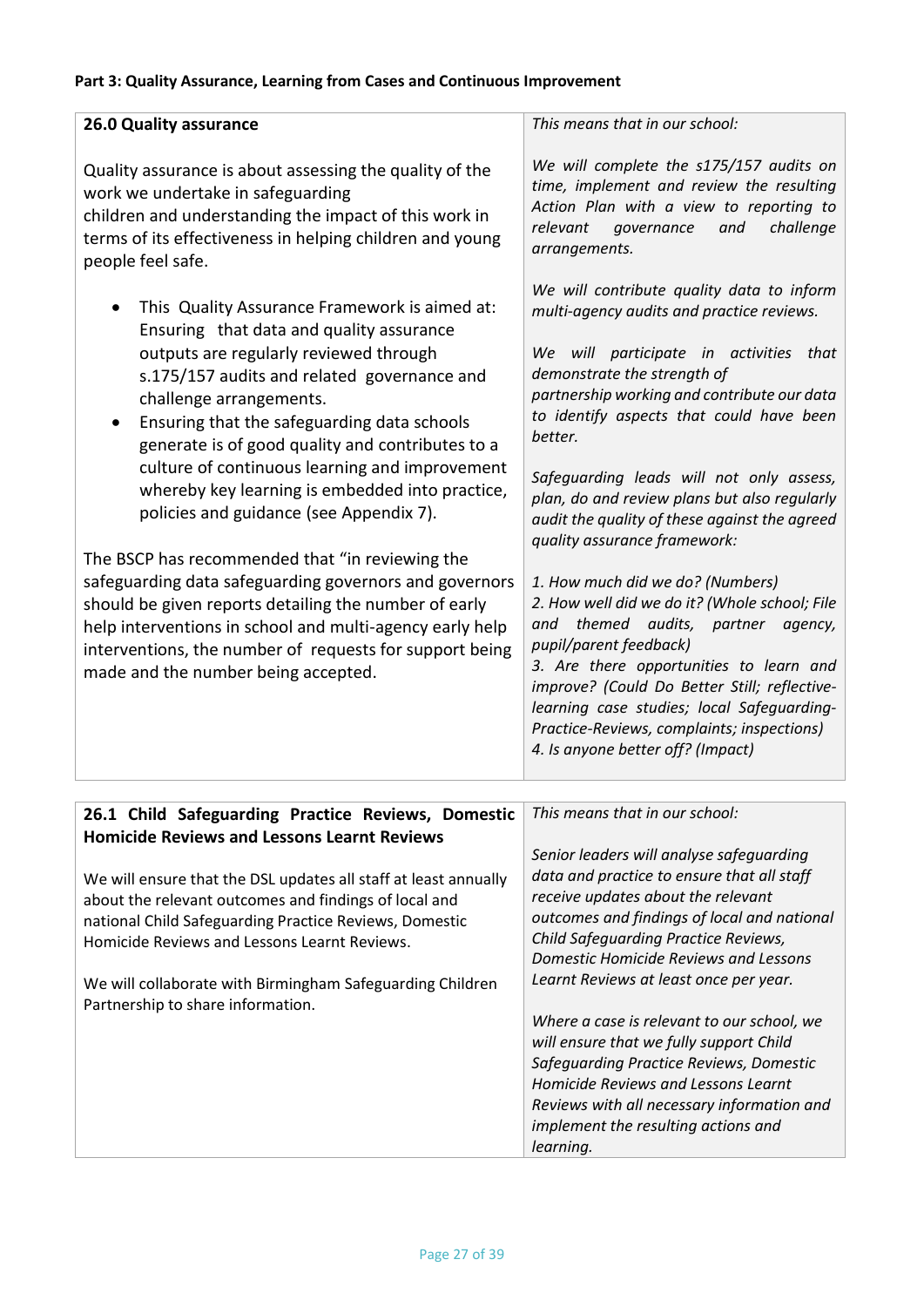# **Part 3: Quality Assurance, Learning from Cases and Continuous Improvement**

| <b>26.0 Quality assurance</b><br>Quality assurance is about assessing the quality of the<br>work we undertake in safeguarding<br>children and understanding the impact of this work in<br>terms of its effectiveness in helping children and young<br>people feel safe.<br>This Quality Assurance Framework is aimed at:<br>Ensuring that data and quality assurance<br>outputs are regularly reviewed through<br>s.175/157 audits and related governance and<br>challenge arrangements.<br>Ensuring that the safeguarding data schools<br>generate is of good quality and contributes to a<br>culture of continuous learning and improvement<br>whereby key learning is embedded into practice,<br>policies and guidance (see Appendix 7).<br>The BSCP has recommended that "in reviewing the<br>safeguarding data safeguarding governors and governors<br>should be given reports detailing the number of early<br>help interventions in school and multi-agency early help<br>interventions, the number of requests for support being<br>made and the number being accepted. | This means that in our school:<br>We will complete the s175/157 audits on<br>time, implement and review the resulting<br>Action Plan with a view to reporting to<br>relevant<br>challenge<br>governance<br>and<br>arrangements.<br>We will contribute quality data to inform<br>multi-agency audits and practice reviews.<br>will participate in activities that<br>We<br>demonstrate the strength of<br>partnership working and contribute our data<br>to identify aspects that could have been<br>better.<br>Safeguarding leads will not only assess,<br>plan, do and review plans but also regularly<br>audit the quality of these against the agreed<br>quality assurance framework:<br>1. How much did we do? (Numbers)<br>2. How well did we do it? (Whole school; File<br>themed audits, partner agency,<br>and<br>pupil/parent feedback)<br>3. Are there opportunities to learn and<br>improve? (Could Do Better Still; reflective-<br>learning case studies; local Safeguarding-<br>Practice-Reviews, complaints; inspections)<br>4. Is anyone better off? (Impact) |
|---------------------------------------------------------------------------------------------------------------------------------------------------------------------------------------------------------------------------------------------------------------------------------------------------------------------------------------------------------------------------------------------------------------------------------------------------------------------------------------------------------------------------------------------------------------------------------------------------------------------------------------------------------------------------------------------------------------------------------------------------------------------------------------------------------------------------------------------------------------------------------------------------------------------------------------------------------------------------------------------------------------------------------------------------------------------------------|------------------------------------------------------------------------------------------------------------------------------------------------------------------------------------------------------------------------------------------------------------------------------------------------------------------------------------------------------------------------------------------------------------------------------------------------------------------------------------------------------------------------------------------------------------------------------------------------------------------------------------------------------------------------------------------------------------------------------------------------------------------------------------------------------------------------------------------------------------------------------------------------------------------------------------------------------------------------------------------------------------------------------------------------------------------------------|
|                                                                                                                                                                                                                                                                                                                                                                                                                                                                                                                                                                                                                                                                                                                                                                                                                                                                                                                                                                                                                                                                                 |                                                                                                                                                                                                                                                                                                                                                                                                                                                                                                                                                                                                                                                                                                                                                                                                                                                                                                                                                                                                                                                                              |
| 26.1 Child Safeguarding Practice Reviews, Domestic                                                                                                                                                                                                                                                                                                                                                                                                                                                                                                                                                                                                                                                                                                                                                                                                                                                                                                                                                                                                                              | This means that in our school:                                                                                                                                                                                                                                                                                                                                                                                                                                                                                                                                                                                                                                                                                                                                                                                                                                                                                                                                                                                                                                               |

| <b>Homicide Reviews and Lessons Learnt Reviews</b>                                                                                                                                                                                 | Senior leaders will analyse safeguarding                                                                                                                                                                         |
|------------------------------------------------------------------------------------------------------------------------------------------------------------------------------------------------------------------------------------|------------------------------------------------------------------------------------------------------------------------------------------------------------------------------------------------------------------|
| We will ensure that the DSL updates all staff at least annually<br>about the relevant outcomes and findings of local and<br>national Child Safeguarding Practice Reviews, Domestic<br>Homicide Reviews and Lessons Learnt Reviews. | data and practice to ensure that all staff<br>receive updates about the relevant<br>outcomes and findings of local and national<br>Child Safeguarding Practice Reviews,<br>Domestic Homicide Reviews and Lessons |
| We will collaborate with Birmingham Safeguarding Children<br>Partnership to share information.                                                                                                                                     | Learnt Reviews at least once per year.<br>Where a case is relevant to our school, we<br>will ensure that we fully support Child                                                                                  |
|                                                                                                                                                                                                                                    | Safequarding Practice Reviews, Domestic<br><b>Homicide Reviews and Lessons Learnt</b><br>Reviews with all necessary information and<br>implement the resulting actions and<br>learning.                          |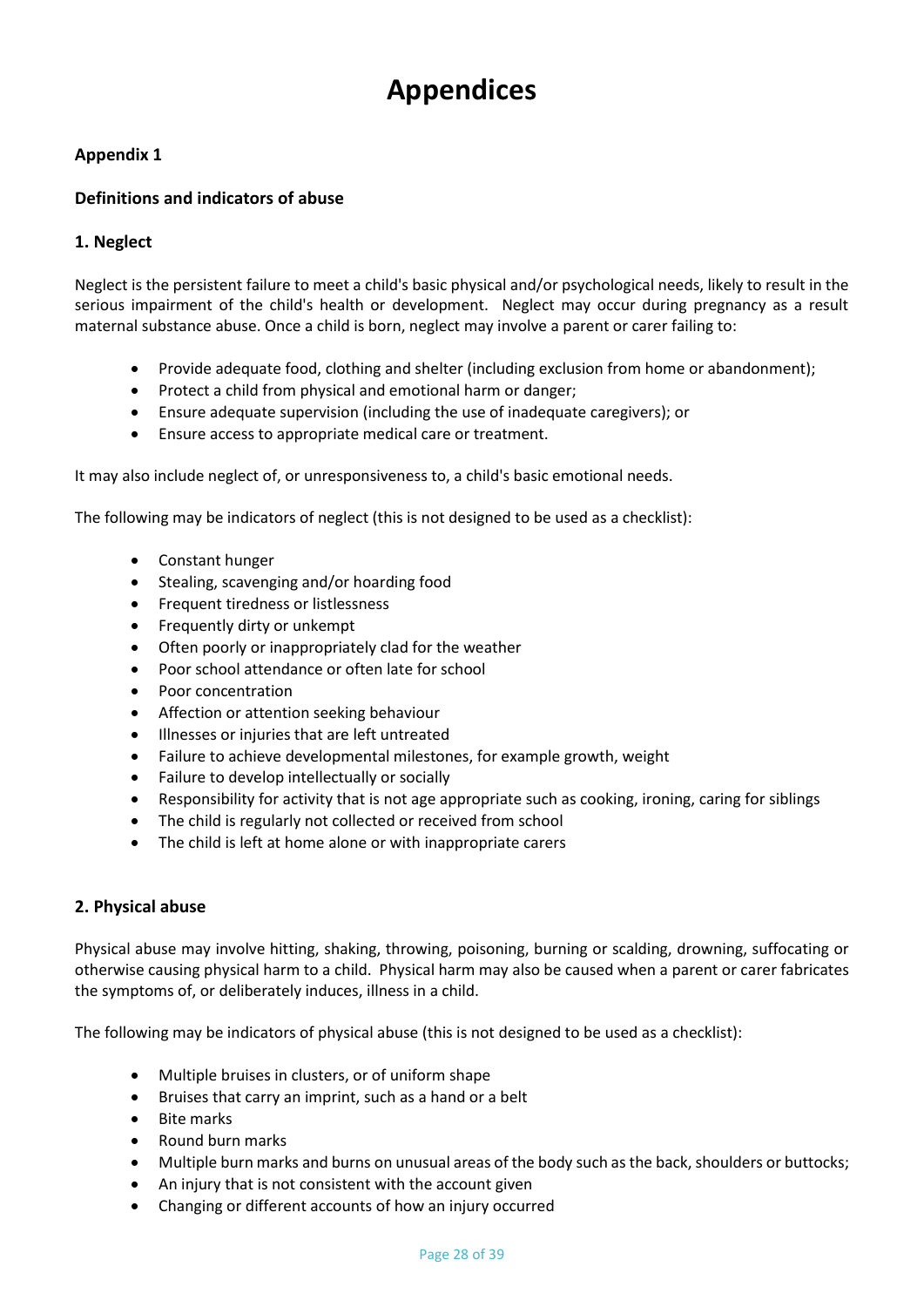# **Appendices**

# **Appendix 1**

# **Definitions and indicators of abuse**

## **1. Neglect**

Neglect is the persistent failure to meet a child's basic physical and/or psychological needs, likely to result in the serious impairment of the child's health or development. Neglect may occur during pregnancy as a result maternal substance abuse. Once a child is born, neglect may involve a parent or carer failing to:

- Provide adequate food, clothing and shelter (including exclusion from home or abandonment);
- Protect a child from physical and emotional harm or danger;
- Ensure adequate supervision (including the use of inadequate caregivers); or
- Ensure access to appropriate medical care or treatment.

It may also include neglect of, or unresponsiveness to, a child's basic emotional needs.

The following may be indicators of neglect (this is not designed to be used as a checklist):

- Constant hunger
- Stealing, scavenging and/or hoarding food
- Frequent tiredness or listlessness
- Frequently dirty or unkempt
- Often poorly or inappropriately clad for the weather
- Poor school attendance or often late for school
- Poor concentration
- Affection or attention seeking behaviour
- Illnesses or injuries that are left untreated
- Failure to achieve developmental milestones, for example growth, weight
- Failure to develop intellectually or socially
- Responsibility for activity that is not age appropriate such as cooking, ironing, caring for siblings
- The child is regularly not collected or received from school
- The child is left at home alone or with inappropriate carers

#### **2. Physical abuse**

Physical abuse may involve hitting, shaking, throwing, poisoning, burning or scalding, drowning, suffocating or otherwise causing physical harm to a child. Physical harm may also be caused when a parent or carer fabricates the symptoms of, or deliberately induces, illness in a child.

The following may be indicators of physical abuse (this is not designed to be used as a checklist):

- Multiple bruises in clusters, or of uniform shape
- Bruises that carry an imprint, such as a hand or a belt
- Bite marks
- Round burn marks
- Multiple burn marks and burns on unusual areas of the body such as the back, shoulders or buttocks;
- An injury that is not consistent with the account given
- Changing or different accounts of how an injury occurred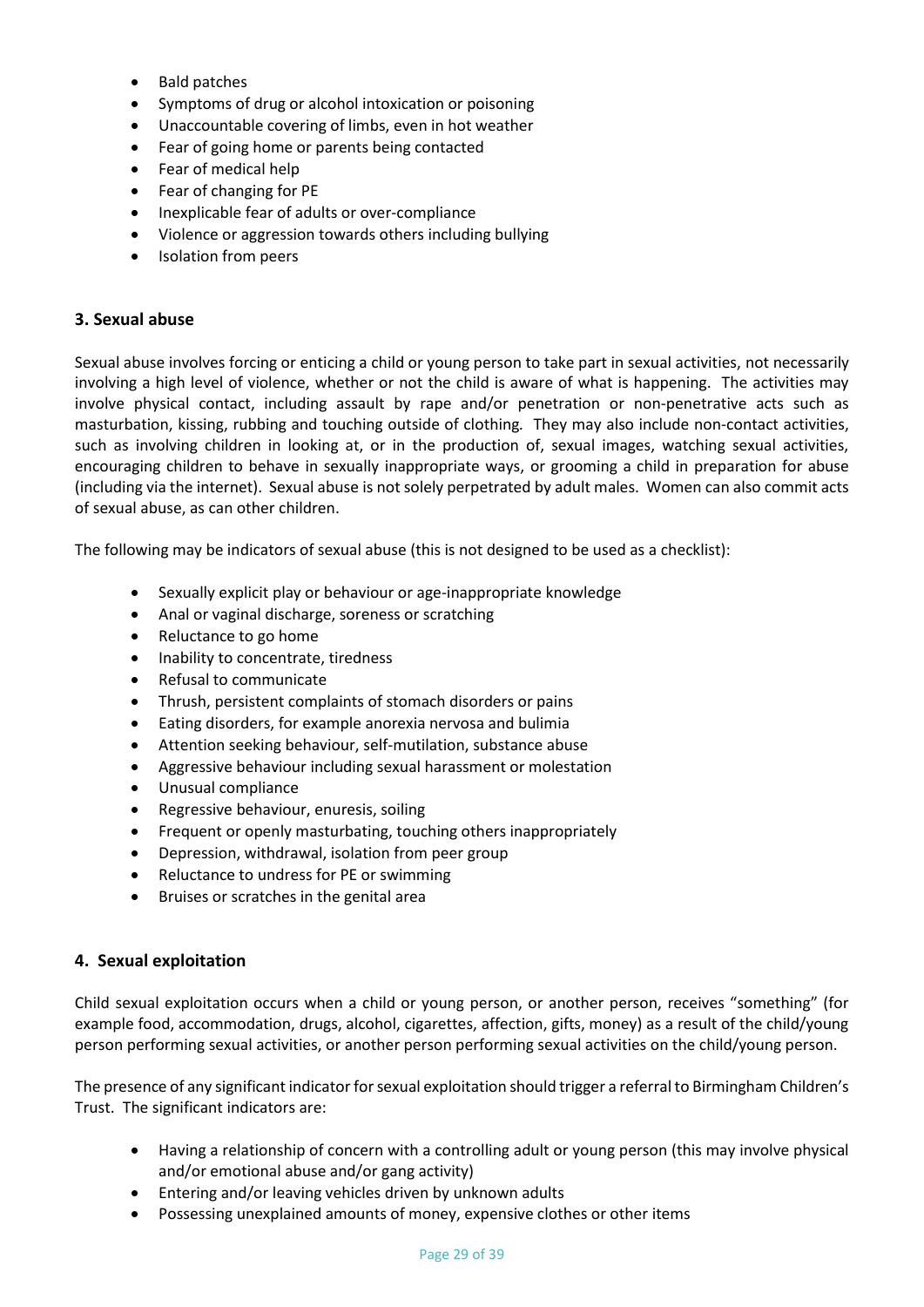- Bald patches
- Symptoms of drug or alcohol intoxication or poisoning
- Unaccountable covering of limbs, even in hot weather
- Fear of going home or parents being contacted
- Fear of medical help
- Fear of changing for PE
- Inexplicable fear of adults or over-compliance
- Violence or aggression towards others including bullying
- Isolation from peers

#### **3. Sexual abuse**

Sexual abuse involves forcing or enticing a child or young person to take part in sexual activities, not necessarily involving a high level of violence, whether or not the child is aware of what is happening. The activities may involve physical contact, including assault by rape and/or penetration or non-penetrative acts such as masturbation, kissing, rubbing and touching outside of clothing*.* They may also include non-contact activities, such as involving children in looking at, or in the production of, sexual images, watching sexual activities, encouraging children to behave in sexually inappropriate ways, or grooming a child in preparation for abuse (including via the internet). Sexual abuse is not solely perpetrated by adult males. Women can also commit acts of sexual abuse, as can other children.

The following may be indicators of sexual abuse (this is not designed to be used as a checklist):

- Sexually explicit play or behaviour or age-inappropriate knowledge
- Anal or vaginal discharge, soreness or scratching
- Reluctance to go home
- Inability to concentrate, tiredness
- Refusal to communicate
- Thrush, persistent complaints of stomach disorders or pains
- Eating disorders, for example anorexia nervosa and bulimia
- Attention seeking behaviour, self-mutilation, substance abuse
- Aggressive behaviour including sexual harassment or molestation
- Unusual compliance
- Regressive behaviour, enuresis, soiling
- Frequent or openly masturbating, touching others inappropriately
- Depression, withdrawal, isolation from peer group
- Reluctance to undress for PE or swimming
- Bruises or scratches in the genital area

#### **4. Sexual exploitation**

Child sexual exploitation occurs when a child or young person, or another person, receives "something" (for example food, accommodation, drugs, alcohol, cigarettes, affection, gifts, money) as a result of the child/young person performing sexual activities, or another person performing sexual activities on the child/young person.

The presence of any significant indicator for sexual exploitation should trigger a referral to Birmingham Children's Trust. The significant indicators are:

- Having a relationship of concern with a controlling adult or young person (this may involve physical and/or emotional abuse and/or gang activity)
- Entering and/or leaving vehicles driven by unknown adults
- Possessing unexplained amounts of money, expensive clothes or other items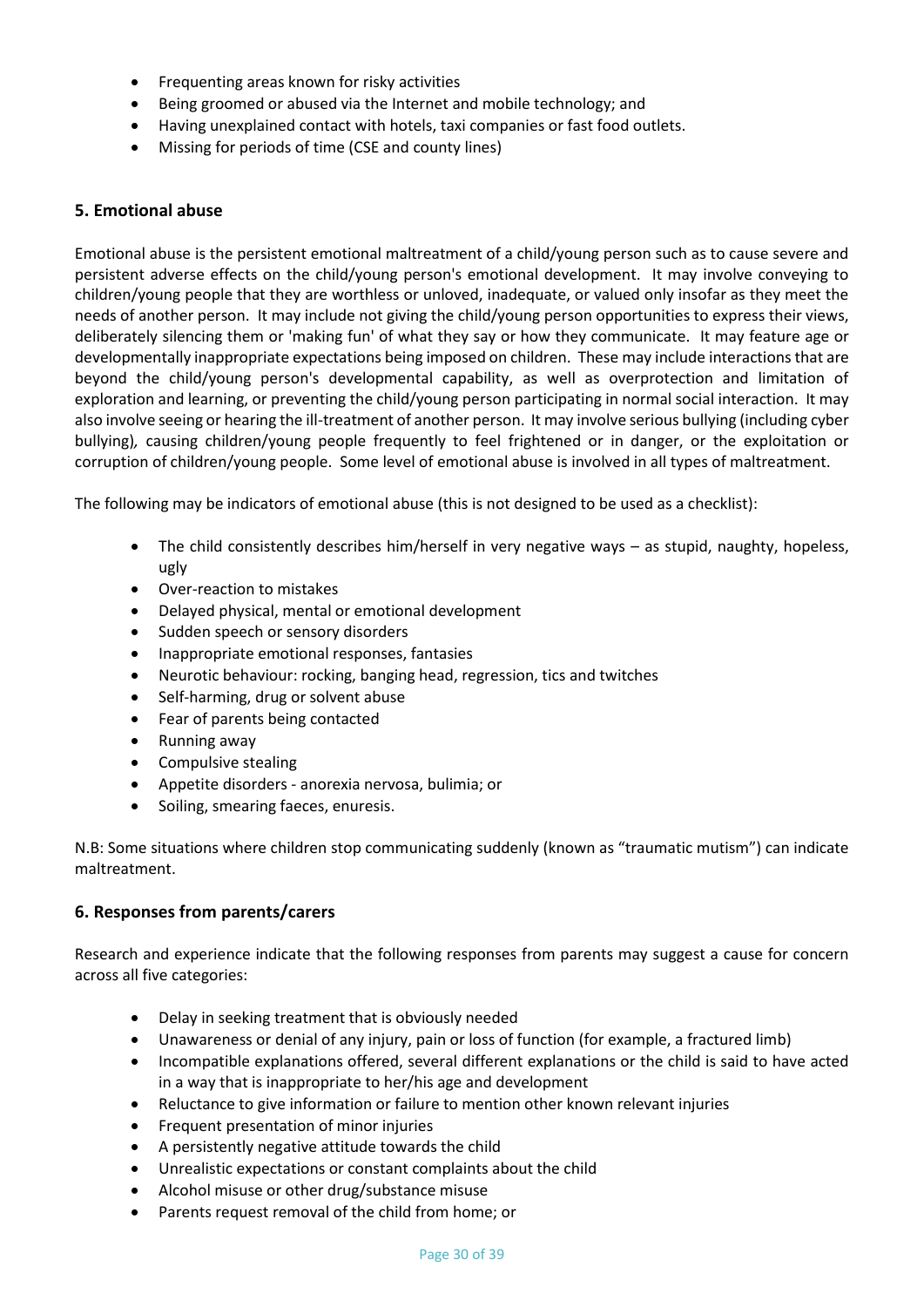- Frequenting areas known for risky activities
- Being groomed or abused via the Internet and mobile technology; and
- Having unexplained contact with hotels, taxi companies or fast food outlets.
- Missing for periods of time (CSE and county lines)

#### **5. Emotional abuse**

Emotional abuse is the persistent emotional maltreatment of a child/young person such as to cause severe and persistent adverse effects on the child/young person's emotional development. It may involve conveying to children/young people that they are worthless or unloved, inadequate, or valued only insofar as they meet the needs of another person. It may include not giving the child/young person opportunities to express their views, deliberately silencing them or 'making fun' of what they say or how they communicate. It may feature age or developmentally inappropriate expectations being imposed on children. These may include interactions that are beyond the child/young person's developmental capability, as well as overprotection and limitation of exploration and learning, or preventing the child/young person participating in normal social interaction. It may also involve seeing or hearing the ill-treatment of another person. It may involve serious bullying (including cyber bullying)*,* causing children/young people frequently to feel frightened or in danger, or the exploitation or corruption of children/young people. Some level of emotional abuse is involved in all types of maltreatment.

The following may be indicators of emotional abuse (this is not designed to be used as a checklist):

- The child consistently describes him/herself in very negative ways as stupid, naughty, hopeless, ugly
- Over-reaction to mistakes
- Delayed physical, mental or emotional development
- Sudden speech or sensory disorders
- Inappropriate emotional responses, fantasies
- Neurotic behaviour: rocking, banging head, regression, tics and twitches
- Self-harming, drug or solvent abuse
- Fear of parents being contacted
- Running away
- Compulsive stealing
- Appetite disorders anorexia nervosa, bulimia; or
- Soiling, smearing faeces, enuresis.

N.B: Some situations where children stop communicating suddenly (known as "traumatic mutism") can indicate maltreatment.

## **6. Responses from parents/carers**

Research and experience indicate that the following responses from parents may suggest a cause for concern across all five categories:

- Delay in seeking treatment that is obviously needed
- Unawareness or denial of any injury, pain or loss of function (for example, a fractured limb)
- Incompatible explanations offered, several different explanations or the child is said to have acted in a way that is inappropriate to her/his age and development
- Reluctance to give information or failure to mention other known relevant injuries
- Frequent presentation of minor injuries
- A persistently negative attitude towards the child
- Unrealistic expectations or constant complaints about the child
- Alcohol misuse or other drug/substance misuse
- Parents request removal of the child from home; or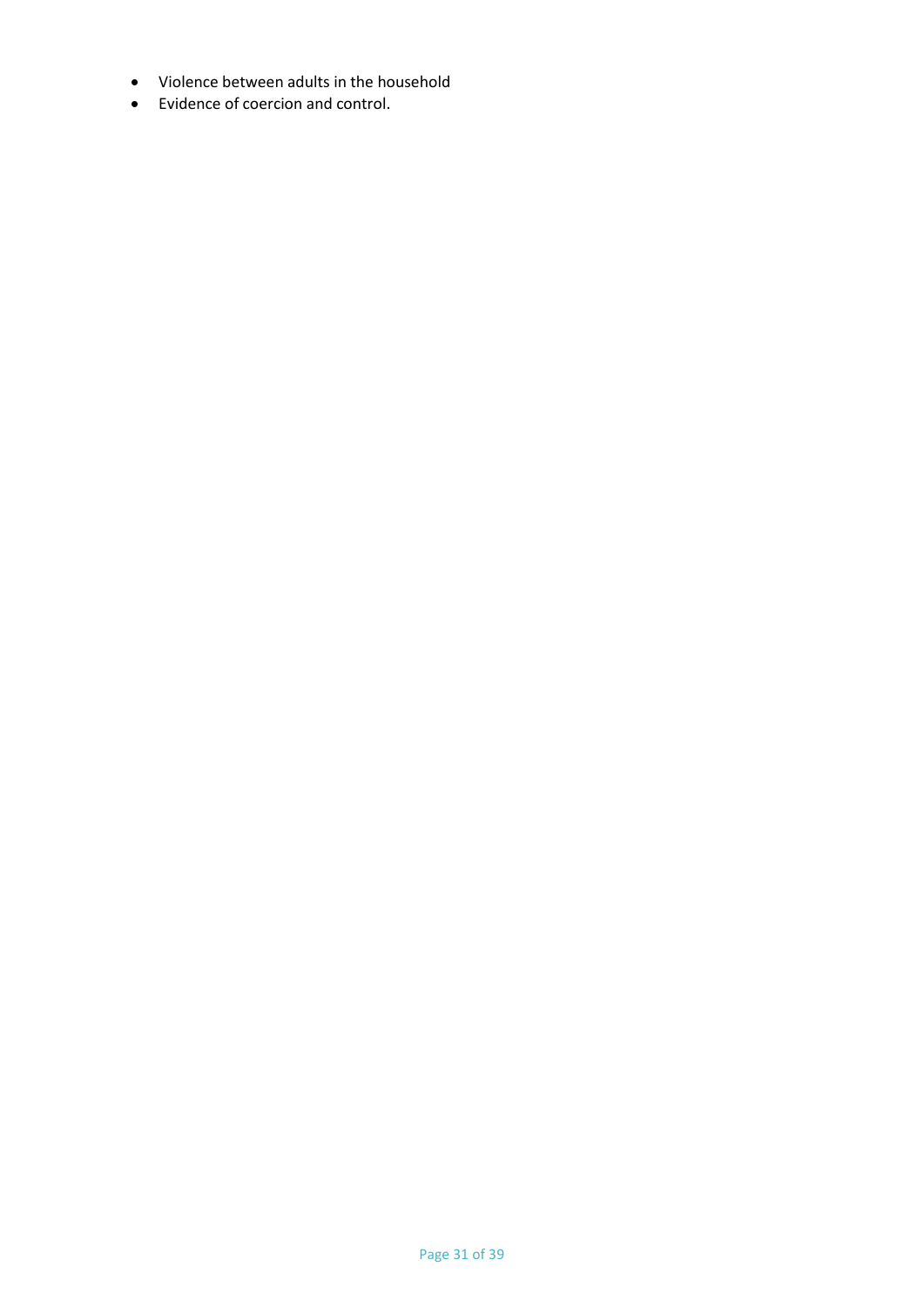- Violence between adults in the household
- Evidence of coercion and control.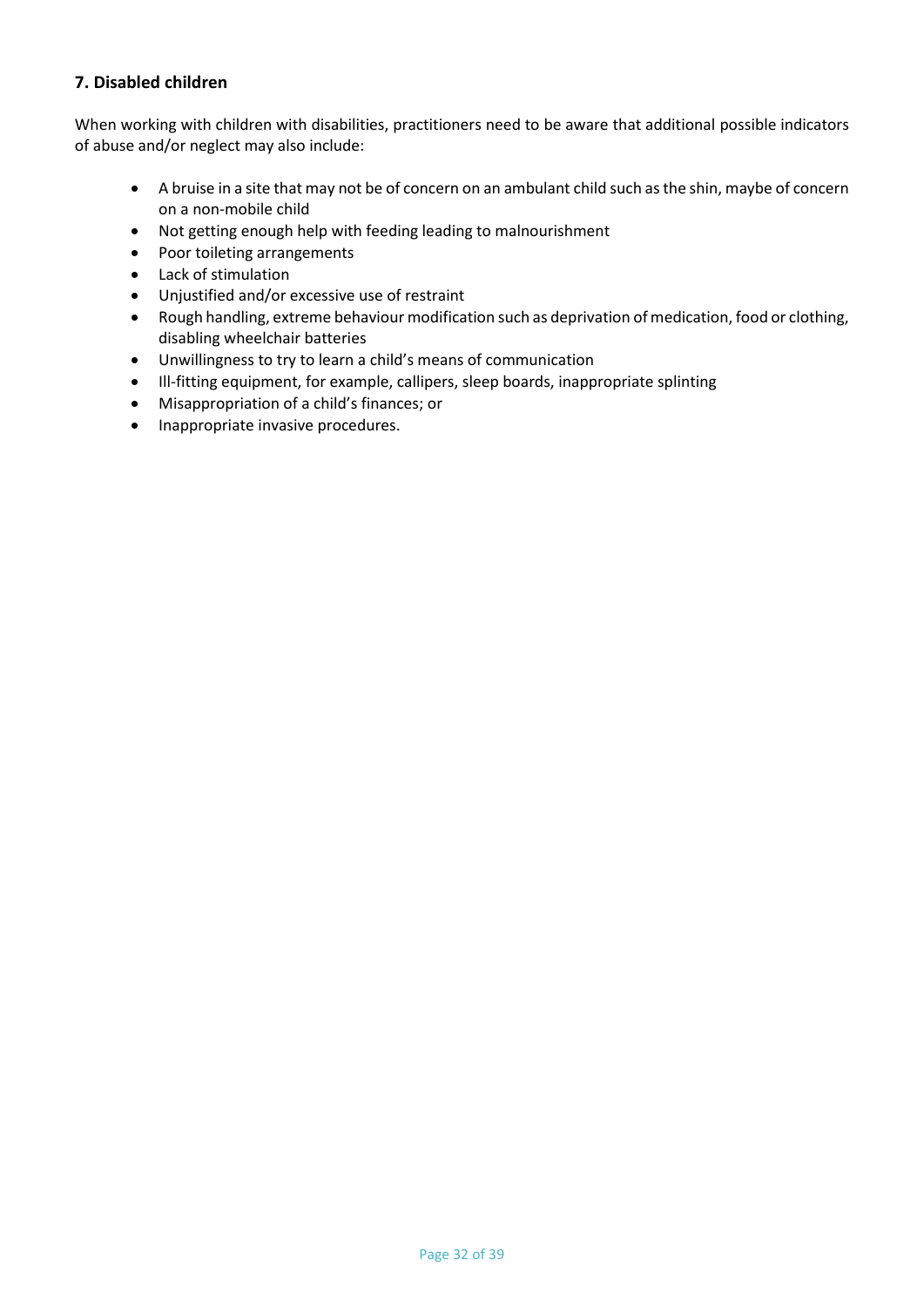# **7. Disabled children**

When working with children with disabilities, practitioners need to be aware that additional possible indicators of abuse and/or neglect may also include:

- A bruise in a site that may not be of concern on an ambulant child such as the shin, maybe of concern on a non-mobile child
- Not getting enough help with feeding leading to malnourishment
- Poor toileting arrangements
- Lack of stimulation
- Unjustified and/or excessive use of restraint
- Rough handling, extreme behaviour modification such as deprivation of medication, food or clothing, disabling wheelchair batteries
- Unwillingness to try to learn a child's means of communication
- Ill-fitting equipment, for example, callipers, sleep boards, inappropriate splinting
- Misappropriation of a child's finances; or
- Inappropriate invasive procedures.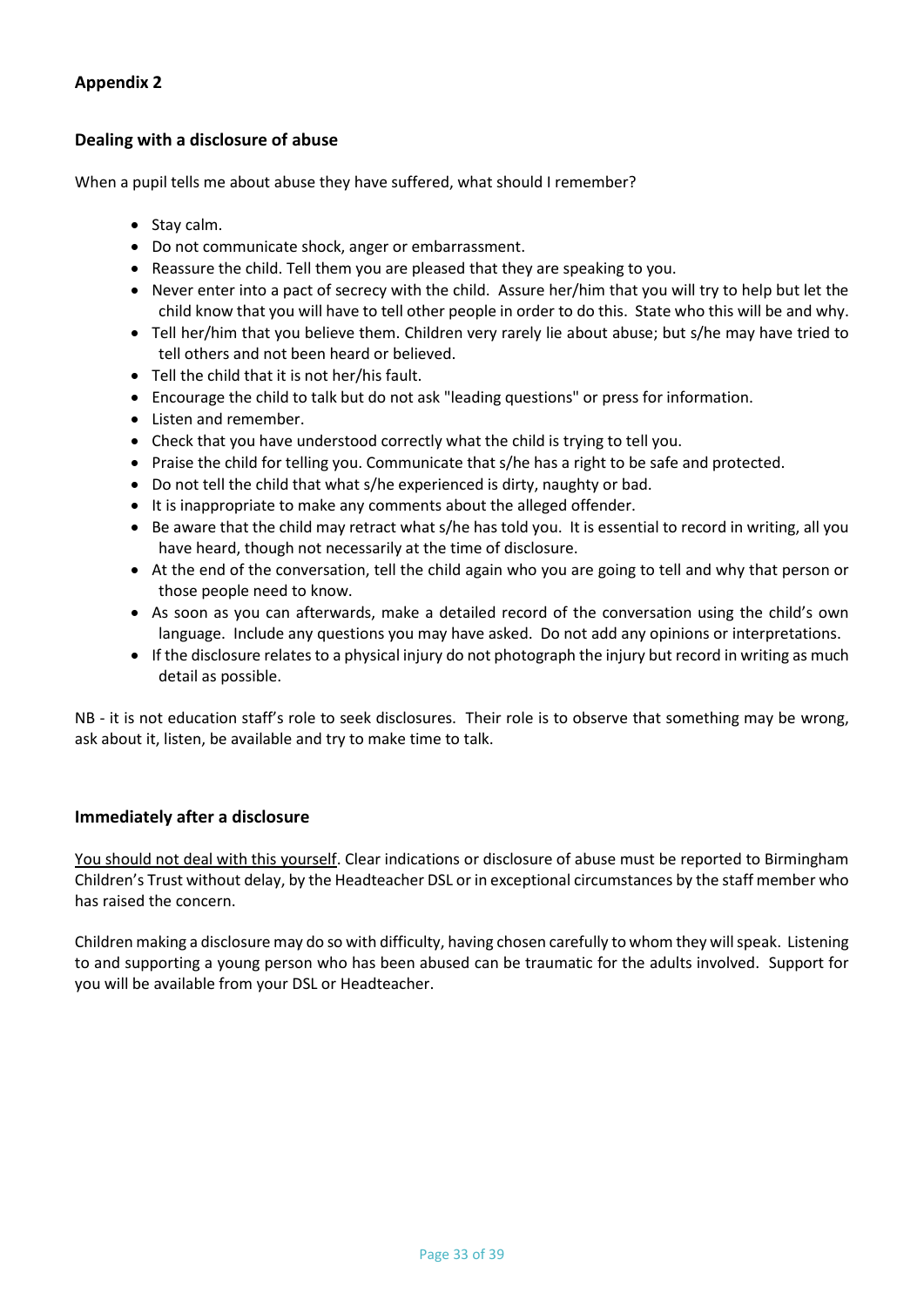## **Dealing with a disclosure of abuse**

When a pupil tells me about abuse they have suffered, what should I remember?

- Stay calm.
- Do not communicate shock, anger or embarrassment.
- Reassure the child. Tell them you are pleased that they are speaking to you.
- Never enter into a pact of secrecy with the child. Assure her/him that you will try to help but let the child know that you will have to tell other people in order to do this. State who this will be and why.
- Tell her/him that you believe them. Children very rarely lie about abuse; but s/he may have tried to tell others and not been heard or believed.
- Tell the child that it is not her/his fault.
- Encourage the child to talk but do not ask "leading questions" or press for information.
- Listen and remember.
- Check that you have understood correctly what the child is trying to tell you.
- Praise the child for telling you. Communicate that s/he has a right to be safe and protected.
- Do not tell the child that what s/he experienced is dirty, naughty or bad.
- It is inappropriate to make any comments about the alleged offender.
- Be aware that the child may retract what s/he has told you. It is essential to record in writing, all you have heard, though not necessarily at the time of disclosure.
- At the end of the conversation, tell the child again who you are going to tell and why that person or those people need to know.
- As soon as you can afterwards, make a detailed record of the conversation using the child's own language. Include any questions you may have asked. Do not add any opinions or interpretations.
- If the disclosure relates to a physical injury do not photograph the injury but record in writing as much detail as possible.

NB - it is not education staff's role to seek disclosures. Their role is to observe that something may be wrong, ask about it, listen, be available and try to make time to talk.

## **Immediately after a disclosure**

You should not deal with this yourself. Clear indications or disclosure of abuse must be reported to Birmingham Children's Trust without delay, by the Headteacher DSL or in exceptional circumstances by the staff member who has raised the concern.

Children making a disclosure may do so with difficulty, having chosen carefully to whom they will speak. Listening to and supporting a young person who has been abused can be traumatic for the adults involved. Support for you will be available from your DSL or Headteacher.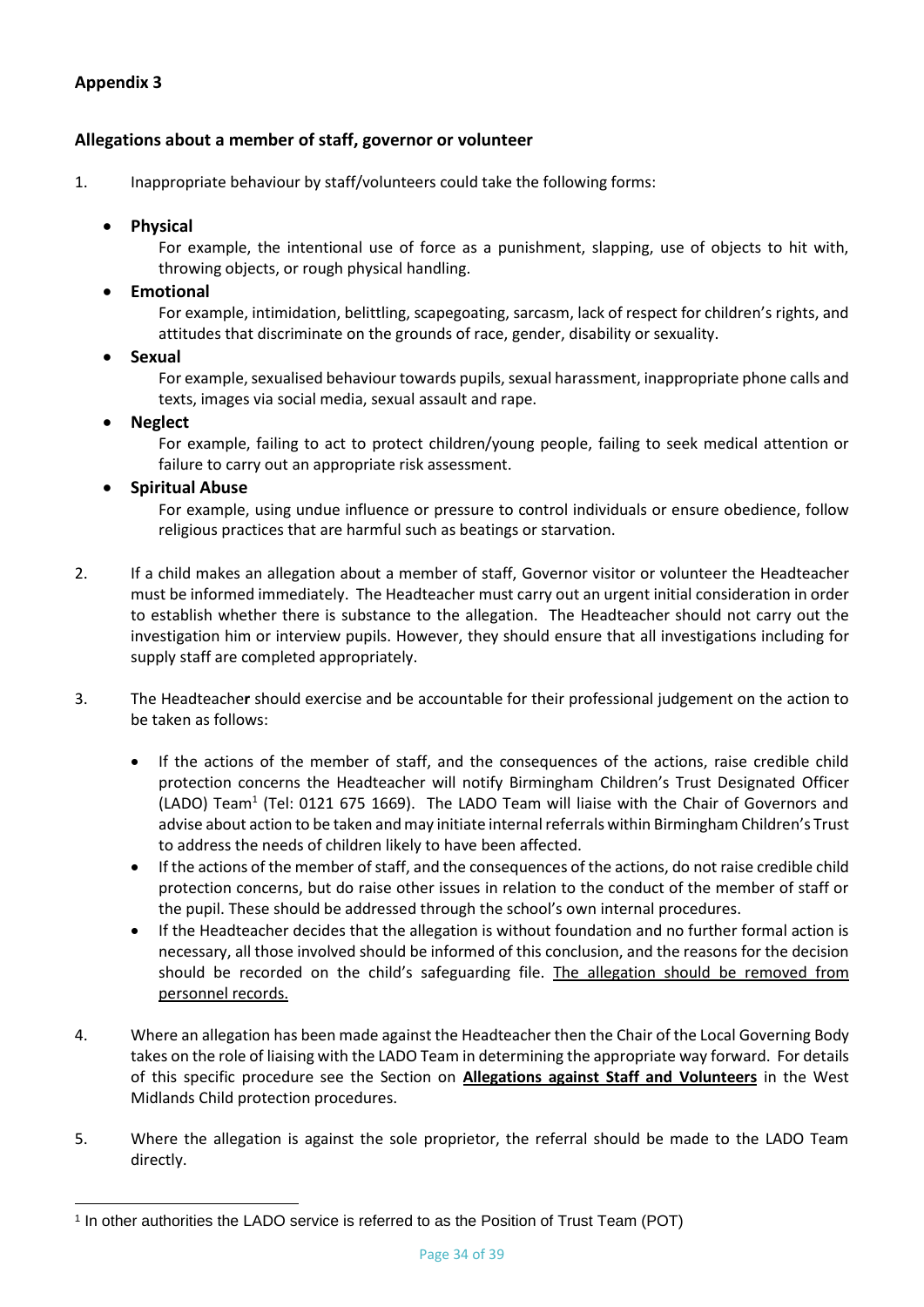## **Allegations about a member of staff, governor or volunteer**

1. Inappropriate behaviour by staff/volunteers could take the following forms:

#### • **Physical**

For example, the intentional use of force as a punishment, slapping, use of objects to hit with, throwing objects, or rough physical handling.

• **Emotional** 

For example, intimidation, belittling, scapegoating, sarcasm, lack of respect for children's rights, and attitudes that discriminate on the grounds of race, gender, disability or sexuality.

#### • **Sexual**

For example, sexualised behaviour towards pupils, sexual harassment, inappropriate phone calls and texts, images via social media, sexual assault and rape.

#### • **Neglect**

For example, failing to act to protect children/young people, failing to seek medical attention or failure to carry out an appropriate risk assessment.

#### • **Spiritual Abuse**

For example, using undue influence or pressure to control individuals or ensure obedience, follow religious practices that are harmful such as beatings or starvation.

- 2. If a child makes an allegation about a member of staff, Governor visitor or volunteer the Headteacher must be informed immediately. The Headteacher must carry out an urgent initial consideration in order to establish whether there is substance to the allegation. The Headteacher should not carry out the investigation him or interview pupils. However, they should ensure that all investigations including for supply staff are completed appropriately.
- 3. The Headteache**r** should exercise and be accountable for their professional judgement on the action to be taken as follows:
	- If the actions of the member of staff, and the consequences of the actions, raise credible child protection concerns the Headteacher will notify Birmingham Children's Trust Designated Officer (LADO) Team<sup>1</sup> (Tel: 0121 675 1669). The LADO Team will liaise with the Chair of Governors and advise about action to be taken and may initiate internal referrals within Birmingham Children's Trust to address the needs of children likely to have been affected.
	- If the actions of the member of staff, and the consequences of the actions, do not raise credible child protection concerns, but do raise other issues in relation to the conduct of the member of staff or the pupil. These should be addressed through the school's own internal procedures.
	- If the Headteacher decides that the allegation is without foundation and no further formal action is necessary, all those involved should be informed of this conclusion, and the reasons for the decision should be recorded on the child's safeguarding file. The allegation should be removed from personnel records.
- 4. Where an allegation has been made against the Headteacher then the Chair of the Local Governing Body takes on the role of liaising with the LADO Team in determining the appropriate way forward. For details of this specific procedure see the Section on **[Allegations against Staff and Volunteers](http://westmidlands.procedures.org.uk/ykpzy/statutory-child-protection-procedures/allegations-against-staff-or-volunteers)** in the West Midlands Child protection procedures.
- 5. Where the allegation is against the sole proprietor, the referral should be made to the LADO Team directly.

<sup>1</sup> In other authorities the LADO service is referred to as the Position of Trust Team (POT)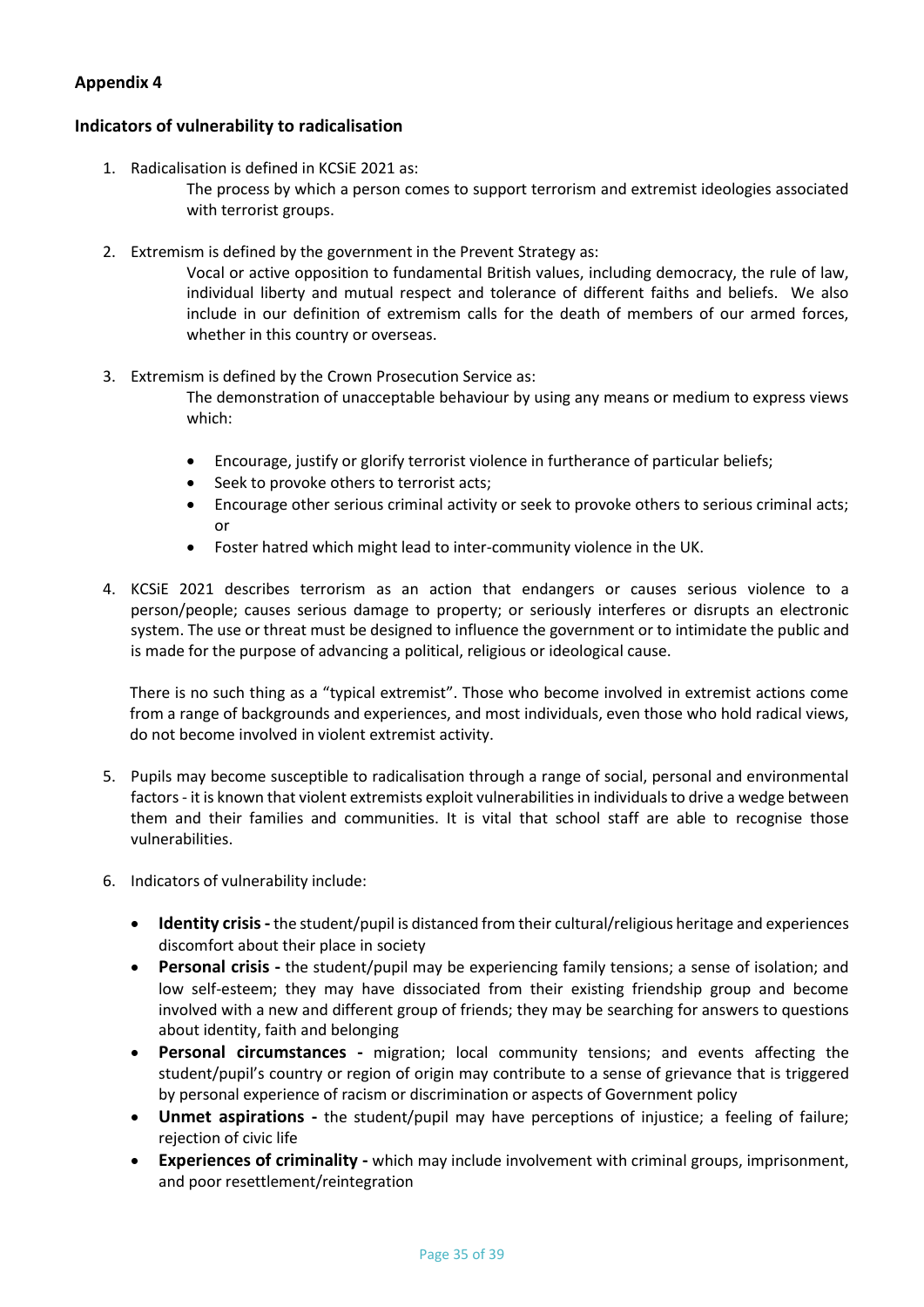#### **Indicators of vulnerability to radicalisation**

1. Radicalisation is defined in KCSiE 2021 as:

The process by which a person comes to support terrorism and extremist ideologies associated with terrorist groups.

2. Extremism is defined by the government in the Prevent Strategy as:

Vocal or active opposition to fundamental British values, including democracy, the rule of law, individual liberty and mutual respect and tolerance of different faiths and beliefs. We also include in our definition of extremism calls for the death of members of our armed forces, whether in this country or overseas.

3. Extremism is defined by the Crown Prosecution Service as:

The demonstration of unacceptable behaviour by using any means or medium to express views which:

- Encourage, justify or glorify terrorist violence in furtherance of particular beliefs;
- Seek to provoke others to terrorist acts;
- Encourage other serious criminal activity or seek to provoke others to serious criminal acts; or
- Foster hatred which might lead to inter-community violence in the UK.
- 4. KCSiE 2021 describes terrorism as an action that endangers or causes serious violence to a person/people; causes serious damage to property; or seriously interferes or disrupts an electronic system. The use or threat must be designed to influence the government or to intimidate the public and is made for the purpose of advancing a political, religious or ideological cause.

There is no such thing as a "typical extremist". Those who become involved in extremist actions come from a range of backgrounds and experiences, and most individuals, even those who hold radical views, do not become involved in violent extremist activity.

- 5. Pupils may become susceptible to radicalisation through a range of social, personal and environmental factors - it is known that violent extremists exploit vulnerabilities in individuals to drive a wedge between them and their families and communities. It is vital that school staff are able to recognise those vulnerabilities.
- 6. Indicators of vulnerability include:
	- **Identity crisis -** the student/pupil is distanced from their cultural/religious heritage and experiences discomfort about their place in society
	- **Personal crisis -** the student/pupil may be experiencing family tensions; a sense of isolation; and low self-esteem; they may have dissociated from their existing friendship group and become involved with a new and different group of friends; they may be searching for answers to questions about identity, faith and belonging
	- **Personal circumstances -** migration; local community tensions; and events affecting the student/pupil's country or region of origin may contribute to a sense of grievance that is triggered by personal experience of racism or discrimination or aspects of Government policy
	- **Unmet aspirations -** the student/pupil may have perceptions of injustice; a feeling of failure; rejection of civic life
	- **Experiences of criminality -** which may include involvement with criminal groups, imprisonment, and poor resettlement/reintegration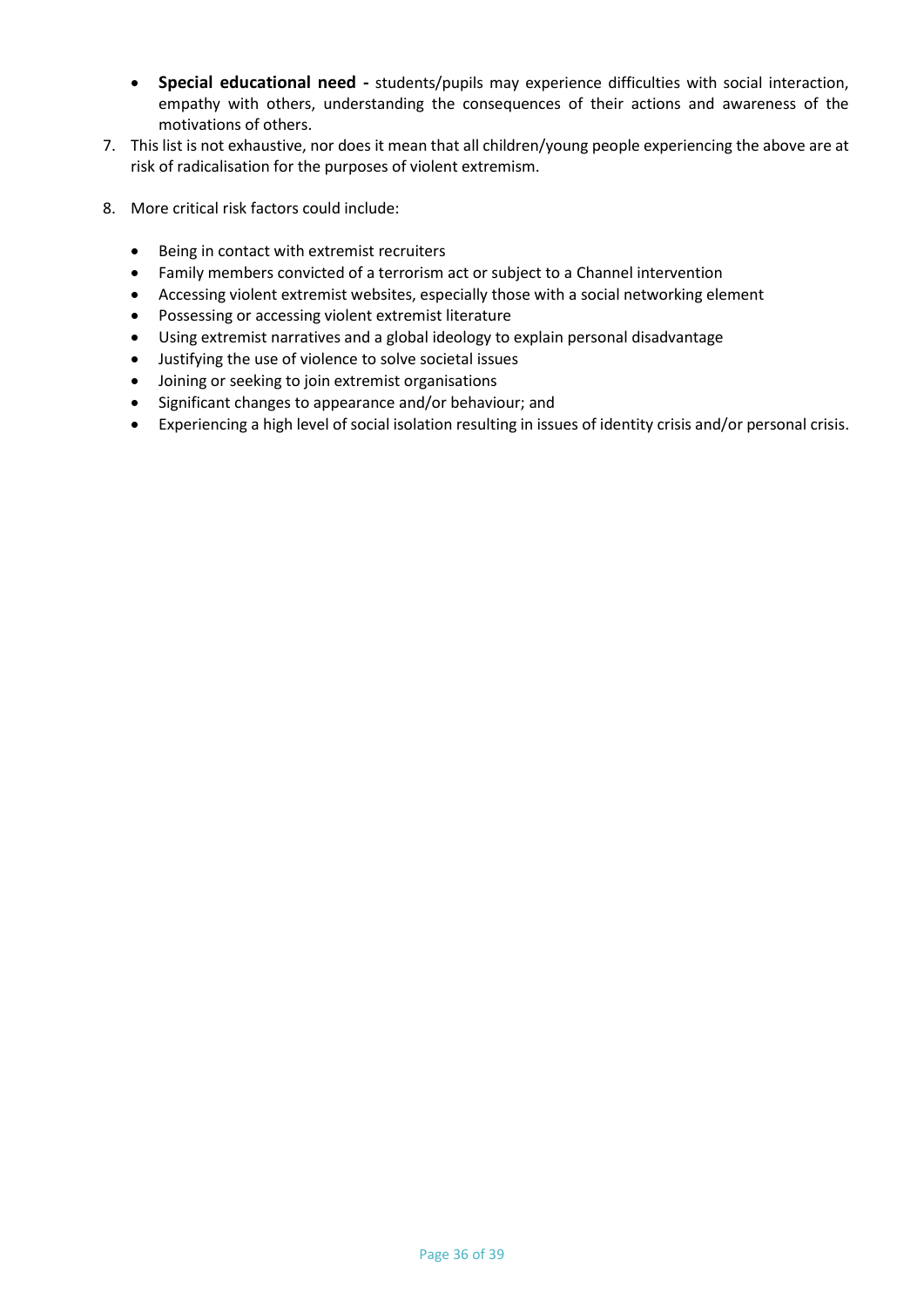- **Special educational need -** students/pupils may experience difficulties with social interaction, empathy with others, understanding the consequences of their actions and awareness of the motivations of others.
- 7. This list is not exhaustive, nor does it mean that all children/young people experiencing the above are at risk of radicalisation for the purposes of violent extremism.
- 8. More critical risk factors could include:
	- Being in contact with extremist recruiters
	- Family members convicted of a terrorism act or subject to a Channel intervention
	- Accessing violent extremist websites, especially those with a social networking element
	- Possessing or accessing violent extremist literature
	- Using extremist narratives and a global ideology to explain personal disadvantage
	- Justifying the use of violence to solve societal issues
	- Joining or seeking to join extremist organisations
	- Significant changes to appearance and/or behaviour; and
	- Experiencing a high level of social isolation resulting in issues of identity crisis and/or personal crisis.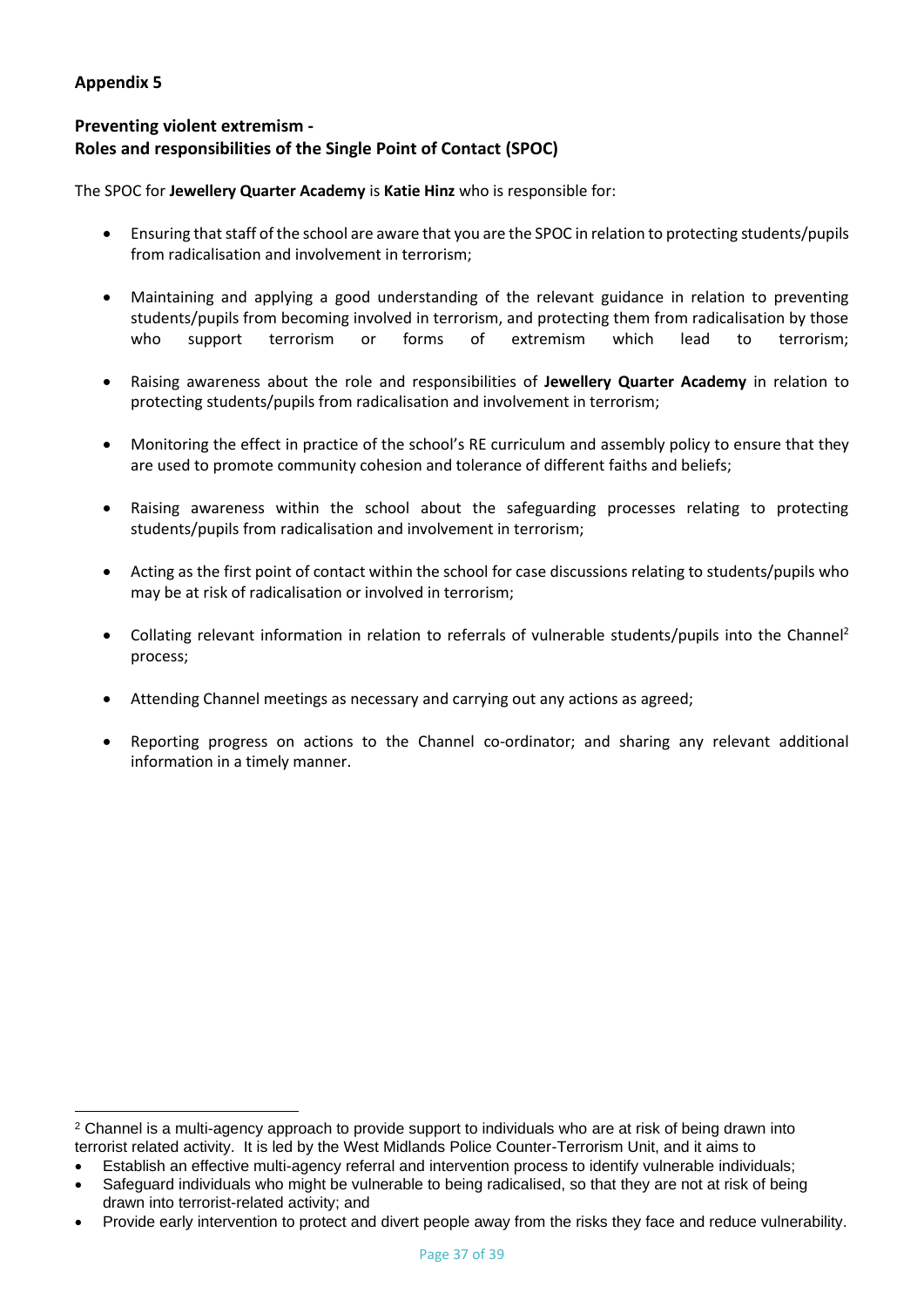# **Preventing violent extremism - Roles and responsibilities of the Single Point of Contact (SPOC)**

The SPOC for **Jewellery Quarter Academy** is **Katie Hinz** who is responsible for:

- Ensuring that staff of the school are aware that you are the SPOC in relation to protecting students/pupils from radicalisation and involvement in terrorism;
- Maintaining and applying a good understanding of the relevant guidance in relation to preventing students/pupils from becoming involved in terrorism, and protecting them from radicalisation by those who support terrorism or forms of extremism which lead to terrorism;
- Raising awareness about the role and responsibilities of **Jewellery Quarter Academy** in relation to protecting students/pupils from radicalisation and involvement in terrorism;
- Monitoring the effect in practice of the school's RE curriculum and assembly policy to ensure that they are used to promote community cohesion and tolerance of different faiths and beliefs;
- Raising awareness within the school about the safeguarding processes relating to protecting students/pupils from radicalisation and involvement in terrorism;
- Acting as the first point of contact within the school for case discussions relating to students/pupils who may be at risk of radicalisation or involved in terrorism;
- Collating relevant information in relation to referrals of vulnerable students/pupils into the Channel<sup>2</sup> process;
- Attending Channel meetings as necessary and carrying out any actions as agreed;
- Reporting progress on actions to the Channel co-ordinator; and sharing any relevant additional information in a timely manner.

<sup>&</sup>lt;sup>2</sup> Channel is a multi-agency approach to provide support to individuals who are at risk of being drawn into terrorist related activity. It is led by the West Midlands Police Counter-Terrorism Unit, and it aims to

<sup>•</sup> Establish an effective multi-agency referral and intervention process to identify vulnerable individuals;

Safeguard individuals who might be vulnerable to being radicalised, so that they are not at risk of being drawn into terrorist-related activity; and

<sup>•</sup> Provide early intervention to protect and divert people away from the risks they face and reduce vulnerability.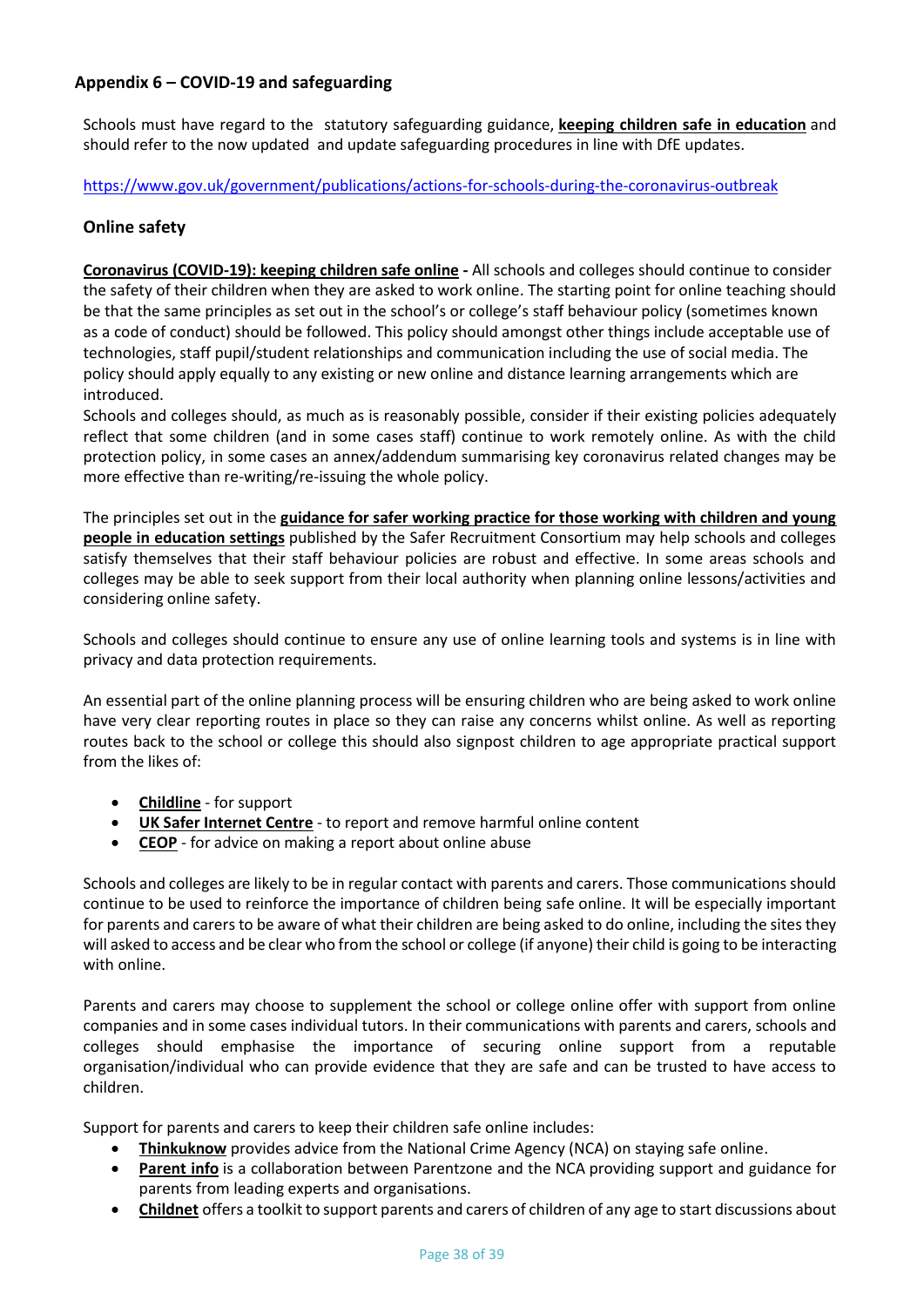# **Appendix 6 – COVID-19 and safeguarding**

Schools must have regard to the statutory safeguarding guidance, **[keeping children safe in education](https://www.gov.uk/government/publications/keeping-children-safe-in-education--2)** and should refer to the now updated and update safeguarding procedures in line with DfE updates.

<https://www.gov.uk/government/publications/actions-for-schools-during-the-coronavirus-outbreak>

## **Online safety**

**[Coronavirus \(COVID-19\): keeping children safe online](https://www.gov.uk/government/publications/coronavirus-covid-19-keeping-children-safe-online) -** All schools and colleges should continue to consider the safety of their children when they are asked to work online. The starting point for online teaching should be that the same principles as set out in the school's or college's staff behaviour policy (sometimes known as a code of conduct) should be followed. This policy should amongst other things include acceptable use of technologies, staff pupil/student relationships and communication including the use of social media. The policy should apply equally to any existing or new online and distance learning arrangements which are introduced.

Schools and colleges should, as much as is reasonably possible, consider if their existing policies adequately reflect that some children (and in some cases staff) continue to work remotely online. As with the child protection policy, in some cases an annex/addendum summarising key coronavirus related changes may be more effective than re-writing/re-issuing the whole policy.

The principles set out in the **[guidance for safer working practice for those working with children and young](https://www.saferrecruitmentconsortium.org/)  [people in education settings](https://www.saferrecruitmentconsortium.org/)** published by the Safer Recruitment Consortium may help schools and colleges satisfy themselves that their staff behaviour policies are robust and effective. In some areas schools and colleges may be able to seek support from their local authority when planning online lessons/activities and considering online safety.

Schools and colleges should continue to ensure any use of online learning tools and systems is in line with privacy and data protection requirements.

An essential part of the online planning process will be ensuring children who are being asked to work online have very clear reporting routes in place so they can raise any concerns whilst online. As well as reporting routes back to the school or college this should also signpost children to age appropriate practical support from the likes of:

- **[Childline](https://www.childline.org.uk/?utm_source=google&utm_medium=cpc&utm_campaign=UK_GO_S_B_BND_Grant_Childline_Information&utm_term=role_of_childline&gclsrc=aw.ds&&gclid=EAIaIQobChMIlfLRh-ez6AIVRrDtCh1N9QR2EAAYASAAEgLc-vD_BwE&gclsrc=aw.ds)** for support
- **[UK Safer Internet Centre](https://reportharmfulcontent.com/)** to report and remove harmful online content
- **[CEOP](https://www.ceop.police.uk/safety-centre/)** for advice on making a report about online abuse

Schools and colleges are likely to be in regular contact with parents and carers. Those communications should continue to be used to reinforce the importance of children being safe online. It will be especially important for parents and carers to be aware of what their children are being asked to do online, including the sites they will asked to access and be clear who from the school or college (if anyone) their child is going to be interacting with online.

Parents and carers may choose to supplement the school or college online offer with support from online companies and in some cases individual tutors. In their communications with parents and carers, schools and colleges should emphasise the importance of securing online support from a reputable organisation/individual who can provide evidence that they are safe and can be trusted to have access to children.

Support for parents and carers to keep their children safe online includes:

- **[Thinkuknow](http://www.thinkuknow.co.uk/)** provides advice from the National Crime Agency (NCA) on staying safe online.
- **[Parent info](https://parentinfo.org/)** is a collaboration between Parentzone and the NCA providing support and guidance for parents from leading experts and organisations.
- **[Childnet](https://www.childnet.com/parents-and-carers/parent-and-carer-toolkit)** offers a toolkit to support parents and carers of children of any age to start discussions about